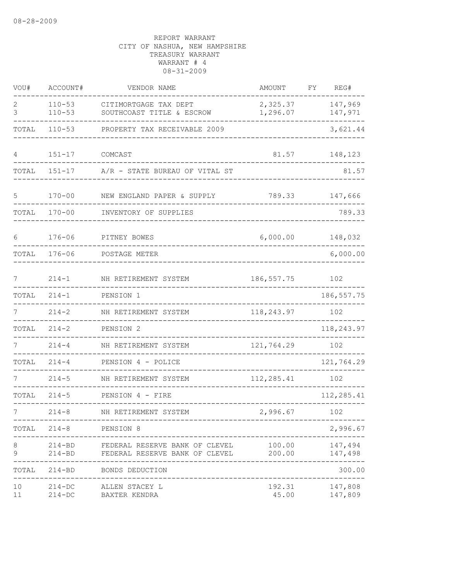| VOU#     | ACCOUNT#                 | VENDOR NAME                                                                    | AMOUNT               | FY<br>REG#                      |
|----------|--------------------------|--------------------------------------------------------------------------------|----------------------|---------------------------------|
| 2<br>3   | $110 - 53$<br>$110 - 53$ | CITIMORTGAGE TAX DEPT<br>SOUTHCOAST TITLE & ESCROW                             | 2,325.37<br>1,296.07 | 147,969<br>147,971              |
| TOTAL    | $110 - 53$               | PROPERTY TAX RECEIVABLE 2009                                                   |                      | 3,621.44                        |
| 4        | $151 - 17$               | COMCAST                                                                        | 81.57                | 148,123                         |
| TOTAL    | $151 - 17$               | A/R - STATE BUREAU OF VITAL ST                                                 |                      | 81.57                           |
| 5        | $170 - 00$               | NEW ENGLAND PAPER & SUPPLY                                                     | 789.33               | 147,666                         |
| TOTAL    | $170 - 00$               | INVENTORY OF SUPPLIES                                                          |                      | 789.33                          |
| 6        | $176 - 06$               | PITNEY BOWES                                                                   | 6,000.00             | 148,032                         |
| TOTAL    | $176 - 06$               | POSTAGE METER                                                                  |                      | 6,000.00                        |
| 7        | $214 - 1$                | NH RETIREMENT SYSTEM                                                           | 186, 557.75          | 102                             |
| TOTAL    | $214 - 1$                | PENSION 1                                                                      |                      | 186, 557.75                     |
| 7        | $214 - 2$                | NH RETIREMENT SYSTEM                                                           | 118,243.97           | 102                             |
| TOTAL    | $214 - 2$                | PENSION 2                                                                      |                      | 118,243.97                      |
|          | $214 - 4$                | NH RETIREMENT SYSTEM                                                           | 121,764.29           | 102                             |
| TOTAL    | $214 - 4$                | PENSION 4 - POLICE                                                             |                      | 121,764.29                      |
|          | $214 - 5$                | NH RETIREMENT SYSTEM                                                           | 112,285.41           | 102                             |
| TOTAL    | $214 - 5$                | PENSION 4 - FIRE                                                               |                      | 112,285.41                      |
|          | $214 - 8$                | NH RETIREMENT SYSTEM                                                           | 2,996.67             | 102                             |
|          | TOTAL 214-8 PENSION 8    | -------------------------------<br>-----------------------                     |                      | 2,996.67                        |
| 8<br>9   | $214 - BD$               | 214-BD FEDERAL RESERVE BANK OF CLEVEL<br>FEDERAL RESERVE BANK OF CLEVEL 200.00 | 100.00               | 147,494<br>147,498              |
|          |                          | TOTAL 214-BD BONDS DEDUCTION                                                   |                      | -----------<br>300.00           |
| 10<br>11 | $214 - DC$               | 214-DC ALLEN STACEY L<br>BAXTER KENDRA                                         |                      | 192.31 147,808<br>45.00 147,809 |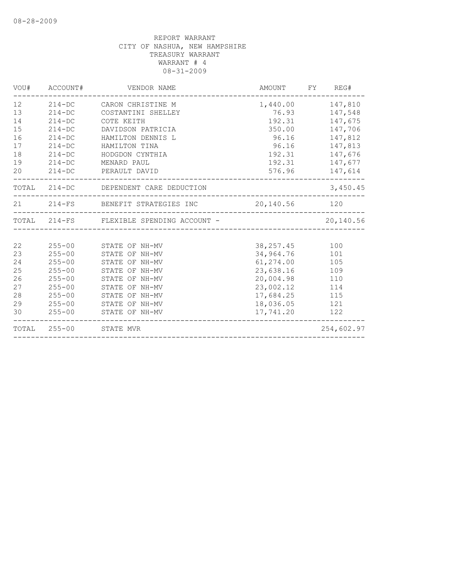| VOU#                                               | ACCOUNT#                                                                                                                   | VENDOR NAME                                                                                                                                                    | AMOUNT                                                                                                              | FY REG#                                                                                                    |
|----------------------------------------------------|----------------------------------------------------------------------------------------------------------------------------|----------------------------------------------------------------------------------------------------------------------------------------------------------------|---------------------------------------------------------------------------------------------------------------------|------------------------------------------------------------------------------------------------------------|
| 12<br>13<br>14<br>15<br>16<br>17<br>18<br>19       | $214 - DC$<br>$214-DC$<br>$214 - DC$<br>$214 - DC$<br>$214-DC$<br>$214 - DC$<br>$214-DC$                                   | 214-DC CARON CHRISTINE M<br>COSTANTINI SHELLEY<br>COTE KEITH<br>DAVIDSON PATRICIA<br>HAMILTON DENNIS L<br>HAMILTON TINA<br>HODGDON CYNTHIA<br>MENARD PAUL      | 192.31<br>350.00<br>96.16<br>96.16<br>192.31                                                                        | 1,440.00 147,810<br>76.93 147,548<br>147,675<br>147,706<br>147,812<br>147,813<br>192.31 147,676<br>147,677 |
| 20                                                 | $214-DC$                                                                                                                   | PERAULT DAVID                                                                                                                                                  |                                                                                                                     | 576.96 147,614                                                                                             |
|                                                    |                                                                                                                            | TOTAL 214-DC DEPENDENT CARE DEDUCTION                                                                                                                          |                                                                                                                     | 3,450.45                                                                                                   |
|                                                    |                                                                                                                            | 21 214-FS BENEFIT STRATEGIES INC 20,140.56 120                                                                                                                 |                                                                                                                     |                                                                                                            |
|                                                    |                                                                                                                            | TOTAL 214-FS FLEXIBLE SPENDING ACCOUNT -                                                                                                                       |                                                                                                                     | 20,140.56                                                                                                  |
|                                                    |                                                                                                                            |                                                                                                                                                                |                                                                                                                     |                                                                                                            |
| 22<br>23<br>24<br>25<br>26<br>27<br>28<br>29<br>30 | $255 - 00$<br>$255 - 00$<br>$255 - 00$<br>$255 - 00$<br>$255 - 00$<br>$255 - 00$<br>$255 - 00$<br>$255 - 00$<br>$255 - 00$ | STATE OF NH-MV<br>STATE OF NH-MV<br>STATE OF NH-MV<br>STATE OF NH-MV<br>STATE OF NH-MV<br>STATE OF NH-MV<br>STATE OF NH-MV<br>STATE OF NH-MV<br>STATE OF NH-MV | 38, 257.45<br>34,964.76<br>61, 274.00<br>23,638.16<br>20,004.98<br>23,002.12<br>17,684.25<br>18,036.05<br>17,741.20 | 100<br>101<br>105<br>109<br>110<br>114<br>115<br>121<br>122                                                |
|                                                    |                                                                                                                            | TOTAL 255-00 STATE MVR                                                                                                                                         |                                                                                                                     | 254,602.97                                                                                                 |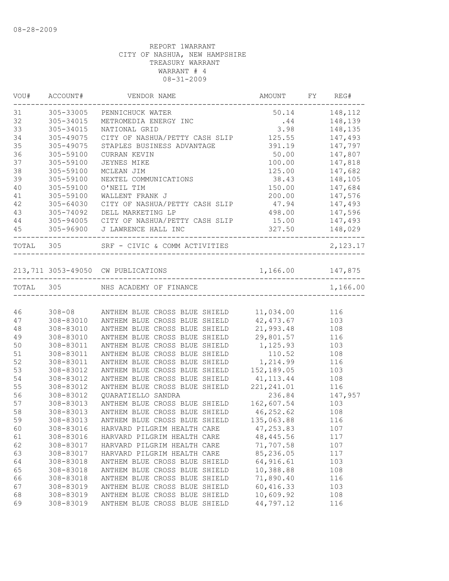| VOU#      | ACCOUNT#  | VENDOR NAME                                                                                                 | AMOUNT FY REG#   |                    |
|-----------|-----------|-------------------------------------------------------------------------------------------------------------|------------------|--------------------|
| 31        | 305-33005 | PENNICHUCK WATER                                                                                            | 50.14 148,112    |                    |
| 32        | 305-34015 | METROMEDIA ENERGY INC                                                                                       |                  | $.44$ $148,139$    |
| 33        | 305-34015 | NATIONAL GRID                                                                                               |                  | 3.98 148,135       |
| 34        | 305-49075 | CITY OF NASHUA/PETTY CASH SLIP 125.55 147,493                                                               |                  |                    |
| 35        | 305-49075 | STAPLES BUSINESS ADVANTAGE                                                                                  |                  | 391.19 147,797     |
| 36        | 305-59100 | CURRAN KEVIN                                                                                                | 50.00            | 147,807<br>147,818 |
| 37        | 305-59100 | JEYNES MIKE                                                                                                 | 100.00           |                    |
| 38        | 305-59100 | MCLEAN JIM                                                                                                  | 125.00           | 147,682            |
| 39        | 305-59100 | NEXTEL COMMUNICATIONS                                                                                       |                  | 38.43 148,105      |
| 40        | 305-59100 | O'NEIL TIM                                                                                                  |                  | 150.00 147,684     |
| 41        | 305-59100 | WALLENT FRANK J                                                                                             | 200.00 147,576   |                    |
| 42        | 305-64030 | CITY OF NASHUA/PETTY CASH SLIP 47.94 147,493                                                                |                  |                    |
| 43        |           | 305-74092 DELL MARKETING LP                                                                                 | 498.00 147,596   |                    |
| 44        |           | 305-94005 CITY OF NASHUA/PETTY CASH SLIP                                                                    | 15.00 147,493    |                    |
| 45        |           |                                                                                                             | $327.50$         |                    |
| TOTAL 305 |           | ___________________________________<br>SRF - CIVIC & COMM ACTIVITIES                                        |                  | 2, 123.17          |
|           |           |                                                                                                             |                  |                    |
|           |           | 213,711 3053-49050 CW PUBLICATIONS                                                                          | 1,166.00 147,875 |                    |
| TOTAL 305 |           | NHS ACADEMY OF FINANCE                                                                                      |                  | 1,166.00           |
|           |           |                                                                                                             |                  |                    |
| 46        |           | 308-08 ANTHEM BLUE CROSS BLUE SHIELD 11,034.00 116<br>308-83010 ANTHEM BLUE CROSS BLUE SHIELD 42,473.67 103 |                  |                    |
| 47        |           |                                                                                                             |                  |                    |
| 48        |           | 308-83010 ANTHEM BLUE CROSS BLUE SHIELD                                                                     | 21,993.48 108    |                    |
| 49        | 308-83010 | ANTHEM BLUE CROSS BLUE SHIELD 29,801.57 116                                                                 |                  |                    |
| 50        | 308-83011 | ANTHEM BLUE CROSS BLUE SHIELD                                                                               | 1,125.93         | 103                |
| 51        | 308-83011 | ANTHEM BLUE CROSS BLUE SHIELD                                                                               | 110.52 108       |                    |
| 52        | 308-83011 | ANTHEM BLUE CROSS BLUE SHIELD                                                                               | 1, 214.99 116    |                    |
| 53        | 308-83012 | ANTHEM BLUE CROSS BLUE SHIELD                                                                               | 152,189.05       | 103                |
| 54        | 308-83012 | ANTHEM BLUE CROSS BLUE SHIELD                                                                               | 41, 113. 44      | 108                |
| 55        | 308-83012 | ANTHEM BLUE CROSS BLUE SHIELD                                                                               | 221, 241.01      | 116                |
| 56        | 308-83012 | QUARATIELLO SANDRA                                                                                          | 236.84           | 147,957            |
| 57        | 308-83013 | ANTHEM BLUE CROSS BLUE SHIELD                                                                               | 162,607.54 103   |                    |
| 58        | 308-83013 | ANTHEM BLUE CROSS BLUE SHIELD 46, 252.62 108                                                                |                  |                    |
| 59        | 308-83013 | ANTHEM BLUE CROSS BLUE SHIELD                                                                               | 135,063.88       | 116                |
| 60        | 308-83016 | HARVARD PILGRIM HEALTH CARE                                                                                 | 47, 253.83       | 107                |
| 61        | 308-83016 | HARVARD PILGRIM HEALTH CARE                                                                                 | 48, 445.56       | 117                |
| 62        | 308-83017 | HARVARD PILGRIM HEALTH CARE                                                                                 | 71,707.58        | 107                |
| 63        | 308-83017 | HARVARD PILGRIM HEALTH CARE                                                                                 | 85,236.05        | 117                |
| 64        | 308-83018 | ANTHEM BLUE CROSS BLUE SHIELD                                                                               | 64,916.61        | 103                |
| 65        | 308-83018 | ANTHEM BLUE CROSS BLUE SHIELD                                                                               | 10,388.88        | 108                |
| 66        | 308-83018 | ANTHEM BLUE CROSS BLUE SHIELD                                                                               | 71,890.40        | 116                |
| 67        | 308-83019 | ANTHEM BLUE CROSS BLUE SHIELD                                                                               | 60,416.33        | 103                |
| 68        | 308-83019 | ANTHEM BLUE CROSS BLUE SHIELD                                                                               | 10,609.92        | 108                |
| 69        | 308-83019 | ANTHEM BLUE CROSS BLUE SHIELD                                                                               | 44,797.12        | 116                |
|           |           |                                                                                                             |                  |                    |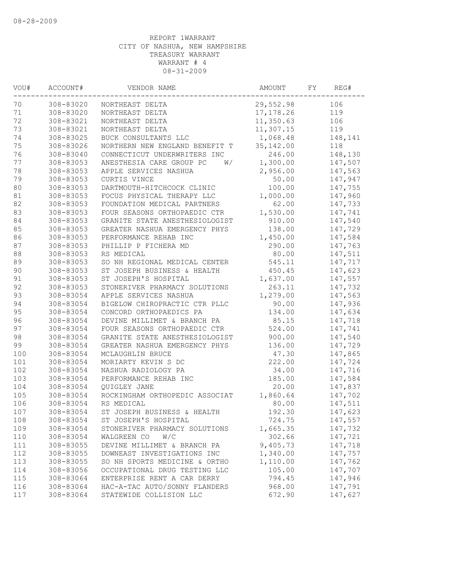| 70<br>106<br>308-83020<br>29,552.98<br>NORTHEAST DELTA<br>71<br>308-83020<br>119<br>NORTHEAST DELTA<br>17, 178.26<br>72<br>308-83021<br>11,350.63<br>106<br>NORTHEAST DELTA<br>73<br>308-83021<br>NORTHEAST DELTA<br>11,307.15<br>119<br>74<br>308-83025<br>1,068.48<br>BUCK CONSULTANTS LLC<br>75<br>308-83026<br>35, 142.00<br>NORTHERN NEW ENGLAND BENEFIT T<br>118<br>76<br>246.00<br>308-83040<br>CONNECTICUT UNDERWRITERS INC<br>77<br>1,300.00<br>308-83053<br>ANESTHESIA CARE GROUP PC<br>W/<br>78<br>308-83053<br>2,956.00<br>APPLE SERVICES NASHUA<br>79<br>308-83053<br>50.00<br>CURTIS VINCE<br>80<br>308-83053<br>100.00<br>DARTMOUTH-HITCHCOCK CLINIC<br>81<br>308-83053<br>1,000.00<br>FOCUS PHYSICAL THERAPY LLC<br>82<br>308-83053<br>62.00<br>FOUNDATION MEDICAL PARTNERS<br>83<br>308-83053<br>1,530.00<br>FOUR SEASONS ORTHOPAEDIC CTR<br>84<br>308-83053<br>910.00<br>GRANITE STATE ANESTHESIOLOGIST<br>138.00<br>85<br>308-83053<br>GREATER NASHUA EMERGENCY PHYS<br>86<br>308-83053<br>PERFORMANCE REHAB INC<br>1,450.00<br>290.00<br>87<br>308-83053<br>PHILLIP P FICHERA MD<br>88<br>308-83053<br>RS MEDICAL<br>80.00<br>89<br>308-83053<br>SO NH REGIONAL MEDICAL CENTER<br>545.11<br>90<br>308-83053<br>ST JOSEPH BUSINESS & HEALTH<br>450.45<br>91<br>308-83053<br>1,637.00<br>ST JOSEPH'S HOSPITAL<br>92<br>308-83053<br>263.11<br>STONERIVER PHARMACY SOLUTIONS<br>93<br>1,279.00<br>308-83054<br>APPLE SERVICES NASHUA<br>94<br>308-83054<br>BIGELOW CHIROPRACTIC CTR PLLC<br>90.00<br>95<br>308-83054<br>134.00<br>CONCORD ORTHOPAEDICS PA<br>96<br>308-83054<br>85.15<br>DEVINE MILLIMET & BRANCH PA<br>97<br>308-83054<br>FOUR SEASONS ORTHOPAEDIC CTR<br>524.00<br>98<br>308-83054<br>GRANITE STATE ANESTHESIOLOGIST<br>900.00<br>99<br>308-83054<br>136.00<br>GREATER NASHUA EMERGENCY PHYS<br>100<br>308-83054<br>47.30<br>MCLAUGHLIN BRUCE<br>101<br>308-83054<br>MORIARTY KEVIN S DC<br>222.00<br>102<br>308-83054<br>34.00<br>NASHUA RADIOLOGY PA<br>103<br>308-83054<br>PERFORMANCE REHAB INC<br>185.00<br>104<br>308-83054<br>20.00<br>QUIGLEY JANE<br>105<br>308-83054<br>1,860.64<br>ROCKINGHAM ORTHOPEDIC ASSOCIAT<br>106<br>308-83054<br>RS MEDICAL<br>80.00<br>107<br>308-83054<br>ST JOSEPH BUSINESS & HEALTH<br>192.30<br>308-83054<br>108<br>ST JOSEPH'S HOSPITAL<br>724.75<br>109<br>308-83054<br>1,665.35<br>STONERIVER PHARMACY SOLUTIONS<br>110<br>308-83054<br>WALGREEN CO<br>W/C<br>302.66<br>9,405.73<br>111<br>308-83055<br>DEVINE MILLIMET & BRANCH PA<br>112<br>308-83055<br>1,340.00<br>DOWNEAST INVESTIGATIONS INC<br>1,110.00<br>113<br>308-83055<br>SO NH SPORTS MEDICINE & ORTHO | VOU# | ACCOUNT# | VENDOR NAME | AMOUNT | FY | REG#    |
|---------------------------------------------------------------------------------------------------------------------------------------------------------------------------------------------------------------------------------------------------------------------------------------------------------------------------------------------------------------------------------------------------------------------------------------------------------------------------------------------------------------------------------------------------------------------------------------------------------------------------------------------------------------------------------------------------------------------------------------------------------------------------------------------------------------------------------------------------------------------------------------------------------------------------------------------------------------------------------------------------------------------------------------------------------------------------------------------------------------------------------------------------------------------------------------------------------------------------------------------------------------------------------------------------------------------------------------------------------------------------------------------------------------------------------------------------------------------------------------------------------------------------------------------------------------------------------------------------------------------------------------------------------------------------------------------------------------------------------------------------------------------------------------------------------------------------------------------------------------------------------------------------------------------------------------------------------------------------------------------------------------------------------------------------------------------------------------------------------------------------------------------------------------------------------------------------------------------------------------------------------------------------------------------------------------------------------------------------------------------------------------------------------------------------------------------------------------------------------------------------------------------------------------------------------------------------------------------------------------------------------------------------|------|----------|-------------|--------|----|---------|
|                                                                                                                                                                                                                                                                                                                                                                                                                                                                                                                                                                                                                                                                                                                                                                                                                                                                                                                                                                                                                                                                                                                                                                                                                                                                                                                                                                                                                                                                                                                                                                                                                                                                                                                                                                                                                                                                                                                                                                                                                                                                                                                                                                                                                                                                                                                                                                                                                                                                                                                                                                                                                                                   |      |          |             |        |    |         |
|                                                                                                                                                                                                                                                                                                                                                                                                                                                                                                                                                                                                                                                                                                                                                                                                                                                                                                                                                                                                                                                                                                                                                                                                                                                                                                                                                                                                                                                                                                                                                                                                                                                                                                                                                                                                                                                                                                                                                                                                                                                                                                                                                                                                                                                                                                                                                                                                                                                                                                                                                                                                                                                   |      |          |             |        |    |         |
|                                                                                                                                                                                                                                                                                                                                                                                                                                                                                                                                                                                                                                                                                                                                                                                                                                                                                                                                                                                                                                                                                                                                                                                                                                                                                                                                                                                                                                                                                                                                                                                                                                                                                                                                                                                                                                                                                                                                                                                                                                                                                                                                                                                                                                                                                                                                                                                                                                                                                                                                                                                                                                                   |      |          |             |        |    |         |
|                                                                                                                                                                                                                                                                                                                                                                                                                                                                                                                                                                                                                                                                                                                                                                                                                                                                                                                                                                                                                                                                                                                                                                                                                                                                                                                                                                                                                                                                                                                                                                                                                                                                                                                                                                                                                                                                                                                                                                                                                                                                                                                                                                                                                                                                                                                                                                                                                                                                                                                                                                                                                                                   |      |          |             |        |    |         |
|                                                                                                                                                                                                                                                                                                                                                                                                                                                                                                                                                                                                                                                                                                                                                                                                                                                                                                                                                                                                                                                                                                                                                                                                                                                                                                                                                                                                                                                                                                                                                                                                                                                                                                                                                                                                                                                                                                                                                                                                                                                                                                                                                                                                                                                                                                                                                                                                                                                                                                                                                                                                                                                   |      |          |             |        |    | 148,141 |
|                                                                                                                                                                                                                                                                                                                                                                                                                                                                                                                                                                                                                                                                                                                                                                                                                                                                                                                                                                                                                                                                                                                                                                                                                                                                                                                                                                                                                                                                                                                                                                                                                                                                                                                                                                                                                                                                                                                                                                                                                                                                                                                                                                                                                                                                                                                                                                                                                                                                                                                                                                                                                                                   |      |          |             |        |    |         |
|                                                                                                                                                                                                                                                                                                                                                                                                                                                                                                                                                                                                                                                                                                                                                                                                                                                                                                                                                                                                                                                                                                                                                                                                                                                                                                                                                                                                                                                                                                                                                                                                                                                                                                                                                                                                                                                                                                                                                                                                                                                                                                                                                                                                                                                                                                                                                                                                                                                                                                                                                                                                                                                   |      |          |             |        |    | 148,130 |
|                                                                                                                                                                                                                                                                                                                                                                                                                                                                                                                                                                                                                                                                                                                                                                                                                                                                                                                                                                                                                                                                                                                                                                                                                                                                                                                                                                                                                                                                                                                                                                                                                                                                                                                                                                                                                                                                                                                                                                                                                                                                                                                                                                                                                                                                                                                                                                                                                                                                                                                                                                                                                                                   |      |          |             |        |    | 147,507 |
|                                                                                                                                                                                                                                                                                                                                                                                                                                                                                                                                                                                                                                                                                                                                                                                                                                                                                                                                                                                                                                                                                                                                                                                                                                                                                                                                                                                                                                                                                                                                                                                                                                                                                                                                                                                                                                                                                                                                                                                                                                                                                                                                                                                                                                                                                                                                                                                                                                                                                                                                                                                                                                                   |      |          |             |        |    | 147,563 |
|                                                                                                                                                                                                                                                                                                                                                                                                                                                                                                                                                                                                                                                                                                                                                                                                                                                                                                                                                                                                                                                                                                                                                                                                                                                                                                                                                                                                                                                                                                                                                                                                                                                                                                                                                                                                                                                                                                                                                                                                                                                                                                                                                                                                                                                                                                                                                                                                                                                                                                                                                                                                                                                   |      |          |             |        |    | 147,947 |
|                                                                                                                                                                                                                                                                                                                                                                                                                                                                                                                                                                                                                                                                                                                                                                                                                                                                                                                                                                                                                                                                                                                                                                                                                                                                                                                                                                                                                                                                                                                                                                                                                                                                                                                                                                                                                                                                                                                                                                                                                                                                                                                                                                                                                                                                                                                                                                                                                                                                                                                                                                                                                                                   |      |          |             |        |    | 147,755 |
|                                                                                                                                                                                                                                                                                                                                                                                                                                                                                                                                                                                                                                                                                                                                                                                                                                                                                                                                                                                                                                                                                                                                                                                                                                                                                                                                                                                                                                                                                                                                                                                                                                                                                                                                                                                                                                                                                                                                                                                                                                                                                                                                                                                                                                                                                                                                                                                                                                                                                                                                                                                                                                                   |      |          |             |        |    | 147,960 |
|                                                                                                                                                                                                                                                                                                                                                                                                                                                                                                                                                                                                                                                                                                                                                                                                                                                                                                                                                                                                                                                                                                                                                                                                                                                                                                                                                                                                                                                                                                                                                                                                                                                                                                                                                                                                                                                                                                                                                                                                                                                                                                                                                                                                                                                                                                                                                                                                                                                                                                                                                                                                                                                   |      |          |             |        |    | 147,733 |
|                                                                                                                                                                                                                                                                                                                                                                                                                                                                                                                                                                                                                                                                                                                                                                                                                                                                                                                                                                                                                                                                                                                                                                                                                                                                                                                                                                                                                                                                                                                                                                                                                                                                                                                                                                                                                                                                                                                                                                                                                                                                                                                                                                                                                                                                                                                                                                                                                                                                                                                                                                                                                                                   |      |          |             |        |    | 147,741 |
|                                                                                                                                                                                                                                                                                                                                                                                                                                                                                                                                                                                                                                                                                                                                                                                                                                                                                                                                                                                                                                                                                                                                                                                                                                                                                                                                                                                                                                                                                                                                                                                                                                                                                                                                                                                                                                                                                                                                                                                                                                                                                                                                                                                                                                                                                                                                                                                                                                                                                                                                                                                                                                                   |      |          |             |        |    | 147,540 |
|                                                                                                                                                                                                                                                                                                                                                                                                                                                                                                                                                                                                                                                                                                                                                                                                                                                                                                                                                                                                                                                                                                                                                                                                                                                                                                                                                                                                                                                                                                                                                                                                                                                                                                                                                                                                                                                                                                                                                                                                                                                                                                                                                                                                                                                                                                                                                                                                                                                                                                                                                                                                                                                   |      |          |             |        |    | 147,729 |
|                                                                                                                                                                                                                                                                                                                                                                                                                                                                                                                                                                                                                                                                                                                                                                                                                                                                                                                                                                                                                                                                                                                                                                                                                                                                                                                                                                                                                                                                                                                                                                                                                                                                                                                                                                                                                                                                                                                                                                                                                                                                                                                                                                                                                                                                                                                                                                                                                                                                                                                                                                                                                                                   |      |          |             |        |    | 147,584 |
|                                                                                                                                                                                                                                                                                                                                                                                                                                                                                                                                                                                                                                                                                                                                                                                                                                                                                                                                                                                                                                                                                                                                                                                                                                                                                                                                                                                                                                                                                                                                                                                                                                                                                                                                                                                                                                                                                                                                                                                                                                                                                                                                                                                                                                                                                                                                                                                                                                                                                                                                                                                                                                                   |      |          |             |        |    | 147,763 |
|                                                                                                                                                                                                                                                                                                                                                                                                                                                                                                                                                                                                                                                                                                                                                                                                                                                                                                                                                                                                                                                                                                                                                                                                                                                                                                                                                                                                                                                                                                                                                                                                                                                                                                                                                                                                                                                                                                                                                                                                                                                                                                                                                                                                                                                                                                                                                                                                                                                                                                                                                                                                                                                   |      |          |             |        |    | 147,511 |
|                                                                                                                                                                                                                                                                                                                                                                                                                                                                                                                                                                                                                                                                                                                                                                                                                                                                                                                                                                                                                                                                                                                                                                                                                                                                                                                                                                                                                                                                                                                                                                                                                                                                                                                                                                                                                                                                                                                                                                                                                                                                                                                                                                                                                                                                                                                                                                                                                                                                                                                                                                                                                                                   |      |          |             |        |    | 147,717 |
|                                                                                                                                                                                                                                                                                                                                                                                                                                                                                                                                                                                                                                                                                                                                                                                                                                                                                                                                                                                                                                                                                                                                                                                                                                                                                                                                                                                                                                                                                                                                                                                                                                                                                                                                                                                                                                                                                                                                                                                                                                                                                                                                                                                                                                                                                                                                                                                                                                                                                                                                                                                                                                                   |      |          |             |        |    | 147,623 |
|                                                                                                                                                                                                                                                                                                                                                                                                                                                                                                                                                                                                                                                                                                                                                                                                                                                                                                                                                                                                                                                                                                                                                                                                                                                                                                                                                                                                                                                                                                                                                                                                                                                                                                                                                                                                                                                                                                                                                                                                                                                                                                                                                                                                                                                                                                                                                                                                                                                                                                                                                                                                                                                   |      |          |             |        |    | 147,557 |
|                                                                                                                                                                                                                                                                                                                                                                                                                                                                                                                                                                                                                                                                                                                                                                                                                                                                                                                                                                                                                                                                                                                                                                                                                                                                                                                                                                                                                                                                                                                                                                                                                                                                                                                                                                                                                                                                                                                                                                                                                                                                                                                                                                                                                                                                                                                                                                                                                                                                                                                                                                                                                                                   |      |          |             |        |    | 147,732 |
|                                                                                                                                                                                                                                                                                                                                                                                                                                                                                                                                                                                                                                                                                                                                                                                                                                                                                                                                                                                                                                                                                                                                                                                                                                                                                                                                                                                                                                                                                                                                                                                                                                                                                                                                                                                                                                                                                                                                                                                                                                                                                                                                                                                                                                                                                                                                                                                                                                                                                                                                                                                                                                                   |      |          |             |        |    | 147,563 |
|                                                                                                                                                                                                                                                                                                                                                                                                                                                                                                                                                                                                                                                                                                                                                                                                                                                                                                                                                                                                                                                                                                                                                                                                                                                                                                                                                                                                                                                                                                                                                                                                                                                                                                                                                                                                                                                                                                                                                                                                                                                                                                                                                                                                                                                                                                                                                                                                                                                                                                                                                                                                                                                   |      |          |             |        |    | 147,936 |
|                                                                                                                                                                                                                                                                                                                                                                                                                                                                                                                                                                                                                                                                                                                                                                                                                                                                                                                                                                                                                                                                                                                                                                                                                                                                                                                                                                                                                                                                                                                                                                                                                                                                                                                                                                                                                                                                                                                                                                                                                                                                                                                                                                                                                                                                                                                                                                                                                                                                                                                                                                                                                                                   |      |          |             |        |    | 147,634 |
|                                                                                                                                                                                                                                                                                                                                                                                                                                                                                                                                                                                                                                                                                                                                                                                                                                                                                                                                                                                                                                                                                                                                                                                                                                                                                                                                                                                                                                                                                                                                                                                                                                                                                                                                                                                                                                                                                                                                                                                                                                                                                                                                                                                                                                                                                                                                                                                                                                                                                                                                                                                                                                                   |      |          |             |        |    | 147,718 |
|                                                                                                                                                                                                                                                                                                                                                                                                                                                                                                                                                                                                                                                                                                                                                                                                                                                                                                                                                                                                                                                                                                                                                                                                                                                                                                                                                                                                                                                                                                                                                                                                                                                                                                                                                                                                                                                                                                                                                                                                                                                                                                                                                                                                                                                                                                                                                                                                                                                                                                                                                                                                                                                   |      |          |             |        |    | 147,741 |
|                                                                                                                                                                                                                                                                                                                                                                                                                                                                                                                                                                                                                                                                                                                                                                                                                                                                                                                                                                                                                                                                                                                                                                                                                                                                                                                                                                                                                                                                                                                                                                                                                                                                                                                                                                                                                                                                                                                                                                                                                                                                                                                                                                                                                                                                                                                                                                                                                                                                                                                                                                                                                                                   |      |          |             |        |    | 147,540 |
|                                                                                                                                                                                                                                                                                                                                                                                                                                                                                                                                                                                                                                                                                                                                                                                                                                                                                                                                                                                                                                                                                                                                                                                                                                                                                                                                                                                                                                                                                                                                                                                                                                                                                                                                                                                                                                                                                                                                                                                                                                                                                                                                                                                                                                                                                                                                                                                                                                                                                                                                                                                                                                                   |      |          |             |        |    | 147,729 |
|                                                                                                                                                                                                                                                                                                                                                                                                                                                                                                                                                                                                                                                                                                                                                                                                                                                                                                                                                                                                                                                                                                                                                                                                                                                                                                                                                                                                                                                                                                                                                                                                                                                                                                                                                                                                                                                                                                                                                                                                                                                                                                                                                                                                                                                                                                                                                                                                                                                                                                                                                                                                                                                   |      |          |             |        |    | 147,865 |
|                                                                                                                                                                                                                                                                                                                                                                                                                                                                                                                                                                                                                                                                                                                                                                                                                                                                                                                                                                                                                                                                                                                                                                                                                                                                                                                                                                                                                                                                                                                                                                                                                                                                                                                                                                                                                                                                                                                                                                                                                                                                                                                                                                                                                                                                                                                                                                                                                                                                                                                                                                                                                                                   |      |          |             |        |    | 147,724 |
|                                                                                                                                                                                                                                                                                                                                                                                                                                                                                                                                                                                                                                                                                                                                                                                                                                                                                                                                                                                                                                                                                                                                                                                                                                                                                                                                                                                                                                                                                                                                                                                                                                                                                                                                                                                                                                                                                                                                                                                                                                                                                                                                                                                                                                                                                                                                                                                                                                                                                                                                                                                                                                                   |      |          |             |        |    | 147,716 |
|                                                                                                                                                                                                                                                                                                                                                                                                                                                                                                                                                                                                                                                                                                                                                                                                                                                                                                                                                                                                                                                                                                                                                                                                                                                                                                                                                                                                                                                                                                                                                                                                                                                                                                                                                                                                                                                                                                                                                                                                                                                                                                                                                                                                                                                                                                                                                                                                                                                                                                                                                                                                                                                   |      |          |             |        |    | 147,584 |
|                                                                                                                                                                                                                                                                                                                                                                                                                                                                                                                                                                                                                                                                                                                                                                                                                                                                                                                                                                                                                                                                                                                                                                                                                                                                                                                                                                                                                                                                                                                                                                                                                                                                                                                                                                                                                                                                                                                                                                                                                                                                                                                                                                                                                                                                                                                                                                                                                                                                                                                                                                                                                                                   |      |          |             |        |    | 147,837 |
|                                                                                                                                                                                                                                                                                                                                                                                                                                                                                                                                                                                                                                                                                                                                                                                                                                                                                                                                                                                                                                                                                                                                                                                                                                                                                                                                                                                                                                                                                                                                                                                                                                                                                                                                                                                                                                                                                                                                                                                                                                                                                                                                                                                                                                                                                                                                                                                                                                                                                                                                                                                                                                                   |      |          |             |        |    | 147,702 |
|                                                                                                                                                                                                                                                                                                                                                                                                                                                                                                                                                                                                                                                                                                                                                                                                                                                                                                                                                                                                                                                                                                                                                                                                                                                                                                                                                                                                                                                                                                                                                                                                                                                                                                                                                                                                                                                                                                                                                                                                                                                                                                                                                                                                                                                                                                                                                                                                                                                                                                                                                                                                                                                   |      |          |             |        |    | 147,511 |
|                                                                                                                                                                                                                                                                                                                                                                                                                                                                                                                                                                                                                                                                                                                                                                                                                                                                                                                                                                                                                                                                                                                                                                                                                                                                                                                                                                                                                                                                                                                                                                                                                                                                                                                                                                                                                                                                                                                                                                                                                                                                                                                                                                                                                                                                                                                                                                                                                                                                                                                                                                                                                                                   |      |          |             |        |    | 147,623 |
|                                                                                                                                                                                                                                                                                                                                                                                                                                                                                                                                                                                                                                                                                                                                                                                                                                                                                                                                                                                                                                                                                                                                                                                                                                                                                                                                                                                                                                                                                                                                                                                                                                                                                                                                                                                                                                                                                                                                                                                                                                                                                                                                                                                                                                                                                                                                                                                                                                                                                                                                                                                                                                                   |      |          |             |        |    | 147,557 |
|                                                                                                                                                                                                                                                                                                                                                                                                                                                                                                                                                                                                                                                                                                                                                                                                                                                                                                                                                                                                                                                                                                                                                                                                                                                                                                                                                                                                                                                                                                                                                                                                                                                                                                                                                                                                                                                                                                                                                                                                                                                                                                                                                                                                                                                                                                                                                                                                                                                                                                                                                                                                                                                   |      |          |             |        |    | 147,732 |
|                                                                                                                                                                                                                                                                                                                                                                                                                                                                                                                                                                                                                                                                                                                                                                                                                                                                                                                                                                                                                                                                                                                                                                                                                                                                                                                                                                                                                                                                                                                                                                                                                                                                                                                                                                                                                                                                                                                                                                                                                                                                                                                                                                                                                                                                                                                                                                                                                                                                                                                                                                                                                                                   |      |          |             |        |    | 147,721 |
|                                                                                                                                                                                                                                                                                                                                                                                                                                                                                                                                                                                                                                                                                                                                                                                                                                                                                                                                                                                                                                                                                                                                                                                                                                                                                                                                                                                                                                                                                                                                                                                                                                                                                                                                                                                                                                                                                                                                                                                                                                                                                                                                                                                                                                                                                                                                                                                                                                                                                                                                                                                                                                                   |      |          |             |        |    | 147,718 |
|                                                                                                                                                                                                                                                                                                                                                                                                                                                                                                                                                                                                                                                                                                                                                                                                                                                                                                                                                                                                                                                                                                                                                                                                                                                                                                                                                                                                                                                                                                                                                                                                                                                                                                                                                                                                                                                                                                                                                                                                                                                                                                                                                                                                                                                                                                                                                                                                                                                                                                                                                                                                                                                   |      |          |             |        |    | 147,757 |
|                                                                                                                                                                                                                                                                                                                                                                                                                                                                                                                                                                                                                                                                                                                                                                                                                                                                                                                                                                                                                                                                                                                                                                                                                                                                                                                                                                                                                                                                                                                                                                                                                                                                                                                                                                                                                                                                                                                                                                                                                                                                                                                                                                                                                                                                                                                                                                                                                                                                                                                                                                                                                                                   |      |          |             |        |    | 147,762 |
| 114<br>308-83056<br>OCCUPATIONAL DRUG TESTING LLC<br>105.00                                                                                                                                                                                                                                                                                                                                                                                                                                                                                                                                                                                                                                                                                                                                                                                                                                                                                                                                                                                                                                                                                                                                                                                                                                                                                                                                                                                                                                                                                                                                                                                                                                                                                                                                                                                                                                                                                                                                                                                                                                                                                                                                                                                                                                                                                                                                                                                                                                                                                                                                                                                       |      |          |             |        |    | 147,707 |
| 115<br>308-83064<br>ENTERPRISE RENT A CAR DERRY<br>794.45                                                                                                                                                                                                                                                                                                                                                                                                                                                                                                                                                                                                                                                                                                                                                                                                                                                                                                                                                                                                                                                                                                                                                                                                                                                                                                                                                                                                                                                                                                                                                                                                                                                                                                                                                                                                                                                                                                                                                                                                                                                                                                                                                                                                                                                                                                                                                                                                                                                                                                                                                                                         |      |          |             |        |    | 147,946 |
| HAC-A-TAC AUTO/SONNY FLANDERS<br>116<br>308-83064<br>968.00                                                                                                                                                                                                                                                                                                                                                                                                                                                                                                                                                                                                                                                                                                                                                                                                                                                                                                                                                                                                                                                                                                                                                                                                                                                                                                                                                                                                                                                                                                                                                                                                                                                                                                                                                                                                                                                                                                                                                                                                                                                                                                                                                                                                                                                                                                                                                                                                                                                                                                                                                                                       |      |          |             |        |    | 147,791 |
| 117<br>308-83064<br>STATEWIDE COLLISION LLC<br>672.90                                                                                                                                                                                                                                                                                                                                                                                                                                                                                                                                                                                                                                                                                                                                                                                                                                                                                                                                                                                                                                                                                                                                                                                                                                                                                                                                                                                                                                                                                                                                                                                                                                                                                                                                                                                                                                                                                                                                                                                                                                                                                                                                                                                                                                                                                                                                                                                                                                                                                                                                                                                             |      |          |             |        |    | 147,627 |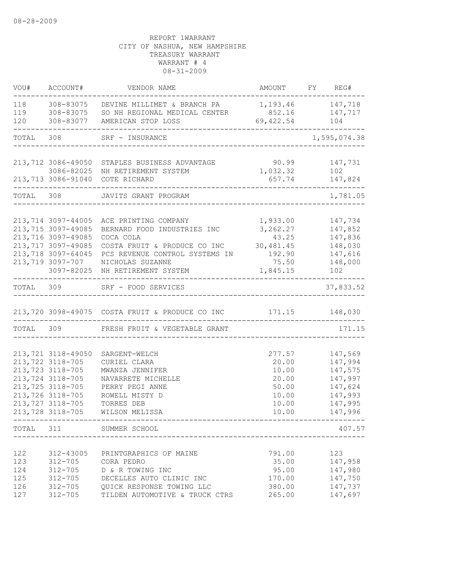| VOU#                                   | ACCOUNT#                                                                                                                                                           | VENDOR NAME                                                                                                                                                                                                                        | AMOUNT FY REG#                                                             |                                                                                      |
|----------------------------------------|--------------------------------------------------------------------------------------------------------------------------------------------------------------------|------------------------------------------------------------------------------------------------------------------------------------------------------------------------------------------------------------------------------------|----------------------------------------------------------------------------|--------------------------------------------------------------------------------------|
| 118<br>119                             |                                                                                                                                                                    | 308-83075 DEVINE MILLIMET & BRANCH PA<br>308-83075 SO NH REGIONAL MEDICAL CENTER                                                                                                                                                   | 1, 193.46 147, 718<br>852.16 147, 717                                      |                                                                                      |
| 120                                    |                                                                                                                                                                    |                                                                                                                                                                                                                                    | 69, 422.54                                                                 | 104                                                                                  |
| TOTAL 308                              |                                                                                                                                                                    | SRF - INSURANCE<br>______________________________________                                                                                                                                                                          |                                                                            | 1,595,074.38                                                                         |
|                                        |                                                                                                                                                                    | 213,712 3086-49050 STAPLES BUSINESS ADVANTAGE<br>3086-82025 NH RETIREMENT SYSTEM<br>213,713 3086-91040 COTE RICHARD                                                                                                                | 90.99<br>1,032.32<br>657.74                                                | 147,731<br>102<br>147,824                                                            |
|                                        |                                                                                                                                                                    | TOTAL 308 JAVITS GRANT PROGRAM                                                                                                                                                                                                     | <u> 22222222222222222</u>                                                  | 1,781.05                                                                             |
|                                        | 213,714 3097-44005<br>213,715 3097-49085<br>213,716 3097-49085<br>213,717 3097-49085<br>213,718 3097-64045<br>213,719 3097-707                                     | ACE PRINTING COMPANY<br>BERNARD FOOD INDUSTRIES INC<br>COCA COLA<br>COSTA FRUIT & PRODUCE CO INC<br>PCS REVENUE CONTROL SYSTEMS IN<br>NICHOLAS SUZANNE<br>3097-82025 NH RETIREMENT SYSTEM<br>------------------------------------- | 1,933.00<br>3, 262.27<br>43.25<br>30,481.45<br>192.90<br>75.50<br>1,845.15 | 147,734<br>147,852<br>147,836<br>148,030<br>147,616<br>148,000<br>102                |
|                                        |                                                                                                                                                                    | TOTAL 309 SRF - FOOD SERVICES                                                                                                                                                                                                      |                                                                            | 37,833.52                                                                            |
|                                        |                                                                                                                                                                    | 213,720 3098-49075 COSTA FRUIT & PRODUCE CO INC 171.15 148,030                                                                                                                                                                     |                                                                            |                                                                                      |
|                                        |                                                                                                                                                                    | TOTAL 309 FRESH FRUIT & VEGETABLE GRANT                                                                                                                                                                                            |                                                                            | 171.15                                                                               |
|                                        | 213,721 3118-49050<br>213, 722 3118-705<br>213, 723 3118-705<br>213,724 3118-705<br>213, 725 3118-705<br>213,726 3118-705<br>213, 727 3118-705<br>213,728 3118-705 | SARGENT-WELCH<br>CURIEL CLARA<br>MWANZA JENNIFER<br>NAVARRETE MICHELLE<br>PERRY PEGI ANNE<br>ROWELL MISTY D<br>TORRES DEB<br>WILSON MELISSA<br>----------------------------                                                        | 277.57<br>20.00<br>10.00<br>20.00<br>50.00<br>10.00<br>10.00<br>10.00      | 147,569<br>147,994<br>147,575<br>147,997<br>147,624<br>147,993<br>147,995<br>147,996 |
|                                        |                                                                                                                                                                    | TOTAL 311 SUMMER SCHOOL                                                                                                                                                                                                            |                                                                            | 407.57                                                                               |
| 122<br>123<br>124<br>125<br>126<br>127 | 312-43005<br>$312 - 705$<br>$312 - 705$<br>$312 - 705$<br>$312 - 705$<br>$312 - 705$                                                                               | PRINTGRAPHICS OF MAINE<br>CORA PEDRO<br>D & R TOWING INC<br>DECELLES AUTO CLINIC INC<br>OUICK RESPONSE TOWING LLC<br>TILDEN AUTOMOTIVE & TRUCK CTRS                                                                                | 791.00<br>35.00<br>95.00<br>170.00<br>380.00<br>265.00                     | 123<br>147,958<br>147,980<br>147,750<br>147,737<br>147,697                           |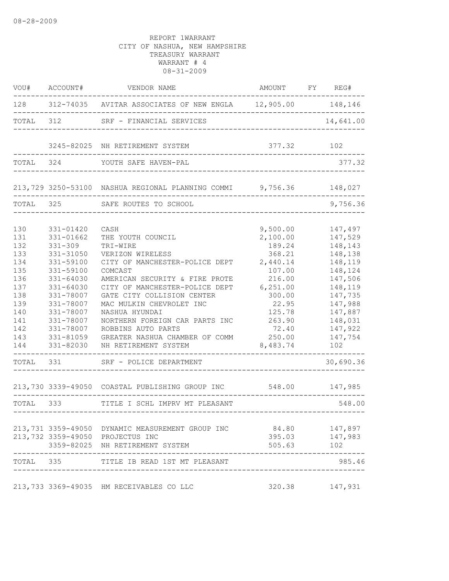| VOU#                                                                                                           | ACCOUNT#                                                                                                                                                                                                 | VENDOR NAME                                                                                                                                                                                                                                                                                                                                                                                         | AMOUNT FY REG#                                                                                                                                              |                                                                                                                                                                            |
|----------------------------------------------------------------------------------------------------------------|----------------------------------------------------------------------------------------------------------------------------------------------------------------------------------------------------------|-----------------------------------------------------------------------------------------------------------------------------------------------------------------------------------------------------------------------------------------------------------------------------------------------------------------------------------------------------------------------------------------------------|-------------------------------------------------------------------------------------------------------------------------------------------------------------|----------------------------------------------------------------------------------------------------------------------------------------------------------------------------|
|                                                                                                                |                                                                                                                                                                                                          | 128 312-74035 AVITAR ASSOCIATES OF NEW ENGLA 12,905.00 148,146                                                                                                                                                                                                                                                                                                                                      |                                                                                                                                                             |                                                                                                                                                                            |
| TOTAL                                                                                                          | 312                                                                                                                                                                                                      | SRF - FINANCIAL SERVICES                                                                                                                                                                                                                                                                                                                                                                            |                                                                                                                                                             | 14,641.00                                                                                                                                                                  |
|                                                                                                                |                                                                                                                                                                                                          | 3245-82025 NH RETIREMENT SYSTEM                                                                                                                                                                                                                                                                                                                                                                     | 377.32                                                                                                                                                      | 102                                                                                                                                                                        |
| TOTAL                                                                                                          | 324                                                                                                                                                                                                      | YOUTH SAFE HAVEN-PAL                                                                                                                                                                                                                                                                                                                                                                                |                                                                                                                                                             | 377.32                                                                                                                                                                     |
|                                                                                                                |                                                                                                                                                                                                          | 213,729 3250-53100 NASHUA REGIONAL PLANNING COMMI 9,756.36                                                                                                                                                                                                                                                                                                                                          |                                                                                                                                                             | 148,027                                                                                                                                                                    |
| TOTAL                                                                                                          | 325                                                                                                                                                                                                      | SAFE ROUTES TO SCHOOL                                                                                                                                                                                                                                                                                                                                                                               |                                                                                                                                                             | 9,756.36                                                                                                                                                                   |
| 130<br>131<br>132<br>133<br>134<br>135<br>136<br>137<br>138<br>139<br>140<br>141<br>142<br>143<br>144<br>TOTAL | 331-01420<br>331-01662<br>$331 - 309$<br>331-31050<br>331-59100<br>331-59100<br>331-64030<br>331-64030<br>331-78007<br>331-78007<br>331-78007<br>331-78007<br>331-78007<br>331-81059<br>331-82030<br>331 | CASH<br>THE YOUTH COUNCIL<br>TRI-WIRE<br>VERIZON WIRELESS<br>CITY OF MANCHESTER-POLICE DEPT<br>COMCAST<br>AMERICAN SECURITY & FIRE PROTE<br>CITY OF MANCHESTER-POLICE DEPT<br>GATE CITY COLLISION CENTER<br>MAC MULKIN CHEVROLET INC<br>NASHUA HYUNDAI<br>NORTHERN FOREIGN CAR PARTS INC<br>ROBBINS AUTO PARTS<br>GREATER NASHUA CHAMBER OF COMM<br>NH RETIREMENT SYSTEM<br>SRF - POLICE DEPARTMENT | 9,500.00<br>2,100.00<br>189.24<br>368.21<br>2,440.14<br>107.00<br>216.00<br>6, 251.00<br>300.00<br>22.95<br>125.78<br>263.90<br>72.40<br>250.00<br>8,483.74 | 147,497<br>147,529<br>148,143<br>148,138<br>148,119<br>148,124<br>147,506<br>148,119<br>147,735<br>147,988<br>147,887<br>148,031<br>147,922<br>147,754<br>102<br>30,690.36 |
|                                                                                                                |                                                                                                                                                                                                          | 213,730 3339-49050 COASTAL PUBLISHING GROUP INC                                                                                                                                                                                                                                                                                                                                                     | 548.00                                                                                                                                                      | 147,985                                                                                                                                                                    |
| TOTAL 333                                                                                                      | . - - - - - - - - -                                                                                                                                                                                      | TITLE I SCHL IMPRV MT PLEASANT                                                                                                                                                                                                                                                                                                                                                                      | ------------------------------                                                                                                                              | 548.00                                                                                                                                                                     |
|                                                                                                                |                                                                                                                                                                                                          | 213,731 3359-49050 DYNAMIC MEASUREMENT GROUP INC<br>213,732 3359-49050 PROJECTUS INC<br>3359-82025 NH RETIREMENT SYSTEM                                                                                                                                                                                                                                                                             | 84.80 147,897<br>505.63                                                                                                                                     | 395.03 147,983<br>102                                                                                                                                                      |
| TOTAL 335                                                                                                      |                                                                                                                                                                                                          | TITLE IB READ 1ST MT PLEASANT                                                                                                                                                                                                                                                                                                                                                                       |                                                                                                                                                             | 985.46                                                                                                                                                                     |
|                                                                                                                |                                                                                                                                                                                                          | 213,733 3369-49035 HM RECEIVABLES CO LLC                                                                                                                                                                                                                                                                                                                                                            | 320.38                                                                                                                                                      | 147,931                                                                                                                                                                    |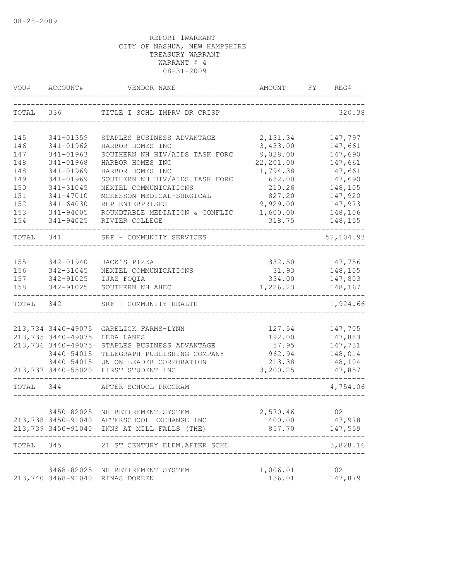| VOU#      | ACCOUNT#           | VENDOR NAME                                                                                | AMOUNT    | FY | REG#                       |
|-----------|--------------------|--------------------------------------------------------------------------------------------|-----------|----|----------------------------|
| TOTAL 336 |                    | TITLE I SCHL IMPRV DR CRISP                                                                |           |    | 320.38                     |
|           |                    |                                                                                            |           |    |                            |
| 145       | 341-01359          | STAPLES BUSINESS ADVANTAGE                                                                 | 2,131.34  |    | 147,797                    |
| 146       | 341-01962          | HARBOR HOMES INC                                                                           | 3,433.00  |    | 147,661                    |
| 147       | 341-01963          | SOUTHERN NH HIV/AIDS TASK FORC                                                             | 9,028.00  |    | 147,690                    |
| 148       | 341-01968          | HARBOR HOMES INC                                                                           | 22,201.00 |    | 147,661                    |
| 148       | 341-01969          | HARBOR HOMES INC                                                                           | 1,794.38  |    | 147,661                    |
| 149       | 341-01969          | SOUTHERN NH HIV/AIDS TASK FORC                                                             | 632.00    |    | 147,690                    |
| 150       | 341-31045          | NEXTEL COMMUNICATIONS                                                                      | 210.26    |    | 148,105                    |
| 151       | 341-47010          | MCKESSON MEDICAL-SURGICAL                                                                  | 827.20    |    | 147,920                    |
| 152       | 341-64030          | REP ENTERPRISES                                                                            | 9,929.00  |    | 147,973                    |
| 153       | 341-94005          | ROUNDTABLE MEDIATION & CONFLIC                                                             | 1,600.00  |    | 148,106                    |
| 154       | 341-94025          | RIVIER COLLEGE                                                                             | 318.75    |    | 148,155                    |
| TOTAL 341 |                    | SRF - COMMUNITY SERVICES                                                                   |           |    | 52,104.93                  |
|           |                    |                                                                                            |           |    |                            |
| 155       | 342-01940          | JACK'S PIZZA                                                                               | 332.50    |    | 147,756                    |
| 156       | 342-31045          | NEXTEL COMMUNICATIONS                                                                      | 31.93     |    | 148,105                    |
| 157       | 342-91025          | IJAZ FOQIA                                                                                 | 334.00    |    | 147,803                    |
| 158       | 342-91025          | SOUTHERN NH AHEC                                                                           | 1,226.23  |    | 148,167<br>$- - - - - - -$ |
| TOTAL     | 342                | SRF - COMMUNITY HEALTH                                                                     |           |    | 1,924.66                   |
|           |                    |                                                                                            |           |    |                            |
|           | 213,734 3440-49075 | GARELICK FARMS-LYNN                                                                        | 127.54    |    | 147,705                    |
|           | 213,735 3440-49075 | LEDA LANES                                                                                 | 192.00    |    | 147,883                    |
|           | 213,736 3440-49075 | STAPLES BUSINESS ADVANTAGE                                                                 | 57.95     |    | 147,731                    |
|           | 3440-54015         | TELEGRAPH PUBLISHING COMPANY                                                               | 962.94    |    | 148,014                    |
|           | 3440-54015         | UNION LEADER CORPORATION                                                                   | 213.38    |    | 148,104                    |
|           |                    | 213,737 3440-55020 FIRST STUDENT INC                                                       | 3,200.25  |    | 147,857                    |
| TOTAL     | 344                | AFTER SCHOOL PROGRAM                                                                       |           |    | 4,754.06                   |
|           |                    |                                                                                            |           |    |                            |
|           |                    | 3450-82025 NH RETIREMENT SYSTEM                                                            | 2,570.46  |    | 102                        |
|           |                    | 213,738 3450-91040 AFTERSCHOOL EXCHANGE INC<br>213,739 3450-91040 INNS AT MILL FALLS (THE) | 400.00    |    | 147,978<br>857.70 147,559  |
|           |                    | TOTAL 345 21 ST CENTURY ELEM.AFTER SCHL                                                    |           |    | 3,828.16                   |
|           |                    |                                                                                            |           |    | -----------                |
|           |                    | 3468-82025 NH RETIREMENT SYSTEM                                                            | 1,006.01  |    | 102                        |
|           |                    | 213,740 3468-91040 RINAS DOREEN                                                            | 136.01    |    | 147,879                    |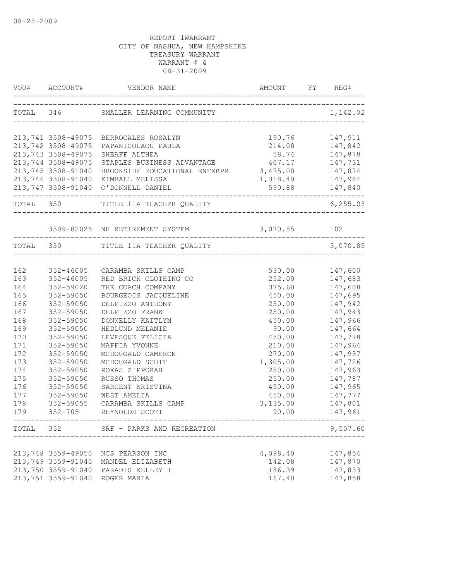|            | VOU# ACCOUNT#          |                                                 |                                                   | FY REG#            |
|------------|------------------------|-------------------------------------------------|---------------------------------------------------|--------------------|
|            |                        | TOTAL 346 SMALLER LEARNING COMMUNITY            |                                                   | 1,142.02           |
|            |                        | 213,741 3508-49075 BERROCALES ROSALYN           | 190.76                                            | 147,911            |
|            |                        | 213,742 3508-49075 PAPANICOLAOU PAULA           |                                                   |                    |
|            | 213,743 3508-49075     | SHEAFF ALTHEA                                   | 214.08 147,842<br>58.74 147,878<br>407.17 147,731 |                    |
|            | 213,744 3508-49075     | STAPLES BUSINESS ADVANTAGE                      |                                                   |                    |
|            | 213,745 3508-91040     | BROOKSIDE EDUCATIONAL ENTERPRI 3,475.00 147,874 |                                                   |                    |
|            |                        | 213,746 3508-91040 KIMBALL MELISSA              | 1,318.40 147,984                                  |                    |
|            |                        | 213,747 3508-91040 O'DONNELL DANIEL             |                                                   | 590.88 147,840     |
|            |                        | TOTAL 350 TITLE 11A TEACHER QUALITY             |                                                   | 6, 255.03          |
|            |                        | 3509-82025 NH RETIREMENT SYSTEM 3,070.85 102    |                                                   |                    |
|            |                        | TOTAL 350 TITLE 11A TEACHER QUALITY             |                                                   | 3,070.85           |
|            |                        |                                                 |                                                   |                    |
| 162        | 352-46005              | CARAMBA SKILLS CAMP                             | 530.00                                            | 147,600            |
| 163        | 352-46005              | RED BRICK CLOTHING CO                           | 252.00 147,683                                    |                    |
| 164        | 352-59020              | THE COACH COMPANY                               | 375.60                                            | 147,608            |
| 165        | 352-59050              | BOURGEOIS JACQUELINE                            | 450.00                                            | 147,695            |
| 166        | 352-59050              | DELPIZZO ANTHONY                                | 250.00                                            | 147,942            |
| 167        | 352-59050              | DELPIZZO FRANK                                  | 250.00                                            | 147,943            |
| 168        | 352-59050              | DONNELLY KAITLYN                                | 450.00                                            | 147,966            |
| 169        | 352-59050              | HEDLUND MELANIE                                 | 90.00                                             | 147,664            |
| 170        | 352-59050              | LEVESQUE FELICIA                                | 450.00                                            | 147,778            |
| 171<br>172 | 352-59050<br>352-59050 | MAFFIA YVONNE                                   | 210.00<br>270.00                                  | 147,964            |
| 173        | 352-59050              | MCDOUGALD CAMERON<br>MCDOUGALD SCOTT            | 1,305.00                                          | 147,937<br>147,726 |
| 174        | 352-59050              | ROXAS ZIPPORAH                                  | 250.00                                            | 147,963            |
| 175        | 352-59050              | RUSSO THOMAS                                    | 250.00                                            | 147,787            |
| 176        | 352-59050              | SARGENT KRISTINA                                | 450.00                                            | 147,965            |
| 177        | 352-59050              | WEST AMELIA                                     |                                                   | 450.00 147,777     |
| 178        | 352-59055              | CARAMBA SKILLS CAMP                             | 3,135.00 147,801                                  |                    |
| 179        | $352 - 705$            | REYNOLDS SCOTT                                  | 90.00                                             | 147,961            |
|            |                        | TOTAL 352 SRF - PARKS AND RECREATION            | --------------------------------                  | 9,507.60           |
|            |                        |                                                 |                                                   |                    |
|            | 213,748 3559-49050     | NCS PEARSON INC                                 | 4,098.40                                          | 147,854            |
|            | 213,749 3559-91040     | MANDEL ELIZABETH                                | 142.08                                            | 147,870            |
|            | 213,750 3559-91040     | PARADIS KELLEY I                                | 186.39                                            | 147,833            |
|            | 213,751 3559-91040     | ROGER MARIA                                     | 167.40                                            | 147,858            |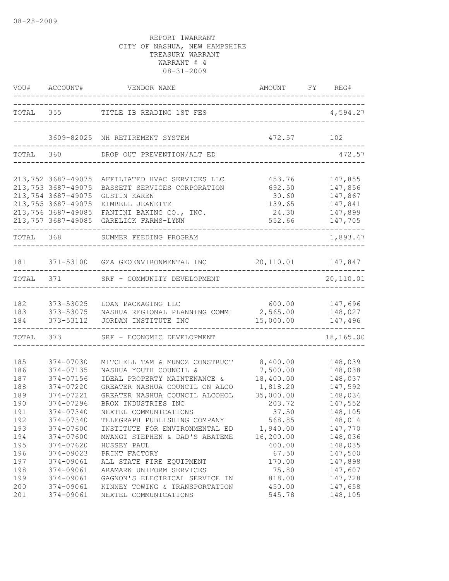|            | VOU# ACCOUNT#<br>$- - - - - -$                                 | VENDOR NAME                                                             | AMOUNT FY REG#<br>---------------------------------- |                               |
|------------|----------------------------------------------------------------|-------------------------------------------------------------------------|------------------------------------------------------|-------------------------------|
|            |                                                                | TOTAL 355 TITLE IB READING 1ST FES                                      | ___________________                                  | 4,594.27                      |
|            |                                                                | 3609-82025 NH RETIREMENT SYSTEM                                         | 472.57                                               | 102                           |
| TOTAL      |                                                                | 360 DROP OUT PREVENTION/ALT ED                                          |                                                      | 472.57                        |
|            | 213,752 3687-49075                                             | AFFILIATED HVAC SERVICES LLC                                            | 453.76                                               | 147,855                       |
|            | 213,753 3687-49075<br>213,754 3687-49075<br>213,755 3687-49075 | BASSETT SERVICES CORPORATION<br><b>GUSTIN KAREN</b><br>KIMBELL JEANETTE | 692.50<br>30.60<br>139.65                            | 147,856<br>147,867<br>147,841 |
|            | 213,756 3687-49085<br>213,757 3687-49085                       | FANTINI BAKING CO., INC.<br>GARELICK FARMS-LYNN                         | 24.30<br>552.66                                      | 147,899<br>147,705            |
| TOTAL 368  |                                                                | SUMMER FEEDING PROGRAM                                                  |                                                      | 1,893.47                      |
| 181        |                                                                | 371-53100 GZA GEOENVIRONMENTAL INC 20,110.01 147,847                    |                                                      |                               |
|            | TOTAL 371                                                      | SRF - COMMUNITY DEVELOPMENT                                             | _____________                                        | 20,110.01                     |
| 182        | 373-53025                                                      | LOAN PACKAGING LLC<br>600.00                                            |                                                      | 147,696                       |
| 183<br>184 | 373-53075<br>373-53112                                         | NASHUA REGIONAL PLANNING COMMI 2,565.00<br>JORDAN INSTITUTE INC         | 15,000.00                                            | 148,027<br>147,496            |
|            | TOTAL 373                                                      | SRF - ECONOMIC DEVELOPMENT                                              |                                                      | 18,165.00                     |
| 185        | 374-07030                                                      | MITCHELL TAM & MUNOZ CONSTRUCT                                          | 8,400.00                                             | 148,039                       |
| 186        | 374-07135                                                      | NASHUA YOUTH COUNCIL &                                                  | 7,500.00                                             | 148,038                       |
| 187        | 374-07156                                                      | IDEAL PROPERTY MAINTENANCE &                                            | 18,400.00                                            | 148,037                       |
| 188<br>189 | 374-07220<br>374-07221                                         | GREATER NASHUA COUNCIL ON ALCO<br>GREATER NASHUA COUNCIL ALCOHOL        | 1,818.20<br>35,000.00                                | 147,592<br>148,034            |
| 190        | 374-07296                                                      | BROX INDUSTRIES INC                                                     | 203.72                                               | 147,552                       |
| 191        | 374-07340                                                      | NEXTEL COMMUNICATIONS                                                   | 37.50                                                | 148,105                       |
| 192        | 374-07340                                                      | TELEGRAPH PUBLISHING COMPANY                                            | 568.85                                               | 148,014                       |
| 193        | 374-07600                                                      | INSTITUTE FOR ENVIRONMENTAL ED                                          | 1,940.00                                             | 147,770                       |
| 194        | 374-07600                                                      | MWANGI STEPHEN & DAD'S ABATEME                                          | 16,200.00                                            | 148,036                       |
| 195        | 374-07620                                                      | HUSSEY PAUL                                                             | 400.00                                               | 148,035                       |
| 196        | 374-09023                                                      | PRINT FACTORY                                                           | 67.50                                                | 147,500                       |
| 197        | 374-09061                                                      | ALL STATE FIRE EOUIPMENT                                                | 170.00                                               | 147,898                       |
| 198        | 374-09061                                                      | ARAMARK UNIFORM SERVICES                                                | 75.80                                                | 147,607                       |
| 199        | 374-09061                                                      | GAGNON'S ELECTRICAL SERVICE IN                                          | 818.00                                               | 147,728                       |
| 200        | 374-09061                                                      | KINNEY TOWING & TRANSPORTATION                                          | 450.00                                               | 147,658                       |
| 201        | 374-09061                                                      | NEXTEL COMMUNICATIONS                                                   | 545.78                                               | 148,105                       |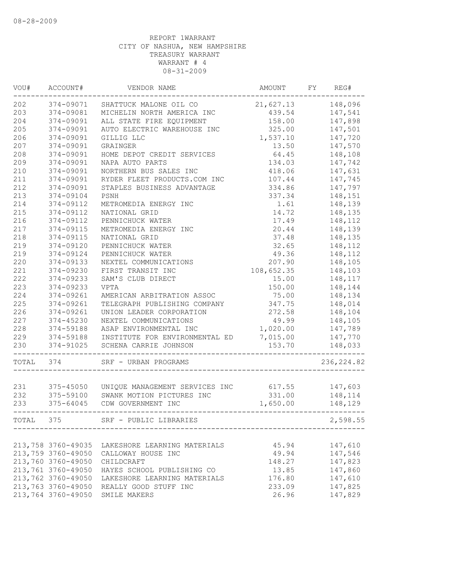| VOU#  | ACCOUNT#           | VENDOR NAME                    | AMOUNT     | FY | REG#        |
|-------|--------------------|--------------------------------|------------|----|-------------|
| 202   | 374-09071          | SHATTUCK MALONE OIL CO         | 21,627.13  |    | 148,096     |
| 203   | 374-09081          | MICHELIN NORTH AMERICA INC     | 439.54     |    | 147,541     |
| 204   | 374-09091          | ALL STATE FIRE EQUIPMENT       | 158.00     |    | 147,898     |
| 205   | 374-09091          | AUTO ELECTRIC WAREHOUSE INC    | 325.00     |    | 147,501     |
| 206   | 374-09091          | GILLIG LLC                     | 1,537.10   |    | 147,720     |
| 207   | 374-09091          | GRAINGER                       | 13.50      |    | 147,570     |
| 208   | 374-09091          | HOME DEPOT CREDIT SERVICES     | 64.45      |    | 148,108     |
| 209   | 374-09091          | NAPA AUTO PARTS                | 134.03     |    | 147,742     |
| 210   | 374-09091          | NORTHERN BUS SALES INC         | 418.06     |    | 147,631     |
| 211   | 374-09091          | RYDER FLEET PRODUCTS.COM INC   | 107.44     |    | 147,745     |
| 212   | 374-09091          | STAPLES BUSINESS ADVANTAGE     | 334.86     |    | 147,797     |
| 213   | 374-09104          | PSNH                           | 337.34     |    | 148,151     |
| 214   | 374-09112          | METROMEDIA ENERGY INC          | 1.61       |    | 148,139     |
| 215   | 374-09112          | NATIONAL GRID                  | 14.72      |    | 148,135     |
| 216   | 374-09112          | PENNICHUCK WATER               | 17.49      |    | 148,112     |
| 217   | 374-09115          | METROMEDIA ENERGY INC          | 20.44      |    | 148,139     |
| 218   | 374-09115          | NATIONAL GRID                  | 37.48      |    | 148,135     |
| 219   | 374-09120          | PENNICHUCK WATER               | 32.65      |    | 148,112     |
| 219   | 374-09124          | PENNICHUCK WATER               | 49.36      |    | 148,112     |
| 220   | 374-09133          | NEXTEL COMMUNICATIONS          | 207.90     |    | 148,105     |
| 221   | 374-09230          | FIRST TRANSIT INC              | 108,652.35 |    | 148,103     |
| 222   | 374-09233          | SAM'S CLUB DIRECT              | 15.00      |    | 148,117     |
| 223   | 374-09233          | <b>VPTA</b>                    | 150.00     |    | 148,144     |
| 224   | 374-09261          | AMERICAN ARBITRATION ASSOC     | 75.00      |    | 148,134     |
| 225   | 374-09261          | TELEGRAPH PUBLISHING COMPANY   | 347.75     |    | 148,014     |
| 226   | 374-09261          | UNION LEADER CORPORATION       | 272.58     |    | 148,104     |
| 227   | 374-45230          | NEXTEL COMMUNICATIONS          | 49.99      |    | 148,105     |
| 228   | 374-59188          | ASAP ENVIRONMENTAL INC         | 1,020.00   |    | 147,789     |
| 229   | 374-59188          | INSTITUTE FOR ENVIRONMENTAL ED | 7,015.00   |    | 147,770     |
| 230   | 374-91025          | SCHENA CARRIE JOHNSON          | 153.70     |    | 148,033     |
| TOTAL | 374                | SRF - URBAN PROGRAMS           |            |    | 236, 224.82 |
|       |                    |                                |            |    |             |
| 231   | 375-45050          | UNIQUE MANAGEMENT SERVICES INC | 617.55     |    | 147,603     |
| 232   | 375-59100          | SWANK MOTION PICTURES INC      | 331.00     |    | 148,114     |
| 233   | 375-64045          | CDW GOVERNMENT INC             | 1,650.00   |    | 148,129     |
| TOTAL | 375                | SRF - PUBLIC LIBRARIES         |            |    | 2,598.55    |
|       |                    |                                |            |    |             |
|       | 213,758 3760-49035 | LAKESHORE LEARNING MATERIALS   | 45.94      |    | 147,610     |
|       | 213,759 3760-49050 | CALLOWAY HOUSE INC             | 49.94      |    | 147,546     |
|       | 213,760 3760-49050 | CHILDCRAFT                     | 148.27     |    | 147,823     |
|       | 213,761 3760-49050 | HAYES SCHOOL PUBLISHING CO     | 13.85      |    | 147,860     |
|       | 213,762 3760-49050 | LAKESHORE LEARNING MATERIALS   | 176.80     |    | 147,610     |
|       | 213,763 3760-49050 | REALLY GOOD STUFF INC          | 233.09     |    | 147,825     |
|       | 213,764 3760-49050 | SMILE MAKERS                   | 26.96      |    | 147,829     |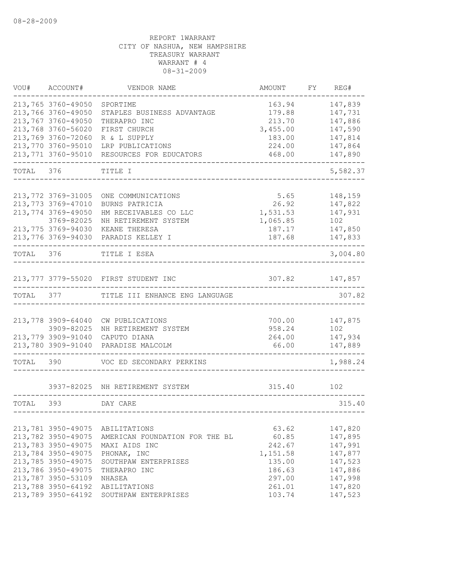| VOU#      | ACCOUNT#                         | VENDOR NAME                           | AMOUNT             | FY REG#            |
|-----------|----------------------------------|---------------------------------------|--------------------|--------------------|
|           | 213,765 3760-49050               | SPORTIME                              | 163.94             | 147,839            |
|           | 213,766 3760-49050               | STAPLES BUSINESS ADVANTAGE            | 179.88             | 147,731            |
|           | 213,767 3760-49050               | THERAPRO INC                          | 213.70             | 147,886            |
|           | 213,768 3760-56020               | FIRST CHURCH                          | 3,455.00           | 147,590            |
|           | 213,769 3760-72060               | R & L SUPPLY                          | 183.00             | 147,814            |
|           | 213,770 3760-95010               | LRP PUBLICATIONS                      | 224.00             | 147,864            |
|           | 213,771 3760-95010               | RESOURCES FOR EDUCATORS               | 468.00             | 147,890            |
| TOTAL 376 |                                  | TITLE I                               |                    | 5,582.37           |
|           |                                  |                                       |                    |                    |
|           | 213,772 3769-31005               | ONE COMMUNICATIONS                    | 5.65               | 148,159            |
|           | 213,773 3769-47010               | BURNS PATRICIA                        | 26.92              | 147,822            |
|           | 213,774 3769-49050               | HM RECEIVABLES CO LLC                 | 1,531.53           | 147,931            |
|           | 3769-82025<br>213,775 3769-94030 | NH RETIREMENT SYSTEM<br>KEANE THERESA | 1,065.85<br>187.17 | 102                |
|           |                                  | 213,776 3769-94030 PARADIS KELLEY I   | 187.68             | 147,850<br>147,833 |
|           |                                  |                                       |                    |                    |
| TOTAL 376 |                                  | TITLE I ESEA                          |                    | 3,004.80           |
|           |                                  | 213,777 3779-55020 FIRST STUDENT INC  | 307.82             | 147,857            |
| TOTAL     | 377                              | TITLE III ENHANCE ENG LANGUAGE        |                    | 307.82             |
|           |                                  |                                       |                    |                    |
|           | 213,778 3909-64040               | CW PUBLICATIONS                       | 700.00             | 147,875            |
|           | 3909-82025                       | NH RETIREMENT SYSTEM                  | 958.24             | 102                |
|           | 213,779 3909-91040               | CAPUTO DIANA                          | 264.00             | 147,934            |
|           | 213,780 3909-91040               | PARADISE MALCOLM                      | 66.00              | 147,889            |
| TOTAL     | 390                              | VOC ED SECONDARY PERKINS              |                    | 1,988.24           |
|           |                                  | 3937-82025 NH RETIREMENT SYSTEM       | 315.40             | 102                |
| TOTAL     | 393                              | DAY CARE                              |                    | 315.40             |
|           |                                  |                                       |                    |                    |
|           | 213,781 3950-49075               | ABILITATIONS                          | 63.62              | 147,820            |
|           | 213,782 3950-49075               | AMERICAN FOUNDATION FOR THE BL        | 60.85              | 147,895            |
|           | 213,783 3950-49075               | MAXI AIDS INC                         | 242.67             | 147,991            |
|           | 213,784 3950-49075               | PHONAK, INC                           | 1,151.58           | 147,877            |
|           | 213,785 3950-49075               | SOUTHPAW ENTERPRISES                  | 135.00             | 147,523            |
|           | 213,786 3950-49075               | THERAPRO INC                          | 186.63             | 147,886            |
|           | 213,787 3950-53109               | NHASEA                                | 297.00             | 147,998            |
|           | 213,788 3950-64192               | ABILITATIONS                          | 261.01             | 147,820            |
|           | 213,789 3950-64192               | SOUTHPAW ENTERPRISES                  | 103.74             | 147,523            |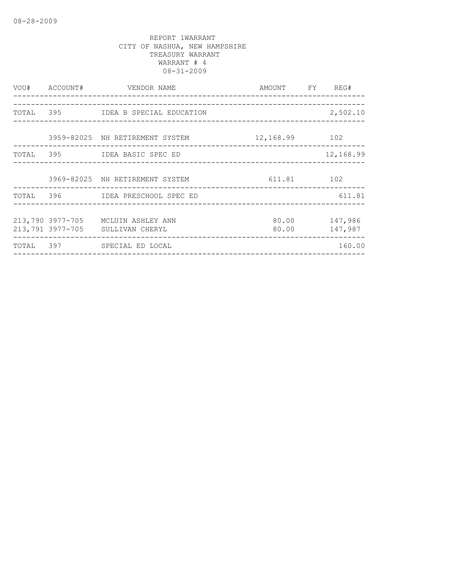| VOU# ACCOUNT# | VENDOR NAME                                                            | AMOUNT FY REG# |                          |
|---------------|------------------------------------------------------------------------|----------------|--------------------------|
|               |                                                                        |                |                          |
|               | TOTAL 395 IDEA B SPECIAL EDUCATION                                     |                | 2,502.10                 |
|               | 3959-82025 NH RETIREMENT SYSTEM 12,168.99 102                          |                |                          |
|               | TOTAL 395 IDEA BASIC SPEC ED                                           |                | 12,168.99                |
|               |                                                                        |                |                          |
|               | 3969-82025 NH RETIREMENT SYSTEM 611.81 102                             |                |                          |
|               | TOTAL 396 IDEA PRESCHOOL SPEC ED                                       |                | 611.81                   |
|               |                                                                        |                |                          |
|               | 213,790 3977-705 MCLUIN ASHLEY ANN<br>213,791 3977-705 SULLIVAN CHERYL | 80.00 00       | 80.00 147,986<br>147,987 |
|               | TOTAL 397 SPECIAL ED LOCAL                                             |                | 160.00                   |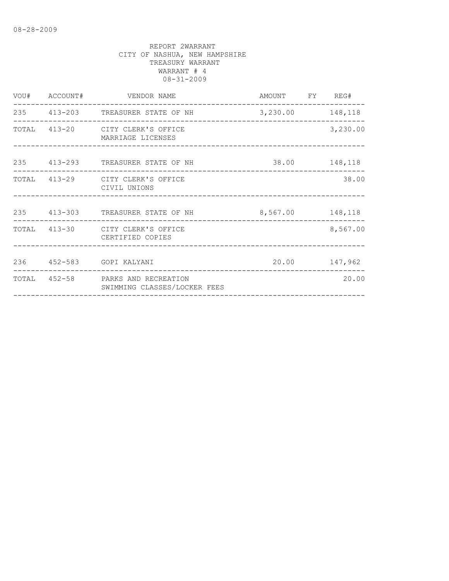|  | VOU# ACCOUNT# VENDOR NAME                                         | AMOUNT FY REG# |          |
|--|-------------------------------------------------------------------|----------------|----------|
|  | 235 413-203 TREASURER STATE OF NH 3,230.00 148,118                |                |          |
|  | TOTAL 413-20 CITY CLERK'S OFFICE<br>MARRIAGE LICENSES             |                | 3,230.00 |
|  | 235 413-293 TREASURER STATE OF NH                                 | 38.00 148,118  |          |
|  | TOTAL 413-29 CITY CLERK'S OFFICE<br>CIVIL UNIONS                  |                | 38.00    |
|  | 235 413-303 TREASURER STATE OF NH 8,567.00 148,118                |                |          |
|  | TOTAL 413-30 CITY CLERK'S OFFICE<br>CERTIFIED COPIES              |                | 8,567.00 |
|  | 236 452-583 GOPI KALYANI                                          | 20.00 147,962  |          |
|  | TOTAL 452-58 PARKS AND RECREATION<br>SWIMMING CLASSES/LOCKER FEES |                | 20.00    |
|  |                                                                   |                |          |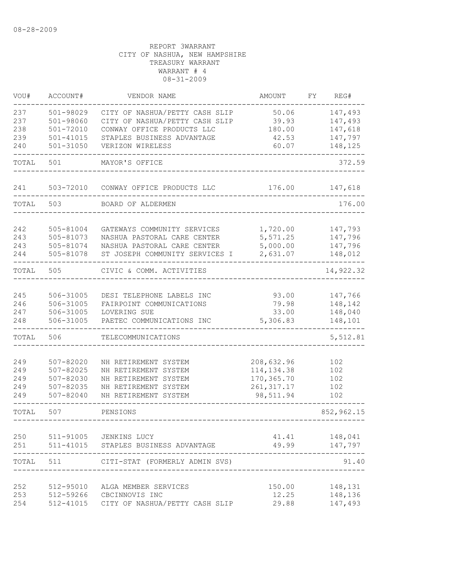| VOU#  | ACCOUNT#      | VENDOR NAME                          | AMOUNT      | FΥ | REG#       |
|-------|---------------|--------------------------------------|-------------|----|------------|
| 237   | 501-98029     | CITY OF NASHUA/PETTY CASH SLIP       | 50.06       |    | 147,493    |
| 237   | 501-98060     | CITY OF NASHUA/PETTY CASH SLIP       | 39.93       |    | 147,493    |
| 238   | 501-72010     | CONWAY OFFICE PRODUCTS LLC           | 180.00      |    | 147,618    |
| 239   | 501-41015     | STAPLES BUSINESS ADVANTAGE           | 42.53       |    | 147,797    |
| 240   | $501 - 31050$ | VERIZON WIRELESS                     | 60.07       |    | 148,125    |
| TOTAL | 501           | MAYOR'S OFFICE                       |             |    | 372.59     |
| 241   | 503-72010     | CONWAY OFFICE PRODUCTS LLC           | 176.00      |    | 147,618    |
| TOTAL | 503           | BOARD OF ALDERMEN                    |             |    | 176.00     |
| 242   | 505-81004     | GATEWAYS COMMUNITY SERVICES          | 1,720.00    |    | 147,793    |
| 243   | 505-81073     | NASHUA PASTORAL CARE CENTER          | 5,571.25    |    | 147,796    |
| 243   | 505-81074     | NASHUA PASTORAL CARE CENTER          | 5,000.00    |    | 147,796    |
| 244   | 505-81078     | ST JOSEPH COMMUNITY SERVICES I       | 2,631.07    |    | 148,012    |
| TOTAL | 505           | CIVIC & COMM. ACTIVITIES             |             |    | 14,922.32  |
| 245   | 506-31005     | DESI TELEPHONE LABELS INC            | 93.00       |    | 147,766    |
| 246   | 506-31005     | FAIRPOINT COMMUNICATIONS             | 79.98       |    | 148,142    |
| 247   | 506-31005     | LOVERING SUE                         | 33.00       |    | 148,040    |
| 248   | 506-31005     | PAETEC COMMUNICATIONS INC            | 5,306.83    |    | 148,101    |
| TOTAL | 506           | TELECOMMUNICATIONS                   |             |    | 5,512.81   |
| 249   | $507 - 82020$ | NH RETIREMENT SYSTEM                 | 208,632.96  |    | 102        |
| 249   | $507 - 82025$ | NH RETIREMENT SYSTEM                 | 114, 134.38 |    | 102        |
| 249   | 507-82030     | NH RETIREMENT SYSTEM                 | 170,365.70  |    | 102        |
| 249   | $507 - 82035$ | NH RETIREMENT SYSTEM                 | 261, 317.17 |    | 102        |
| 249   | 507-82040     | NH RETIREMENT SYSTEM                 | 98,511.94   |    | 102        |
| TOTAL | 507           | PENSIONS                             |             |    | 852,962.15 |
| 250   |               | 511-91005 JENKINS LUCY               | 41.41       |    | 148,041    |
| 251   |               | 511-41015 STAPLES BUSINESS ADVANTAGE | 49.99       |    | 147,797    |
| TOTAL | 511           | CITI-STAT (FORMERLY ADMIN SVS)       |             |    | 91.40      |
| 252   | 512-95010     | ALGA MEMBER SERVICES                 | 150.00      |    | 148,131    |
| 253   |               | 512-59266 CBCINNOVIS INC             | 12.25       |    | 148,136    |
| 254   | 512-41015     | CITY OF NASHUA/PETTY CASH SLIP       | 29.88       |    | 147,493    |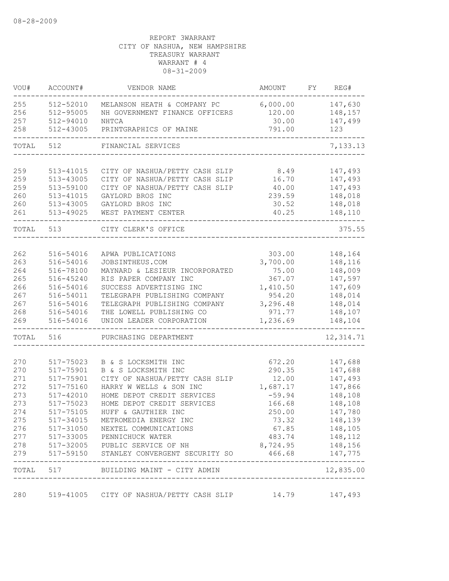| VOU#  | ACCOUNT#      | VENDOR NAME                                            | AMOUNT                         | FY | REG#                        |
|-------|---------------|--------------------------------------------------------|--------------------------------|----|-----------------------------|
| 255   | 512-52010     | MELANSON HEATH & COMPANY PC                            | 6,000.00                       |    | 147,630                     |
| 256   | 512-95005     | NH GOVERNMENT FINANCE OFFICERS                         | 120.00                         |    | 148,157                     |
| 257   | 512-94010     | NHTCA                                                  | 30.00                          |    | 147,499                     |
| 258   | 512-43005     | PRINTGRAPHICS OF MAINE                                 | 791.00                         |    | 123                         |
| TOTAL | 512           | FINANCIAL SERVICES                                     |                                |    | 7,133.13                    |
|       |               |                                                        |                                |    |                             |
| 259   | 513-41015     | CITY OF NASHUA/PETTY CASH SLIP                         | 8.49                           |    | 147,493                     |
| 259   | 513-43005     | CITY OF NASHUA/PETTY CASH SLIP                         | 16.70                          |    | 147,493                     |
| 259   | 513-59100     | CITY OF NASHUA/PETTY CASH SLIP                         | 40.00                          |    | 147,493                     |
| 260   | 513-41015     | GAYLORD BROS INC                                       | 239.59                         |    | 148,018                     |
| 260   | 513-43005     | GAYLORD BROS INC                                       | 30.52                          |    | 148,018                     |
| 261   | 513-49025     | WEST PAYMENT CENTER                                    | 40.25                          |    | 148,110                     |
| TOTAL | 513           | CITY CLERK'S OFFICE                                    |                                |    | 375.55                      |
|       |               |                                                        |                                |    |                             |
| 262   | 516-54016     | APWA PUBLICATIONS                                      | 303.00                         |    | 148,164                     |
| 263   | 516-54016     | JOBSINTHEUS.COM                                        | 3,700.00                       |    | 148,116                     |
| 264   | 516-78100     | MAYNARD & LESIEUR INCORPORATED                         | 75.00                          |    | 148,009                     |
| 265   | 516-45240     | RIS PAPER COMPANY INC                                  | 367.07                         |    | 147,597                     |
| 266   | 516-54016     | SUCCESS ADVERTISING INC                                | 1,410.50                       |    | 147,609                     |
| 267   | 516-54011     | TELEGRAPH PUBLISHING COMPANY                           | 954.20                         |    | 148,014                     |
| 267   | 516-54016     | TELEGRAPH PUBLISHING COMPANY                           | 3,296.48                       |    | 148,014                     |
| 268   | 516-54016     | THE LOWELL PUBLISHING CO                               | 971.77                         |    | 148,107                     |
| 269   | 516-54016     | UNION LEADER CORPORATION                               | 1,236.69                       |    | 148,104                     |
| TOTAL | 516           | PURCHASING DEPARTMENT                                  |                                |    | 12, 314.71                  |
| 270   | 517-75023     | B & S LOCKSMITH INC                                    | 672.20                         |    | 147,688                     |
| 270   | 517-75901     | B & S LOCKSMITH INC                                    | 290.35                         |    | 147,688                     |
| 271   | 517-75901     | CITY OF NASHUA/PETTY CASH SLIP                         | 12.00                          |    | 147,493                     |
| 272   | 517-75160     | HARRY W WELLS & SON INC                                | 1,687.17                       |    | 147,866                     |
| 273   | 517-42010     | HOME DEPOT CREDIT SERVICES                             | $-59.94$                       |    | 148,108                     |
| 273   | 517-75023     | HOME DEPOT CREDIT SERVICES                             | 166.68                         |    | 148,108                     |
| 274   | 517-75105     | HUFF & GAUTHIER INC                                    | 250.00                         |    | 147,780                     |
| 275   |               | 517-34015 METROMEDIA ENERGY INC                        | 73.32                          |    | 148,139                     |
|       |               | 276 517-31050 NEXTEL COMMUNICATIONS                    |                                |    | 67.85 148,105               |
| 277   |               | 517-33005 PENNICHUCK WATER                             |                                |    | 483.74 148,112              |
| 278   |               | 517-32005 PUBLIC SERVICE OF NH                         | 8,724.95                       |    | 148,156                     |
| 279   |               | 517-59150 STANLEY CONVERGENT SECURITY SO 466.68        |                                |    | 147,775                     |
|       | ------------- | TOTAL 517 BUILDING MAINT - CITY ADMIN                  |                                |    | --------------<br>12,835.00 |
|       |               |                                                        | ------------------------------ |    |                             |
| 280   |               | 519-41005 CITY OF NASHUA/PETTY CASH SLIP 14.79 147,493 |                                |    |                             |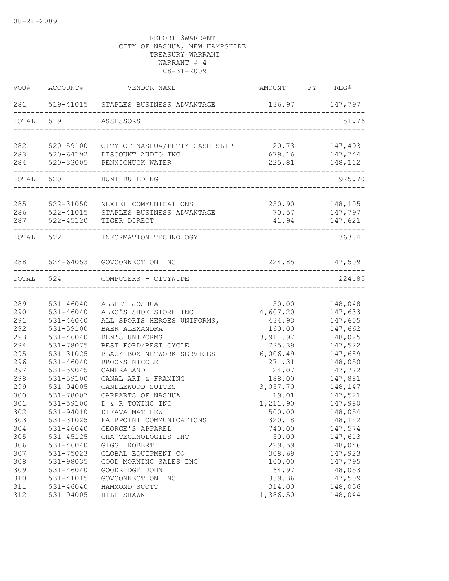|            | VOU# ACCOUNT# | VENDOR NAME                                                     | AMOUNT FY REG#   |                    |
|------------|---------------|-----------------------------------------------------------------|------------------|--------------------|
|            |               | 281 519-41015 STAPLES BUSINESS ADVANTAGE                        | 136.97 147,797   |                    |
|            | TOTAL 519     | ASSESSORS                                                       |                  | 151.76             |
| 282        |               | 520-59100 CITY OF NASHUA/PETTY CASH SLIP                        | 20.73            | 147,493            |
| 283<br>284 |               | 520-64192 DISCOUNT AUDIO INC<br>520-33005 PENNICHUCK WATER      | 679.16<br>225.81 | 147,744<br>148,112 |
|            |               | ------------------------------------<br>TOTAL 520 HUNT BUILDING |                  | 925.70             |
|            |               |                                                                 |                  |                    |
| 285        | 522-31050     | NEXTEL COMMUNICATIONS                                           |                  | 250.90 148,105     |
| 286        |               | 522-41015 STAPLES BUSINESS ADVANTAGE                            |                  | 70.57 147,797      |
| 287        |               | 522-45120 TIGER DIRECT                                          |                  | 41.94 147,621      |
|            | TOTAL 522     | INFORMATION TECHNOLOGY                                          |                  | 363.41             |
|            |               | 288 524-64053 GOVCONNECTION INC                                 | 224.85 147,509   |                    |
|            |               | . _ _ _ _ _ _ _ _ _ _ _ _<br>TOTAL 524 COMPUTERS - CITYWIDE     |                  | 224.85             |
|            |               |                                                                 |                  |                    |
| 289        | 531-46040     | ALBERT JOSHUA                                                   | 50.00            | 148,048            |
| 290        | $531 - 46040$ | ALEC'S SHOE STORE INC                                           | 4,607.20         | 147,633            |
| 291        | $531 - 46040$ | ALL SPORTS HEROES UNIFORMS,                                     | 434.93           | 147,605            |
| 292        | 531-59100     | BAER ALEXANDRA                                                  | 160.00           | 147,662            |
| 293        | $531 - 46040$ | BEN'S UNIFORMS                                                  | 3,911.97         | 148,025            |
| 294        | 531-78075     | BEST FORD/BEST CYCLE                                            | 725.39           | 147,522            |
| 295        | 531-31025     | BLACK BOX NETWORK SERVICES                                      | 6,006.49         | 147,689            |
| 296        | $531 - 46040$ | BROOKS NICOLE                                                   | 271.31           | 148,050            |
| 297        | 531-59045     | CAMERALAND                                                      | 24.07            | 147,772            |
| 298        | 531-59100     | CANAL ART & FRAMING                                             | 188.00           | 147,881            |
| 299        | 531-94005     | CANDLEWOOD SUITES                                               | 3,057.70         | 148,147            |
| 300        | 531-78007     | CARPARTS OF NASHUA                                              | 19.01            | 147,521            |
| 301        | 531-59100     | D & R TOWING INC                                                | 1,211.90         | 147,980            |
| 302        | 531-94010     | DIFAVA MATTHEW                                                  | 500.00           | 148,054            |
| 303        | 531-31025     | FAIRPOINT COMMUNICATIONS                                        | 320.18           | 148,142            |
| 304        | $531 - 46040$ | GEORGE'S APPAREL                                                | 740.00           | 147,574            |
| 305        | 531-45125     | GHA TECHNOLOGIES INC                                            | 50.00            | 147,613            |
| 306        | $531 - 46040$ | GIGGI ROBERT                                                    | 229.59           | 148,046            |
| 307        | 531-75023     | GLOBAL EQUIPMENT CO                                             | 308.69           | 147,923            |
| 308        | 531-98035     | GOOD MORNING SALES INC                                          | 100.00           | 147,795            |
| 309        | $531 - 46040$ | GOODRIDGE JOHN                                                  | 64.97            | 148,053            |
| 310        | 531-41015     | GOVCONNECTION INC                                               | 339.36           | 147,509            |
| 311        | $531 - 46040$ | HAMMOND SCOTT                                                   | 314.00           | 148,056            |
| 312        | 531-94005     | HILL SHAWN                                                      | 1,386.50         | 148,044            |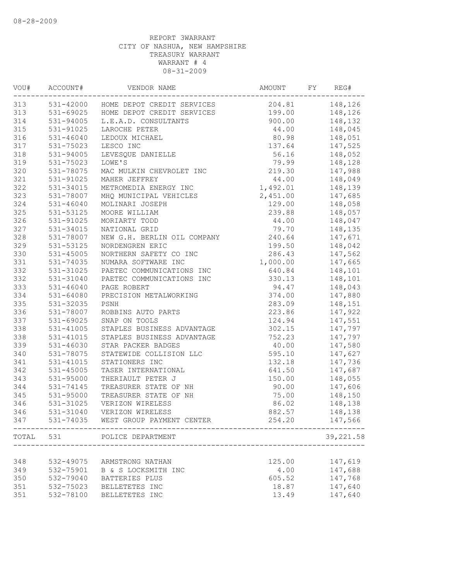| VOU#  | ACCOUNT#      | VENDOR NAME                          | AMOUNT   | FY | REG#               |
|-------|---------------|--------------------------------------|----------|----|--------------------|
| 313   |               | 531-42000 HOME DEPOT CREDIT SERVICES | 204.81   |    | 148,126            |
| 313   |               | 531-69025 HOME DEPOT CREDIT SERVICES | 199.00   |    | 148,126            |
| 314   | 531-94005     | L.E.A.D. CONSULTANTS                 | 900.00   |    | 148,132            |
| 315   | 531-91025     | LAROCHE PETER                        | 44.00    |    | 148,045            |
| 316   | $531 - 46040$ | LEDOUX MICHAEL                       | 80.98    |    | 148,051            |
| 317   | 531-75023     | LESCO INC                            | 137.64   |    | 147,525            |
| 318   | 531-94005     | LEVESQUE DANIELLE                    | 56.16    |    | 148,052            |
| 319   | 531-75023     | LOWE'S                               | 79.99    |    | 148,128            |
| 320   | 531-78075     | MAC MULKIN CHEVROLET INC             | 219.30   |    | 147,988            |
| 321   | 531-91025     | MAHER JEFFREY                        | 44.00    |    | 148,049            |
| 322   | 531-34015     | METROMEDIA ENERGY INC                | 1,492.01 |    | 148,139            |
| 323   | 531-78007     | MHQ MUNICIPAL VEHICLES               | 2,451.00 |    | 147,685            |
| 324   | $531 - 46040$ | MOLINARI JOSEPH                      | 129.00   |    | 148,058            |
| 325   | 531-53125     | MOORE WILLIAM                        | 239.88   |    | 148,057            |
| 326   | 531-91025     | MORIARTY TODD                        | 44.00    |    | 148,047            |
| 327   | 531-34015     | NATIONAL GRID                        | 79.70    |    | 148,135            |
| 328   | 531-78007     | NEW G.H. BERLIN OIL COMPANY          | 240.64   |    | 147,671            |
| 329   | 531-53125     | NORDENGREN ERIC                      | 199.50   |    | 148,042            |
| 330   | 531-45005     | NORTHERN SAFETY CO INC               | 286.43   |    | 147,562            |
| 331   | 531-74035     | NUMARA SOFTWARE INC                  | 1,000.00 |    | 147,665            |
| 332   | 531-31025     | PAETEC COMMUNICATIONS INC            | 640.84   |    | 148,101            |
| 332   | 531-31040     | PAETEC COMMUNICATIONS INC            | 330.13   |    | 148,101            |
| 333   | 531-46040     | PAGE ROBERT                          | 94.47    |    | 148,043            |
| 334   | 531-64080     | PRECISION METALWORKING               | 374.00   |    |                    |
| 335   |               |                                      |          |    | 147,880<br>148,151 |
|       | 531-32035     | PSNH                                 | 283.09   |    |                    |
| 336   | 531-78007     | ROBBINS AUTO PARTS                   | 223.86   |    | 147,922            |
| 337   | 531-69025     | SNAP ON TOOLS                        | 124.94   |    | 147,551            |
| 338   | $531 - 41005$ | STAPLES BUSINESS ADVANTAGE           | 302.15   |    | 147,797            |
| 338   | 531-41015     | STAPLES BUSINESS ADVANTAGE           | 752.23   |    | 147,797            |
| 339   | 531-46030     | STAR PACKER BADGES                   | 40.00    |    | 147,580            |
| 340   | 531-78075     | STATEWIDE COLLISION LLC              | 595.10   |    | 147,627            |
| 341   | 531-41015     | STATIONERS INC                       | 132.18   |    | 147,736            |
| 342   | $531 - 45005$ | TASER INTERNATIONAL                  | 641.50   |    | 147,687            |
| 343   | 531-95000     | THERIAULT PETER J                    | 150.00   |    | 148,055            |
| 344   | 531-74145     | TREASURER STATE OF NH                | 90.00    |    | 147,606            |
| 345   | 531-95000     | TREASURER STATE OF NH                | 75.00    |    | 148,150            |
| 346   | 531-31025     | VERIZON WIRELESS                     | 86.02    |    | 148,138            |
| 346   | 531-31040     | VERIZON WIRELESS                     | 882.57   |    | 148,138            |
| 347   |               | 531-74035 WEST GROUP PAYMENT CENTER  | 254.20   |    | 147,566            |
| TOTAL | 531           | POLICE DEPARTMENT                    |          |    | 39, 221.58         |
|       |               |                                      |          |    |                    |
| 348   | 532-49075     | ARMSTRONG NATHAN                     | 125.00   |    | 147,619            |
| 349   | 532-75901     | B & S LOCKSMITH INC                  | 4.00     |    | 147,688            |
| 350   | 532-79040     | BATTERIES PLUS                       | 605.52   |    | 147,768            |
| 351   | 532-75023     | BELLETETES INC                       | 18.87    |    | 147,640            |
| 351   | 532-78100     | BELLETETES INC                       | 13.49    |    | 147,640            |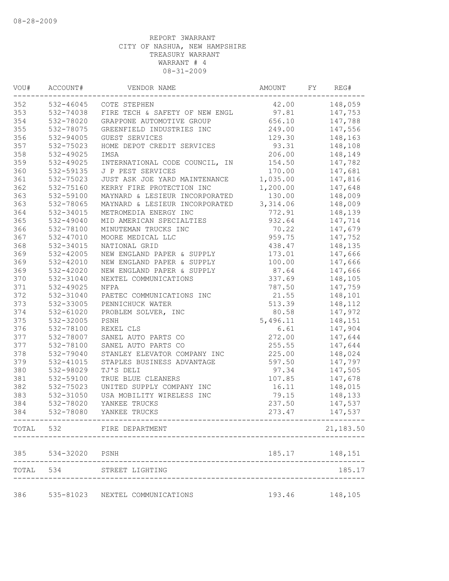| WOU# | ACCOUNT#       | VENDOR NAME                     | AMOUNT   | FY | REG#           |
|------|----------------|---------------------------------|----------|----|----------------|
| 352  | 532-46045      | COTE STEPHEN                    | 42.00    |    | 148,059        |
| 353  | 532-74038      | FIRE TECH & SAFETY OF NEW ENGL  | 97.81    |    | 147,753        |
| 354  | 532-78020      | GRAPPONE AUTOMOTIVE GROUP       | 656.10   |    | 147,788        |
| 355  | 532-78075      | GREENFIELD INDUSTRIES INC       | 249.00   |    | 147,556        |
| 356  | 532-94005      | GUEST SERVICES                  | 129.30   |    | 148,163        |
| 357  | 532-75023      | HOME DEPOT CREDIT SERVICES      | 93.31    |    | 148,108        |
| 358  | 532-49025      | IMSA                            | 206.00   |    | 148,149        |
| 359  | 532-49025      | INTERNATIONAL CODE COUNCIL, IN  | 154.50   |    | 147,782        |
| 360  | 532-59135      | J P PEST SERVICES               | 170.00   |    | 147,681        |
| 361  | 532-75023      | JUST ASK JOE YARD MAINTENANCE   | 1,035.00 |    | 147,816        |
| 362  | 532-75160      | KERRY FIRE PROTECTION INC       | 1,200.00 |    | 147,648        |
| 363  | 532-59100      | MAYNARD & LESIEUR INCORPORATED  | 130.00   |    | 148,009        |
| 363  | 532-78065      | MAYNARD & LESIEUR INCORPORATED  | 3,314.06 |    | 148,009        |
| 364  | 532-34015      | METROMEDIA ENERGY INC           | 772.91   |    | 148,139        |
| 365  | 532-49040      | MID AMERICAN SPECIALTIES        | 932.64   |    | 147,714        |
| 366  | 532-78100      | MINUTEMAN TRUCKS INC            | 70.22    |    | 147,679        |
| 367  | 532-47010      | MOORE MEDICAL LLC               | 959.75   |    | 147,752        |
| 368  | 532-34015      | NATIONAL GRID                   | 438.47   |    | 148,135        |
| 369  | 532-42005      | NEW ENGLAND PAPER & SUPPLY      | 173.01   |    | 147,666        |
| 369  | 532-42010      | NEW ENGLAND PAPER & SUPPLY      | 100.00   |    | 147,666        |
| 369  | 532-42020      | NEW ENGLAND PAPER & SUPPLY      | 87.64    |    | 147,666        |
| 370  | 532-31040      | NEXTEL COMMUNICATIONS           | 337.69   |    | 148,105        |
| 371  | 532-49025      | NFPA                            | 787.50   |    | 147,759        |
| 372  | 532-31040      | PAETEC COMMUNICATIONS INC       | 21.55    |    | 148,101        |
| 373  | 532-33005      | PENNICHUCK WATER                | 513.39   |    | 148,112        |
| 374  | 532-61020      | PROBLEM SOLVER, INC             | 80.58    |    | 147,972        |
| 375  | 532-32005      | PSNH                            | 5,496.11 |    | 148,151        |
| 376  | 532-78100      | REXEL CLS                       | 6.61     |    | 147,904        |
| 377  | 532-78007      | SANEL AUTO PARTS CO             | 272.00   |    | 147,644        |
| 377  | 532-78100      | SANEL AUTO PARTS CO             | 255.55   |    | 147,644        |
| 378  | 532-79040      | STANLEY ELEVATOR COMPANY INC    | 225.00   |    | 148,024        |
| 379  | 532-41015      | STAPLES BUSINESS ADVANTAGE      | 597.50   |    | 147,797        |
| 380  | 532-98029      | TJ'S DELI                       | 97.34    |    | 147,505        |
| 381  | 532-59100      | TRUE BLUE CLEANERS              | 107.85   |    | 147,678        |
| 382  | 532-75023      | UNITED SUPPLY COMPANY INC       | 16.11    |    | 148,015        |
| 383  | 532-31050      | USA MOBILITY WIRELESS INC       | 79.15    |    | 148,133        |
| 384  | 532-78020      | YANKEE TRUCKS                   | 237.50   |    | 147,537        |
| 384  |                | 532-78080 YANKEE TRUCKS         | 273.47   |    |                |
|      |                |                                 |          |    | 147,537        |
|      |                | TOTAL 532 FIRE DEPARTMENT       |          |    | 21,183.50      |
| 385  | 534-32020 PSNH |                                 |          |    | 185.17 148,151 |
|      |                | TOTAL 534 STREET LIGHTING       |          |    | 185.17         |
|      |                |                                 |          |    |                |
| 386  |                | 535-81023 NEXTEL COMMUNICATIONS | 193.46   |    | 148,105        |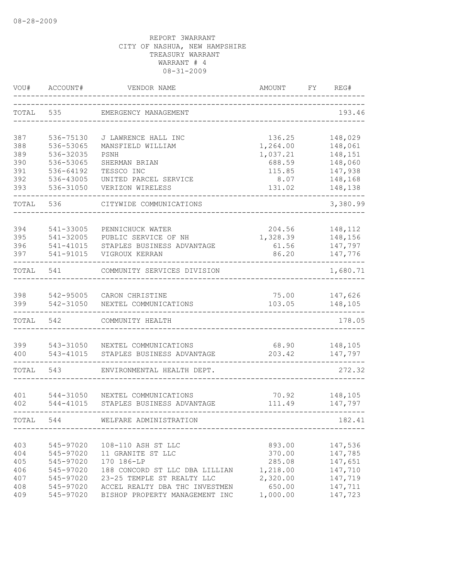| VOU#       | ACCOUNT#               | VENDOR NAME                                                  | <b>AMOUNT</b>      | FY | REG#               |
|------------|------------------------|--------------------------------------------------------------|--------------------|----|--------------------|
| TOTAL      | 535                    | EMERGENCY MANAGEMENT                                         |                    |    | 193.46             |
| 387        | 536-75130              | J LAWRENCE HALL INC                                          | 136.25             |    | 148,029            |
| 388        | 536-53065              | MANSFIELD WILLIAM                                            | 1,264.00           |    | 148,061            |
| 389        | 536-32035              | PSNH                                                         | 1,037.21           |    | 148,151            |
| 390        | 536-53065              | SHERMAN BRIAN                                                | 688.59             |    | 148,060            |
| 391        | 536-64192              | TESSCO INC                                                   | 115.85             |    | 147,938            |
| 392        | 536-43005              | UNITED PARCEL SERVICE                                        | 8.07               |    | 148,168            |
| 393        | 536-31050              | VERIZON WIRELESS                                             | 131.02             |    | 148,138            |
| TOTAL      | 536                    | CITYWIDE COMMUNICATIONS                                      |                    |    | 3,380.99           |
| 394        | 541-33005              | PENNICHUCK WATER                                             | 204.56             |    | 148,112            |
| 395        | 541-32005              | PUBLIC SERVICE OF NH                                         | 1,328.39           |    | 148,156            |
| 396        | 541-41015              | STAPLES BUSINESS ADVANTAGE                                   | 61.56              |    | 147,797            |
| 397        | 541-91015              | VIGROUX KERRAN                                               | 86.20              |    | 147,776            |
| TOTAL      | 541                    | COMMUNITY SERVICES DIVISION                                  |                    |    | 1,680.71           |
|            |                        |                                                              |                    |    |                    |
| 398        | 542-95005              | CARON CHRISTINE                                              | 75.00              |    | 147,626            |
| 399        | 542-31050              | NEXTEL COMMUNICATIONS                                        | 103.05             |    | 148,105            |
| TOTAL      | 542                    | COMMUNITY HEALTH                                             |                    |    | 178.05             |
| 399        | 543-31050              | NEXTEL COMMUNICATIONS                                        | 68.90              |    | 148,105            |
| 400        | 543-41015              | STAPLES BUSINESS ADVANTAGE                                   | 203.42             |    | 147,797            |
| TOTAL      | 543                    | ENVIRONMENTAL HEALTH DEPT.                                   |                    |    | 272.32             |
|            |                        |                                                              |                    |    |                    |
| 401<br>402 | 544-31050<br>544-41015 | NEXTEL COMMUNICATIONS<br>STAPLES BUSINESS ADVANTAGE          | 70.92<br>111.49    |    | 148,105<br>147,797 |
| TOTAL      | 544                    | WELFARE ADMINISTRATION                                       |                    |    | 182.41             |
|            |                        |                                                              |                    |    |                    |
| 403        | 545-97020              | 108-110 ASH ST LLC                                           | 893.00             |    | 147,536            |
| 404        | 545-97020              | 11 GRANITE ST LLC<br>170 186-LP                              | 370.00             |    | 147,785            |
| 405        | 545-97020<br>545-97020 |                                                              | 285.08<br>1,218.00 |    | 147,651<br>147,710 |
| 406<br>407 | 545-97020              | 188 CONCORD ST LLC DBA LILLIAN<br>23-25 TEMPLE ST REALTY LLC | 2,320.00           |    | 147,719            |
| 408        | 545-97020              | ACCEL REALTY DBA THC INVESTMEN                               | 650.00             |    | 147,711            |
| 409        | 545-97020              | BISHOP PROPERTY MANAGEMENT INC                               | 1,000.00           |    | 147,723            |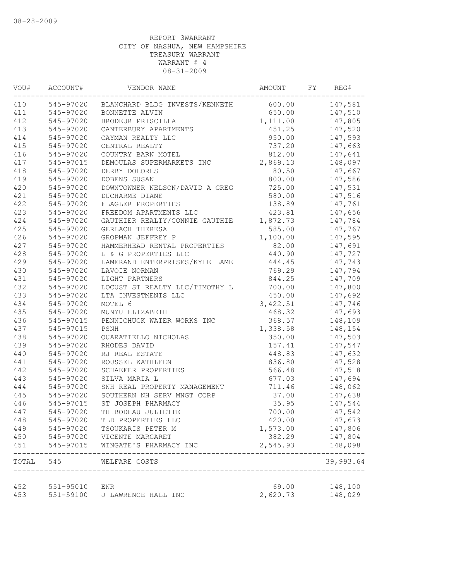| VOU#      | ACCOUNT#  | VENDOR NAME                                | AMOUNT   | FY | REG#                |
|-----------|-----------|--------------------------------------------|----------|----|---------------------|
| 410       |           | 545-97020 BLANCHARD BLDG INVESTS/KENNETH   | 600.00   |    | 147,581             |
| 411       | 545-97020 | BONNETTE ALVIN                             | 650.00   |    | 147,510             |
| 412       | 545-97020 | BRODEUR PRISCILLA                          | 1,111.00 |    | 147,805             |
| 413       | 545-97020 | CANTERBURY APARTMENTS                      | 451.25   |    | 147,520             |
| 414       | 545-97020 | CAYMAN REALTY LLC                          | 950.00   |    | 147,593             |
| 415       | 545-97020 | CENTRAL REALTY                             | 737.20   |    | 147,663             |
| 416       | 545-97020 | COUNTRY BARN MOTEL                         | 812.00   |    | 147,641             |
| 417       | 545-97015 | DEMOULAS SUPERMARKETS INC                  | 2,869.13 |    | 148,097             |
| 418       | 545-97020 | DERBY DOLORES                              | 80.50    |    | 147,667             |
| 419       | 545-97020 | DOBENS SUSAN                               | 800.00   |    | 147,586             |
| 420       | 545-97020 | DOWNTOWNER NELSON/DAVID A GREG             | 725.00   |    | 147,531             |
| 421       | 545-97020 | DUCHARME DIANE                             | 580.00   |    | 147,516             |
| 422       | 545-97020 | FLAGLER PROPERTIES                         | 138.89   |    | 147,761             |
| 423       | 545-97020 | FREEDOM APARTMENTS LLC                     | 423.81   |    | 147,656             |
| 424       | 545-97020 | GAUTHIER REALTY/CONNIE GAUTHIE             | 1,872.73 |    | 147,784             |
| 425       | 545-97020 | GERLACH THERESA                            | 585.00   |    | 147,767             |
| 426       | 545-97020 | GROPMAN JEFFREY P                          | 1,100.00 |    | 147,595             |
| 427       | 545-97020 | HAMMERHEAD RENTAL PROPERTIES               | 82.00    |    | 147,691             |
| 428       | 545-97020 | L & G PROPERTIES LLC                       | 440.90   |    | 147,727             |
| 429       | 545-97020 | LAMERAND ENTERPRISES/KYLE LAME             | 444.45   |    | 147,743             |
| 430       | 545-97020 | LAVOIE NORMAN                              | 769.29   |    | 147,794             |
| 431       | 545-97020 | LIGHT PARTNERS                             | 844.25   |    | 147,709             |
| 432       | 545-97020 | LOCUST ST REALTY LLC/TIMOTHY L             | 700.00   |    | 147,800             |
| 433       | 545-97020 | LTA INVESTMENTS LLC                        | 450.00   |    | 147,692             |
| 434       | 545-97020 | MOTEL 6                                    | 3,422.51 |    | 147,746             |
| 435       | 545-97020 | MUNYU ELIZABETH                            | 468.32   |    | 147,693             |
| 436       | 545-97015 | PENNICHUCK WATER WORKS INC                 | 368.57   |    | 148,109             |
| 437       | 545-97015 | PSNH                                       | 1,338.58 |    | 148,154             |
| 438       | 545-97020 | QUARATIELLO NICHOLAS                       | 350.00   |    | 147,503             |
| 439       | 545-97020 | RHODES DAVID                               | 157.41   |    | 147,547             |
| 440       | 545-97020 | RJ REAL ESTATE                             | 448.83   |    | 147,632             |
| 441       | 545-97020 | ROUSSEL KATHLEEN                           | 836.80   |    | 147,528             |
| 442       | 545-97020 | SCHAEFER PROPERTIES                        | 566.48   |    | 147,518             |
| 443       | 545-97020 | SILVA MARIA L                              | 677.03   |    | 147,694             |
| 444       | 545-97020 | SNH REAL PROPERTY MANAGEMENT               | 711.46   |    | 148,062             |
| 445       | 545-97020 | SOUTHERN NH SERV MNGT CORP                 | 37.00    |    | 147,638             |
| 446       | 545-97015 | ST JOSEPH PHARMACY                         | 35.95    |    | 147,544             |
| 447       | 545-97020 | THIBODEAU JULIETTE                         | 700.00   |    | 147,542             |
| 448       | 545-97020 | TLD PROPERTIES LLC                         | 420.00   |    | 147,673             |
| 449       | 545-97020 | TSOUKARIS PETER M                          | 1,573.00 |    | 147,806             |
| 450       | 545-97020 | VICENTE MARGARET                           | 382.29   |    | 147,804             |
| 451       | 545-97015 | WINGATE'S PHARMACY INC                     | 2,545.93 |    | 148,098<br>-------- |
| TOTAL 545 |           | WELFARE COSTS<br>_________________________ |          |    | 39,993.64           |
| 452       | 551-95010 | ENR                                        | 69.00    |    | 148,100             |
| 453       | 551-59100 | J LAWRENCE HALL INC                        | 2,620.73 |    | 148,029             |
|           |           |                                            |          |    |                     |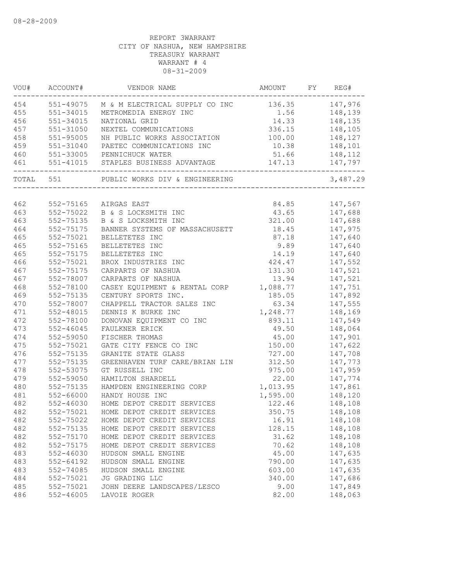|     |               | VOU# ACCOUNT# VENDOR NAME                                   | AMOUNT FY REG# |                |
|-----|---------------|-------------------------------------------------------------|----------------|----------------|
|     |               | 454 551-49075 M & M ELECTRICAL SUPPLY CO INC 136.35 147,976 |                |                |
| 455 | 551-34015     | METROMEDIA ENERGY INC                                       | 1.56           | 148,139        |
| 456 | 551-34015     | NATIONAL GRID                                               | 14.33 148,135  |                |
| 457 | 551-31050     | NEXTEL COMMUNICATIONS                                       | 336.15 148,105 |                |
| 458 | 551-95005     | NH PUBLIC WORKS ASSOCIATION 100.00 148,127                  |                |                |
| 459 | 551-31040     | PAETEC COMMUNICATIONS INC                                   |                |                |
| 460 |               | 551-33005 PENNICHUCK WATER                                  |                | 51.66 148,112  |
| 461 |               |                                                             | 147.13         | 147,797        |
|     |               |                                                             |                | 3,487.29       |
|     |               |                                                             |                |                |
| 462 |               | 552-75165 AIRGAS EAST                                       |                | 84.85 147,567  |
| 463 | 552-75022     | B & S LOCKSMITH INC                                         | 43.65 147,688  |                |
| 463 | 552-75135     | B & S LOCKSMITH INC                                         |                | 321.00 147,688 |
| 464 | 552-75175     | BANNER SYSTEMS OF MASSACHUSETT                              | 18.45          | 147,975        |
| 465 | 552-75021     | BELLETETES INC                                              | 87.18          | 147,640        |
| 465 | $552 - 75165$ | BELLETETES INC                                              | 9.89           | 147,640        |
| 465 | 552-75175     | BELLETETES INC                                              | 14.19          | 147,640        |
| 466 | 552-75021     | BROX INDUSTRIES INC                                         | 424.47         | 147,552        |
| 467 | 552-75175     | CARPARTS OF NASHUA                                          | 131.30         | 147,521        |
| 467 | 552-78007     | CARPARTS OF NASHUA                                          | 13.94          | 147,521        |
| 468 | 552-78100     | CASEY EQUIPMENT & RENTAL CORP 1,088.77                      |                | 147,751        |
| 469 | 552-75135     | CENTURY SPORTS INC.                                         | 185.05         | 147,892        |
| 470 | 552-78007     | CHAPPELL TRACTOR SALES INC                                  | 63.34          | 147,555        |
| 471 | 552-48015     | DENNIS K BURKE INC                                          | 1,248.77       | 148,169        |
| 472 | 552-78100     | DONOVAN EQUIPMENT CO INC                                    | 893.11         | 147,549        |
| 473 | 552-46045     | FAULKNER ERICK                                              | 49.50          | 148,064        |
| 474 | 552-59050     | FISCHER THOMAS                                              | 45.00          | 147,901        |
| 475 | 552-75021     | GATE CITY FENCE CO INC                                      | 150.00         | 147,622        |
| 476 | 552-75135     | GRANITE STATE GLASS                                         | 727.00         | 147,708        |
| 477 | 552-75135     | GREENHAVEN TURF CARE/BRIAN LIN                              | 312.50         | 147,773        |
| 478 | 552-53075     | GT RUSSELL INC                                              | 975.00         | 147,959        |
| 479 | 552-59050     | HAMILTON SHARDELL                                           | 22.00          | 147,774        |
| 480 | 552-75135     | HAMPDEN ENGINEERING CORP                                    | 1,013.95       | 147,861        |
| 481 | 552-66000     | HANDY HOUSE INC                                             | 1,595.00       | 148,120        |
| 482 | $552 - 46030$ | HOME DEPOT CREDIT SERVICES                                  | 122.46         | 148,108        |
| 482 |               | 552-75021 HOME DEPOT CREDIT SERVICES                        | 350.75         | 148,108        |
| 482 | 552-75022     | HOME DEPOT CREDIT SERVICES                                  | 16.91          | 148,108        |
| 482 | 552-75135     | HOME DEPOT CREDIT SERVICES                                  | 128.15         | 148,108        |
| 482 | 552-75170     | HOME DEPOT CREDIT SERVICES                                  | 31.62          | 148,108        |
| 482 | 552-75175     | HOME DEPOT CREDIT SERVICES                                  | 70.62          | 148,108        |
| 483 | $552 - 46030$ | HUDSON SMALL ENGINE                                         | 45.00          | 147,635        |
| 483 | $552 - 64192$ | HUDSON SMALL ENGINE                                         | 790.00         | 147,635        |
| 483 | 552-74085     | HUDSON SMALL ENGINE                                         | 603.00         | 147,635        |
|     |               |                                                             |                |                |
| 484 | 552-75021     | JG GRADING LLC                                              | 340.00         | 147,686        |
| 485 | 552-75021     | JOHN DEERE LANDSCAPES/LESCO                                 | 9.00           | 147,849        |
| 486 | 552-46005     | LAVOIE ROGER                                                | 82.00          | 148,063        |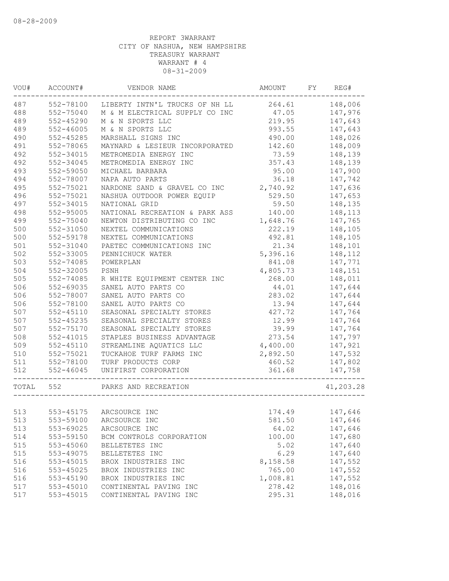| 487<br>148,006<br>552-78100<br>LIBERTY INTN'L TRUCKS OF NH LL 264.61<br>488<br>552-75040<br>47.05<br>147,976<br>M & M ELECTRICAL SUPPLY CO INC<br>489<br>$552 - 45290$<br>M & N SPORTS LLC<br>219.95<br>147,643<br>489<br>$552 - 46005$<br>993.55<br>147,643<br>M & N SPORTS LLC<br>490<br>$552 - 45285$<br>MARSHALL SIGNS INC<br>490.00<br>148,026<br>491<br>552-78065<br>142.60<br>148,009<br>MAYNARD & LESIEUR INCORPORATED<br>492<br>552-34015<br>METROMEDIA ENERGY INC<br>73.59<br>148,139<br>492<br>552-34045<br>357.43<br>METROMEDIA ENERGY INC<br>148,139<br>493<br>552-59050<br>95.00<br>147,900<br>MICHAEL BARBARA<br>494<br>552-78007<br>36.18<br>147,742<br>NAPA AUTO PARTS<br>495<br>NARDONE SAND & GRAVEL CO INC<br>552-75021<br>2,740.92<br>147,636<br>496<br>552-75021<br>NASHUA OUTDOOR POWER EQUIP<br>529.50<br>147,653<br>497<br>552-34015<br>59.50<br>NATIONAL GRID<br>148,135<br>498<br>552-95005<br>NATIONAL RECREATION & PARK ASS<br>140.00<br>148,113<br>499<br>552-75040<br>1,648.76<br>147,765<br>NEWTON DISTRIBUTING CO INC<br>222.19<br>148,105<br>500<br>552-31050<br>NEXTEL COMMUNICATIONS<br>500<br>552-59178<br>492.81<br>148,105<br>NEXTEL COMMUNICATIONS<br>501<br>21.34<br>552-31040<br>PAETEC COMMUNICATIONS INC<br>148,101<br>502<br>552-33005<br>5,396.16<br>148,112<br>PENNICHUCK WATER<br>503<br>552-74085<br>147,771<br>POWERPLAN<br>841.08<br>504<br>552-32005<br>PSNH<br>4,805.73<br>148,151<br>505<br>552-74085<br>R WHITE EQUIPMENT CENTER INC<br>268.00<br>148,011<br>506<br>552-69035<br>SANEL AUTO PARTS CO<br>44.01<br>147,644<br>506<br>552-78007<br>SANEL AUTO PARTS CO<br>283.02<br>147,644<br>506<br>552-78100<br>SANEL AUTO PARTS CO<br>13.94<br>147,644<br>507<br>$552 - 45110$<br>SEASONAL SPECIALTY STORES<br>427.72<br>147,764<br>507<br>552-45235<br>12.99<br>147,764<br>SEASONAL SPECIALTY STORES<br>507<br>552-75170<br>39.99<br>SEASONAL SPECIALTY STORES<br>147,764<br>508<br>$552 - 41015$<br>STAPLES BUSINESS ADVANTAGE<br>273.54<br>147,797<br>509<br>$552 - 45110$<br>STREAMLINE AQUATICS LLC<br>4,400.00<br>147,921<br>510<br>552-75021<br>2,892.50<br>TUCKAHOE TURF FARMS INC<br>147,532<br>511<br>552-78100<br>147,802<br>TURF PRODUCTS CORP<br>460.52<br>512<br>$552 - 46045$<br>361.68<br>147,758<br>UNIFIRST CORPORATION<br>TOTAL 552<br>PARKS AND RECREATION<br>553-45175<br>174.49<br>513<br>ARCSOURCE INC<br>147,646<br>553-59100<br>513<br>ARCSOURCE INC<br>581.50<br>147,646<br>513<br>64.02<br>553-69025<br>147,646<br>ARCSOURCE INC<br>514<br>553-59150<br>100.00<br>147,680<br>BCM CONTROLS CORPORATION<br>515<br>553-45060<br>5.02<br>147,640<br>BELLETETES INC<br>515<br>553-49075<br>6.29<br>147,640<br>BELLETETES INC<br>147,552<br>516<br>553-45015<br>BROX INDUSTRIES INC<br>8,158.58<br>765.00<br>147,552<br>516<br>553-45025<br>BROX INDUSTRIES INC<br>516<br>553-45190<br>1,008.81<br>147,552<br>BROX INDUSTRIES INC<br>517<br>553-45010<br>CONTINENTAL PAVING INC<br>278.42<br>148,016<br>517<br>$553 - 45015$<br>CONTINENTAL PAVING INC<br>295.31<br>148,016 | WOU# | ACCOUNT# | VENDOR NAME | AMOUNT | FY | REG#      |
|----------------------------------------------------------------------------------------------------------------------------------------------------------------------------------------------------------------------------------------------------------------------------------------------------------------------------------------------------------------------------------------------------------------------------------------------------------------------------------------------------------------------------------------------------------------------------------------------------------------------------------------------------------------------------------------------------------------------------------------------------------------------------------------------------------------------------------------------------------------------------------------------------------------------------------------------------------------------------------------------------------------------------------------------------------------------------------------------------------------------------------------------------------------------------------------------------------------------------------------------------------------------------------------------------------------------------------------------------------------------------------------------------------------------------------------------------------------------------------------------------------------------------------------------------------------------------------------------------------------------------------------------------------------------------------------------------------------------------------------------------------------------------------------------------------------------------------------------------------------------------------------------------------------------------------------------------------------------------------------------------------------------------------------------------------------------------------------------------------------------------------------------------------------------------------------------------------------------------------------------------------------------------------------------------------------------------------------------------------------------------------------------------------------------------------------------------------------------------------------------------------------------------------------------------------------------------------------------------------------------------------------------------------------------------------------------------------------------------------------------------------------------------------------------------------------------------------------------------------------------------------------------------------------------------------------------------------------------------------------------------------------------------------------------------------|------|----------|-------------|--------|----|-----------|
|                                                                                                                                                                                                                                                                                                                                                                                                                                                                                                                                                                                                                                                                                                                                                                                                                                                                                                                                                                                                                                                                                                                                                                                                                                                                                                                                                                                                                                                                                                                                                                                                                                                                                                                                                                                                                                                                                                                                                                                                                                                                                                                                                                                                                                                                                                                                                                                                                                                                                                                                                                                                                                                                                                                                                                                                                                                                                                                                                                                                                                                          |      |          |             |        |    |           |
|                                                                                                                                                                                                                                                                                                                                                                                                                                                                                                                                                                                                                                                                                                                                                                                                                                                                                                                                                                                                                                                                                                                                                                                                                                                                                                                                                                                                                                                                                                                                                                                                                                                                                                                                                                                                                                                                                                                                                                                                                                                                                                                                                                                                                                                                                                                                                                                                                                                                                                                                                                                                                                                                                                                                                                                                                                                                                                                                                                                                                                                          |      |          |             |        |    |           |
|                                                                                                                                                                                                                                                                                                                                                                                                                                                                                                                                                                                                                                                                                                                                                                                                                                                                                                                                                                                                                                                                                                                                                                                                                                                                                                                                                                                                                                                                                                                                                                                                                                                                                                                                                                                                                                                                                                                                                                                                                                                                                                                                                                                                                                                                                                                                                                                                                                                                                                                                                                                                                                                                                                                                                                                                                                                                                                                                                                                                                                                          |      |          |             |        |    |           |
|                                                                                                                                                                                                                                                                                                                                                                                                                                                                                                                                                                                                                                                                                                                                                                                                                                                                                                                                                                                                                                                                                                                                                                                                                                                                                                                                                                                                                                                                                                                                                                                                                                                                                                                                                                                                                                                                                                                                                                                                                                                                                                                                                                                                                                                                                                                                                                                                                                                                                                                                                                                                                                                                                                                                                                                                                                                                                                                                                                                                                                                          |      |          |             |        |    |           |
|                                                                                                                                                                                                                                                                                                                                                                                                                                                                                                                                                                                                                                                                                                                                                                                                                                                                                                                                                                                                                                                                                                                                                                                                                                                                                                                                                                                                                                                                                                                                                                                                                                                                                                                                                                                                                                                                                                                                                                                                                                                                                                                                                                                                                                                                                                                                                                                                                                                                                                                                                                                                                                                                                                                                                                                                                                                                                                                                                                                                                                                          |      |          |             |        |    |           |
|                                                                                                                                                                                                                                                                                                                                                                                                                                                                                                                                                                                                                                                                                                                                                                                                                                                                                                                                                                                                                                                                                                                                                                                                                                                                                                                                                                                                                                                                                                                                                                                                                                                                                                                                                                                                                                                                                                                                                                                                                                                                                                                                                                                                                                                                                                                                                                                                                                                                                                                                                                                                                                                                                                                                                                                                                                                                                                                                                                                                                                                          |      |          |             |        |    |           |
|                                                                                                                                                                                                                                                                                                                                                                                                                                                                                                                                                                                                                                                                                                                                                                                                                                                                                                                                                                                                                                                                                                                                                                                                                                                                                                                                                                                                                                                                                                                                                                                                                                                                                                                                                                                                                                                                                                                                                                                                                                                                                                                                                                                                                                                                                                                                                                                                                                                                                                                                                                                                                                                                                                                                                                                                                                                                                                                                                                                                                                                          |      |          |             |        |    |           |
|                                                                                                                                                                                                                                                                                                                                                                                                                                                                                                                                                                                                                                                                                                                                                                                                                                                                                                                                                                                                                                                                                                                                                                                                                                                                                                                                                                                                                                                                                                                                                                                                                                                                                                                                                                                                                                                                                                                                                                                                                                                                                                                                                                                                                                                                                                                                                                                                                                                                                                                                                                                                                                                                                                                                                                                                                                                                                                                                                                                                                                                          |      |          |             |        |    |           |
|                                                                                                                                                                                                                                                                                                                                                                                                                                                                                                                                                                                                                                                                                                                                                                                                                                                                                                                                                                                                                                                                                                                                                                                                                                                                                                                                                                                                                                                                                                                                                                                                                                                                                                                                                                                                                                                                                                                                                                                                                                                                                                                                                                                                                                                                                                                                                                                                                                                                                                                                                                                                                                                                                                                                                                                                                                                                                                                                                                                                                                                          |      |          |             |        |    |           |
|                                                                                                                                                                                                                                                                                                                                                                                                                                                                                                                                                                                                                                                                                                                                                                                                                                                                                                                                                                                                                                                                                                                                                                                                                                                                                                                                                                                                                                                                                                                                                                                                                                                                                                                                                                                                                                                                                                                                                                                                                                                                                                                                                                                                                                                                                                                                                                                                                                                                                                                                                                                                                                                                                                                                                                                                                                                                                                                                                                                                                                                          |      |          |             |        |    |           |
|                                                                                                                                                                                                                                                                                                                                                                                                                                                                                                                                                                                                                                                                                                                                                                                                                                                                                                                                                                                                                                                                                                                                                                                                                                                                                                                                                                                                                                                                                                                                                                                                                                                                                                                                                                                                                                                                                                                                                                                                                                                                                                                                                                                                                                                                                                                                                                                                                                                                                                                                                                                                                                                                                                                                                                                                                                                                                                                                                                                                                                                          |      |          |             |        |    |           |
|                                                                                                                                                                                                                                                                                                                                                                                                                                                                                                                                                                                                                                                                                                                                                                                                                                                                                                                                                                                                                                                                                                                                                                                                                                                                                                                                                                                                                                                                                                                                                                                                                                                                                                                                                                                                                                                                                                                                                                                                                                                                                                                                                                                                                                                                                                                                                                                                                                                                                                                                                                                                                                                                                                                                                                                                                                                                                                                                                                                                                                                          |      |          |             |        |    |           |
|                                                                                                                                                                                                                                                                                                                                                                                                                                                                                                                                                                                                                                                                                                                                                                                                                                                                                                                                                                                                                                                                                                                                                                                                                                                                                                                                                                                                                                                                                                                                                                                                                                                                                                                                                                                                                                                                                                                                                                                                                                                                                                                                                                                                                                                                                                                                                                                                                                                                                                                                                                                                                                                                                                                                                                                                                                                                                                                                                                                                                                                          |      |          |             |        |    |           |
|                                                                                                                                                                                                                                                                                                                                                                                                                                                                                                                                                                                                                                                                                                                                                                                                                                                                                                                                                                                                                                                                                                                                                                                                                                                                                                                                                                                                                                                                                                                                                                                                                                                                                                                                                                                                                                                                                                                                                                                                                                                                                                                                                                                                                                                                                                                                                                                                                                                                                                                                                                                                                                                                                                                                                                                                                                                                                                                                                                                                                                                          |      |          |             |        |    |           |
|                                                                                                                                                                                                                                                                                                                                                                                                                                                                                                                                                                                                                                                                                                                                                                                                                                                                                                                                                                                                                                                                                                                                                                                                                                                                                                                                                                                                                                                                                                                                                                                                                                                                                                                                                                                                                                                                                                                                                                                                                                                                                                                                                                                                                                                                                                                                                                                                                                                                                                                                                                                                                                                                                                                                                                                                                                                                                                                                                                                                                                                          |      |          |             |        |    |           |
|                                                                                                                                                                                                                                                                                                                                                                                                                                                                                                                                                                                                                                                                                                                                                                                                                                                                                                                                                                                                                                                                                                                                                                                                                                                                                                                                                                                                                                                                                                                                                                                                                                                                                                                                                                                                                                                                                                                                                                                                                                                                                                                                                                                                                                                                                                                                                                                                                                                                                                                                                                                                                                                                                                                                                                                                                                                                                                                                                                                                                                                          |      |          |             |        |    |           |
|                                                                                                                                                                                                                                                                                                                                                                                                                                                                                                                                                                                                                                                                                                                                                                                                                                                                                                                                                                                                                                                                                                                                                                                                                                                                                                                                                                                                                                                                                                                                                                                                                                                                                                                                                                                                                                                                                                                                                                                                                                                                                                                                                                                                                                                                                                                                                                                                                                                                                                                                                                                                                                                                                                                                                                                                                                                                                                                                                                                                                                                          |      |          |             |        |    |           |
|                                                                                                                                                                                                                                                                                                                                                                                                                                                                                                                                                                                                                                                                                                                                                                                                                                                                                                                                                                                                                                                                                                                                                                                                                                                                                                                                                                                                                                                                                                                                                                                                                                                                                                                                                                                                                                                                                                                                                                                                                                                                                                                                                                                                                                                                                                                                                                                                                                                                                                                                                                                                                                                                                                                                                                                                                                                                                                                                                                                                                                                          |      |          |             |        |    |           |
|                                                                                                                                                                                                                                                                                                                                                                                                                                                                                                                                                                                                                                                                                                                                                                                                                                                                                                                                                                                                                                                                                                                                                                                                                                                                                                                                                                                                                                                                                                                                                                                                                                                                                                                                                                                                                                                                                                                                                                                                                                                                                                                                                                                                                                                                                                                                                                                                                                                                                                                                                                                                                                                                                                                                                                                                                                                                                                                                                                                                                                                          |      |          |             |        |    |           |
|                                                                                                                                                                                                                                                                                                                                                                                                                                                                                                                                                                                                                                                                                                                                                                                                                                                                                                                                                                                                                                                                                                                                                                                                                                                                                                                                                                                                                                                                                                                                                                                                                                                                                                                                                                                                                                                                                                                                                                                                                                                                                                                                                                                                                                                                                                                                                                                                                                                                                                                                                                                                                                                                                                                                                                                                                                                                                                                                                                                                                                                          |      |          |             |        |    |           |
|                                                                                                                                                                                                                                                                                                                                                                                                                                                                                                                                                                                                                                                                                                                                                                                                                                                                                                                                                                                                                                                                                                                                                                                                                                                                                                                                                                                                                                                                                                                                                                                                                                                                                                                                                                                                                                                                                                                                                                                                                                                                                                                                                                                                                                                                                                                                                                                                                                                                                                                                                                                                                                                                                                                                                                                                                                                                                                                                                                                                                                                          |      |          |             |        |    |           |
|                                                                                                                                                                                                                                                                                                                                                                                                                                                                                                                                                                                                                                                                                                                                                                                                                                                                                                                                                                                                                                                                                                                                                                                                                                                                                                                                                                                                                                                                                                                                                                                                                                                                                                                                                                                                                                                                                                                                                                                                                                                                                                                                                                                                                                                                                                                                                                                                                                                                                                                                                                                                                                                                                                                                                                                                                                                                                                                                                                                                                                                          |      |          |             |        |    |           |
|                                                                                                                                                                                                                                                                                                                                                                                                                                                                                                                                                                                                                                                                                                                                                                                                                                                                                                                                                                                                                                                                                                                                                                                                                                                                                                                                                                                                                                                                                                                                                                                                                                                                                                                                                                                                                                                                                                                                                                                                                                                                                                                                                                                                                                                                                                                                                                                                                                                                                                                                                                                                                                                                                                                                                                                                                                                                                                                                                                                                                                                          |      |          |             |        |    |           |
|                                                                                                                                                                                                                                                                                                                                                                                                                                                                                                                                                                                                                                                                                                                                                                                                                                                                                                                                                                                                                                                                                                                                                                                                                                                                                                                                                                                                                                                                                                                                                                                                                                                                                                                                                                                                                                                                                                                                                                                                                                                                                                                                                                                                                                                                                                                                                                                                                                                                                                                                                                                                                                                                                                                                                                                                                                                                                                                                                                                                                                                          |      |          |             |        |    |           |
|                                                                                                                                                                                                                                                                                                                                                                                                                                                                                                                                                                                                                                                                                                                                                                                                                                                                                                                                                                                                                                                                                                                                                                                                                                                                                                                                                                                                                                                                                                                                                                                                                                                                                                                                                                                                                                                                                                                                                                                                                                                                                                                                                                                                                                                                                                                                                                                                                                                                                                                                                                                                                                                                                                                                                                                                                                                                                                                                                                                                                                                          |      |          |             |        |    |           |
|                                                                                                                                                                                                                                                                                                                                                                                                                                                                                                                                                                                                                                                                                                                                                                                                                                                                                                                                                                                                                                                                                                                                                                                                                                                                                                                                                                                                                                                                                                                                                                                                                                                                                                                                                                                                                                                                                                                                                                                                                                                                                                                                                                                                                                                                                                                                                                                                                                                                                                                                                                                                                                                                                                                                                                                                                                                                                                                                                                                                                                                          |      |          |             |        |    |           |
|                                                                                                                                                                                                                                                                                                                                                                                                                                                                                                                                                                                                                                                                                                                                                                                                                                                                                                                                                                                                                                                                                                                                                                                                                                                                                                                                                                                                                                                                                                                                                                                                                                                                                                                                                                                                                                                                                                                                                                                                                                                                                                                                                                                                                                                                                                                                                                                                                                                                                                                                                                                                                                                                                                                                                                                                                                                                                                                                                                                                                                                          |      |          |             |        |    |           |
|                                                                                                                                                                                                                                                                                                                                                                                                                                                                                                                                                                                                                                                                                                                                                                                                                                                                                                                                                                                                                                                                                                                                                                                                                                                                                                                                                                                                                                                                                                                                                                                                                                                                                                                                                                                                                                                                                                                                                                                                                                                                                                                                                                                                                                                                                                                                                                                                                                                                                                                                                                                                                                                                                                                                                                                                                                                                                                                                                                                                                                                          |      |          |             |        |    |           |
|                                                                                                                                                                                                                                                                                                                                                                                                                                                                                                                                                                                                                                                                                                                                                                                                                                                                                                                                                                                                                                                                                                                                                                                                                                                                                                                                                                                                                                                                                                                                                                                                                                                                                                                                                                                                                                                                                                                                                                                                                                                                                                                                                                                                                                                                                                                                                                                                                                                                                                                                                                                                                                                                                                                                                                                                                                                                                                                                                                                                                                                          |      |          |             |        |    |           |
|                                                                                                                                                                                                                                                                                                                                                                                                                                                                                                                                                                                                                                                                                                                                                                                                                                                                                                                                                                                                                                                                                                                                                                                                                                                                                                                                                                                                                                                                                                                                                                                                                                                                                                                                                                                                                                                                                                                                                                                                                                                                                                                                                                                                                                                                                                                                                                                                                                                                                                                                                                                                                                                                                                                                                                                                                                                                                                                                                                                                                                                          |      |          |             |        |    |           |
|                                                                                                                                                                                                                                                                                                                                                                                                                                                                                                                                                                                                                                                                                                                                                                                                                                                                                                                                                                                                                                                                                                                                                                                                                                                                                                                                                                                                                                                                                                                                                                                                                                                                                                                                                                                                                                                                                                                                                                                                                                                                                                                                                                                                                                                                                                                                                                                                                                                                                                                                                                                                                                                                                                                                                                                                                                                                                                                                                                                                                                                          |      |          |             |        |    |           |
|                                                                                                                                                                                                                                                                                                                                                                                                                                                                                                                                                                                                                                                                                                                                                                                                                                                                                                                                                                                                                                                                                                                                                                                                                                                                                                                                                                                                                                                                                                                                                                                                                                                                                                                                                                                                                                                                                                                                                                                                                                                                                                                                                                                                                                                                                                                                                                                                                                                                                                                                                                                                                                                                                                                                                                                                                                                                                                                                                                                                                                                          |      |          |             |        |    |           |
|                                                                                                                                                                                                                                                                                                                                                                                                                                                                                                                                                                                                                                                                                                                                                                                                                                                                                                                                                                                                                                                                                                                                                                                                                                                                                                                                                                                                                                                                                                                                                                                                                                                                                                                                                                                                                                                                                                                                                                                                                                                                                                                                                                                                                                                                                                                                                                                                                                                                                                                                                                                                                                                                                                                                                                                                                                                                                                                                                                                                                                                          |      |          |             |        |    |           |
|                                                                                                                                                                                                                                                                                                                                                                                                                                                                                                                                                                                                                                                                                                                                                                                                                                                                                                                                                                                                                                                                                                                                                                                                                                                                                                                                                                                                                                                                                                                                                                                                                                                                                                                                                                                                                                                                                                                                                                                                                                                                                                                                                                                                                                                                                                                                                                                                                                                                                                                                                                                                                                                                                                                                                                                                                                                                                                                                                                                                                                                          |      |          |             |        |    |           |
|                                                                                                                                                                                                                                                                                                                                                                                                                                                                                                                                                                                                                                                                                                                                                                                                                                                                                                                                                                                                                                                                                                                                                                                                                                                                                                                                                                                                                                                                                                                                                                                                                                                                                                                                                                                                                                                                                                                                                                                                                                                                                                                                                                                                                                                                                                                                                                                                                                                                                                                                                                                                                                                                                                                                                                                                                                                                                                                                                                                                                                                          |      |          |             |        |    | 41,203.28 |
|                                                                                                                                                                                                                                                                                                                                                                                                                                                                                                                                                                                                                                                                                                                                                                                                                                                                                                                                                                                                                                                                                                                                                                                                                                                                                                                                                                                                                                                                                                                                                                                                                                                                                                                                                                                                                                                                                                                                                                                                                                                                                                                                                                                                                                                                                                                                                                                                                                                                                                                                                                                                                                                                                                                                                                                                                                                                                                                                                                                                                                                          |      |          |             |        |    |           |
|                                                                                                                                                                                                                                                                                                                                                                                                                                                                                                                                                                                                                                                                                                                                                                                                                                                                                                                                                                                                                                                                                                                                                                                                                                                                                                                                                                                                                                                                                                                                                                                                                                                                                                                                                                                                                                                                                                                                                                                                                                                                                                                                                                                                                                                                                                                                                                                                                                                                                                                                                                                                                                                                                                                                                                                                                                                                                                                                                                                                                                                          |      |          |             |        |    |           |
|                                                                                                                                                                                                                                                                                                                                                                                                                                                                                                                                                                                                                                                                                                                                                                                                                                                                                                                                                                                                                                                                                                                                                                                                                                                                                                                                                                                                                                                                                                                                                                                                                                                                                                                                                                                                                                                                                                                                                                                                                                                                                                                                                                                                                                                                                                                                                                                                                                                                                                                                                                                                                                                                                                                                                                                                                                                                                                                                                                                                                                                          |      |          |             |        |    |           |
|                                                                                                                                                                                                                                                                                                                                                                                                                                                                                                                                                                                                                                                                                                                                                                                                                                                                                                                                                                                                                                                                                                                                                                                                                                                                                                                                                                                                                                                                                                                                                                                                                                                                                                                                                                                                                                                                                                                                                                                                                                                                                                                                                                                                                                                                                                                                                                                                                                                                                                                                                                                                                                                                                                                                                                                                                                                                                                                                                                                                                                                          |      |          |             |        |    |           |
|                                                                                                                                                                                                                                                                                                                                                                                                                                                                                                                                                                                                                                                                                                                                                                                                                                                                                                                                                                                                                                                                                                                                                                                                                                                                                                                                                                                                                                                                                                                                                                                                                                                                                                                                                                                                                                                                                                                                                                                                                                                                                                                                                                                                                                                                                                                                                                                                                                                                                                                                                                                                                                                                                                                                                                                                                                                                                                                                                                                                                                                          |      |          |             |        |    |           |
|                                                                                                                                                                                                                                                                                                                                                                                                                                                                                                                                                                                                                                                                                                                                                                                                                                                                                                                                                                                                                                                                                                                                                                                                                                                                                                                                                                                                                                                                                                                                                                                                                                                                                                                                                                                                                                                                                                                                                                                                                                                                                                                                                                                                                                                                                                                                                                                                                                                                                                                                                                                                                                                                                                                                                                                                                                                                                                                                                                                                                                                          |      |          |             |        |    |           |
|                                                                                                                                                                                                                                                                                                                                                                                                                                                                                                                                                                                                                                                                                                                                                                                                                                                                                                                                                                                                                                                                                                                                                                                                                                                                                                                                                                                                                                                                                                                                                                                                                                                                                                                                                                                                                                                                                                                                                                                                                                                                                                                                                                                                                                                                                                                                                                                                                                                                                                                                                                                                                                                                                                                                                                                                                                                                                                                                                                                                                                                          |      |          |             |        |    |           |
|                                                                                                                                                                                                                                                                                                                                                                                                                                                                                                                                                                                                                                                                                                                                                                                                                                                                                                                                                                                                                                                                                                                                                                                                                                                                                                                                                                                                                                                                                                                                                                                                                                                                                                                                                                                                                                                                                                                                                                                                                                                                                                                                                                                                                                                                                                                                                                                                                                                                                                                                                                                                                                                                                                                                                                                                                                                                                                                                                                                                                                                          |      |          |             |        |    |           |
|                                                                                                                                                                                                                                                                                                                                                                                                                                                                                                                                                                                                                                                                                                                                                                                                                                                                                                                                                                                                                                                                                                                                                                                                                                                                                                                                                                                                                                                                                                                                                                                                                                                                                                                                                                                                                                                                                                                                                                                                                                                                                                                                                                                                                                                                                                                                                                                                                                                                                                                                                                                                                                                                                                                                                                                                                                                                                                                                                                                                                                                          |      |          |             |        |    |           |
|                                                                                                                                                                                                                                                                                                                                                                                                                                                                                                                                                                                                                                                                                                                                                                                                                                                                                                                                                                                                                                                                                                                                                                                                                                                                                                                                                                                                                                                                                                                                                                                                                                                                                                                                                                                                                                                                                                                                                                                                                                                                                                                                                                                                                                                                                                                                                                                                                                                                                                                                                                                                                                                                                                                                                                                                                                                                                                                                                                                                                                                          |      |          |             |        |    |           |
|                                                                                                                                                                                                                                                                                                                                                                                                                                                                                                                                                                                                                                                                                                                                                                                                                                                                                                                                                                                                                                                                                                                                                                                                                                                                                                                                                                                                                                                                                                                                                                                                                                                                                                                                                                                                                                                                                                                                                                                                                                                                                                                                                                                                                                                                                                                                                                                                                                                                                                                                                                                                                                                                                                                                                                                                                                                                                                                                                                                                                                                          |      |          |             |        |    |           |
|                                                                                                                                                                                                                                                                                                                                                                                                                                                                                                                                                                                                                                                                                                                                                                                                                                                                                                                                                                                                                                                                                                                                                                                                                                                                                                                                                                                                                                                                                                                                                                                                                                                                                                                                                                                                                                                                                                                                                                                                                                                                                                                                                                                                                                                                                                                                                                                                                                                                                                                                                                                                                                                                                                                                                                                                                                                                                                                                                                                                                                                          |      |          |             |        |    |           |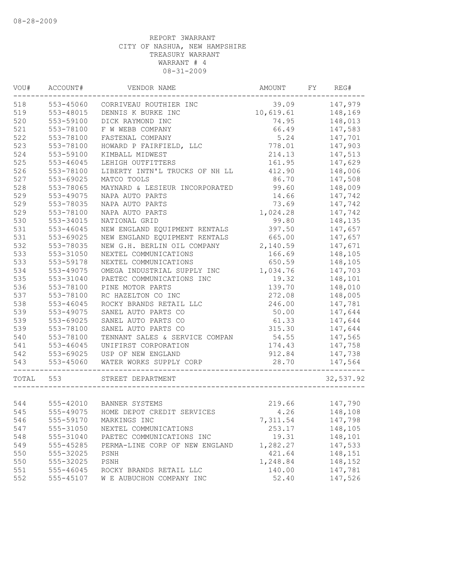| 147,979<br>518<br>553-45060<br>39.09<br>CORRIVEAU ROUTHIER INC<br>519<br>10,619.61<br>148,169<br>553-48015<br>DENNIS K BURKE INC<br>520<br>553-59100<br>148,013<br>DICK RAYMOND INC<br>74.95<br>521<br>553-78100<br>66.49<br>F W WEBB COMPANY<br>147,583<br>522<br>553-78100<br>FASTENAL COMPANY<br>5.24<br>147,701<br>523<br>553-78100<br>HOWARD P FAIRFIELD, LLC<br>778.01<br>147,903<br>524<br>553-59100<br>214.13<br>147,513<br>KIMBALL MIDWEST<br>525<br>$553 - 46045$<br>LEHIGH OUTFITTERS<br>161.95<br>147,629<br>526<br>553-78100<br>412.90<br>148,006<br>LIBERTY INTN'L TRUCKS OF NH LL<br>527<br>553-69025<br>86.70<br>147,508<br>MATCO TOOLS<br>528<br>148,009<br>553-78065<br>MAYNARD & LESIEUR INCORPORATED<br>99.60<br>529<br>553-49075<br>14.66<br>147,742<br>NAPA AUTO PARTS<br>529<br>553-78035<br>NAPA AUTO PARTS<br>73.69<br>147,742<br>529<br>553-78100<br>NAPA AUTO PARTS<br>1,024.28<br>147,742<br>530<br>99.80<br>553-34015<br>NATIONAL GRID<br>148,135<br>531<br>553-46045<br>NEW ENGLAND EQUIPMENT RENTALS<br>397.50<br>147,657<br>147,657<br>531<br>553-69025<br>NEW ENGLAND EQUIPMENT RENTALS<br>665.00<br>532<br>553-78035<br>2,140.59<br>147,671<br>NEW G.H. BERLIN OIL COMPANY<br>533<br>553-31050<br>NEXTEL COMMUNICATIONS<br>166.69<br>148,105<br>533<br>553-59178<br>NEXTEL COMMUNICATIONS<br>650.59<br>148,105<br>534<br>OMEGA INDUSTRIAL SUPPLY INC<br>553-49075<br>1,034.76<br>147,703<br>535<br>553-31040<br>PAETEC COMMUNICATIONS INC<br>19.32<br>148,101<br>536<br>553-78100<br>PINE MOTOR PARTS<br>139.70<br>148,010<br>537<br>148,005<br>553-78100<br>RC HAZELTON CO INC<br>272.08<br>538<br>553-46045<br>ROCKY BRANDS RETAIL LLC<br>246.00<br>147,781<br>539<br>553-49075<br>SANEL AUTO PARTS CO<br>50.00<br>147,644<br>539<br>553-69025<br>SANEL AUTO PARTS CO<br>61.33<br>147,644<br>539<br>553-78100<br>SANEL AUTO PARTS CO<br>315.30<br>147,644<br>540<br>553-78100<br>54.55<br>147,565<br>TENNANT SALES & SERVICE COMPAN<br>541<br>553-46045<br>UNIFIRST CORPORATION<br>174.43<br>147,758<br>542<br>553-69025<br>USP OF NEW ENGLAND<br>912.84<br>147,738<br>543<br>553-45060<br>WATER WORKS SUPPLY CORP<br>28.70<br>147,564<br>553<br>TOTAL<br>STREET DEPARTMENT<br>544<br>555-42010 BANNER SYSTEMS<br>147,790<br>219.66<br>545<br>148,108<br>555-49075 HOME DEPOT CREDIT SERVICES<br>4.26<br>546<br>555-59170<br>MARKINGS INC<br>7,311.54<br>147,798<br>547<br>555-31050<br>253.17<br>148,105<br>NEXTEL COMMUNICATIONS<br>19.31<br>548<br>555-31040<br>148,101<br>PAETEC COMMUNICATIONS INC<br>549<br>555-45285<br>PERMA-LINE CORP OF NEW ENGLAND<br>1,282.27<br>147,533<br>550<br>421.64<br>555-32025<br>148,151<br>PSNH<br>550<br>1,248.84<br>148,152<br>555-32025<br>PSNH<br>551<br>140.00<br>147,781<br>555-46045<br>ROCKY BRANDS RETAIL LLC<br>147,526<br>52.40<br>555-45107<br>W E AUBUCHON COMPANY INC | VOU# | ACCOUNT# | VENDOR NAME | AMOUNT | FY REG#   |
|---------------------------------------------------------------------------------------------------------------------------------------------------------------------------------------------------------------------------------------------------------------------------------------------------------------------------------------------------------------------------------------------------------------------------------------------------------------------------------------------------------------------------------------------------------------------------------------------------------------------------------------------------------------------------------------------------------------------------------------------------------------------------------------------------------------------------------------------------------------------------------------------------------------------------------------------------------------------------------------------------------------------------------------------------------------------------------------------------------------------------------------------------------------------------------------------------------------------------------------------------------------------------------------------------------------------------------------------------------------------------------------------------------------------------------------------------------------------------------------------------------------------------------------------------------------------------------------------------------------------------------------------------------------------------------------------------------------------------------------------------------------------------------------------------------------------------------------------------------------------------------------------------------------------------------------------------------------------------------------------------------------------------------------------------------------------------------------------------------------------------------------------------------------------------------------------------------------------------------------------------------------------------------------------------------------------------------------------------------------------------------------------------------------------------------------------------------------------------------------------------------------------------------------------------------------------------------------------------------------------------------------------------------------------------------------------------------------------------------------------------------------------------------------------------------------------------------------------------------------|------|----------|-------------|--------|-----------|
|                                                                                                                                                                                                                                                                                                                                                                                                                                                                                                                                                                                                                                                                                                                                                                                                                                                                                                                                                                                                                                                                                                                                                                                                                                                                                                                                                                                                                                                                                                                                                                                                                                                                                                                                                                                                                                                                                                                                                                                                                                                                                                                                                                                                                                                                                                                                                                                                                                                                                                                                                                                                                                                                                                                                                                                                                                                               |      |          |             |        |           |
|                                                                                                                                                                                                                                                                                                                                                                                                                                                                                                                                                                                                                                                                                                                                                                                                                                                                                                                                                                                                                                                                                                                                                                                                                                                                                                                                                                                                                                                                                                                                                                                                                                                                                                                                                                                                                                                                                                                                                                                                                                                                                                                                                                                                                                                                                                                                                                                                                                                                                                                                                                                                                                                                                                                                                                                                                                                               |      |          |             |        |           |
|                                                                                                                                                                                                                                                                                                                                                                                                                                                                                                                                                                                                                                                                                                                                                                                                                                                                                                                                                                                                                                                                                                                                                                                                                                                                                                                                                                                                                                                                                                                                                                                                                                                                                                                                                                                                                                                                                                                                                                                                                                                                                                                                                                                                                                                                                                                                                                                                                                                                                                                                                                                                                                                                                                                                                                                                                                                               |      |          |             |        |           |
|                                                                                                                                                                                                                                                                                                                                                                                                                                                                                                                                                                                                                                                                                                                                                                                                                                                                                                                                                                                                                                                                                                                                                                                                                                                                                                                                                                                                                                                                                                                                                                                                                                                                                                                                                                                                                                                                                                                                                                                                                                                                                                                                                                                                                                                                                                                                                                                                                                                                                                                                                                                                                                                                                                                                                                                                                                                               |      |          |             |        |           |
|                                                                                                                                                                                                                                                                                                                                                                                                                                                                                                                                                                                                                                                                                                                                                                                                                                                                                                                                                                                                                                                                                                                                                                                                                                                                                                                                                                                                                                                                                                                                                                                                                                                                                                                                                                                                                                                                                                                                                                                                                                                                                                                                                                                                                                                                                                                                                                                                                                                                                                                                                                                                                                                                                                                                                                                                                                                               |      |          |             |        |           |
|                                                                                                                                                                                                                                                                                                                                                                                                                                                                                                                                                                                                                                                                                                                                                                                                                                                                                                                                                                                                                                                                                                                                                                                                                                                                                                                                                                                                                                                                                                                                                                                                                                                                                                                                                                                                                                                                                                                                                                                                                                                                                                                                                                                                                                                                                                                                                                                                                                                                                                                                                                                                                                                                                                                                                                                                                                                               |      |          |             |        |           |
|                                                                                                                                                                                                                                                                                                                                                                                                                                                                                                                                                                                                                                                                                                                                                                                                                                                                                                                                                                                                                                                                                                                                                                                                                                                                                                                                                                                                                                                                                                                                                                                                                                                                                                                                                                                                                                                                                                                                                                                                                                                                                                                                                                                                                                                                                                                                                                                                                                                                                                                                                                                                                                                                                                                                                                                                                                                               |      |          |             |        |           |
|                                                                                                                                                                                                                                                                                                                                                                                                                                                                                                                                                                                                                                                                                                                                                                                                                                                                                                                                                                                                                                                                                                                                                                                                                                                                                                                                                                                                                                                                                                                                                                                                                                                                                                                                                                                                                                                                                                                                                                                                                                                                                                                                                                                                                                                                                                                                                                                                                                                                                                                                                                                                                                                                                                                                                                                                                                                               |      |          |             |        |           |
|                                                                                                                                                                                                                                                                                                                                                                                                                                                                                                                                                                                                                                                                                                                                                                                                                                                                                                                                                                                                                                                                                                                                                                                                                                                                                                                                                                                                                                                                                                                                                                                                                                                                                                                                                                                                                                                                                                                                                                                                                                                                                                                                                                                                                                                                                                                                                                                                                                                                                                                                                                                                                                                                                                                                                                                                                                                               |      |          |             |        |           |
|                                                                                                                                                                                                                                                                                                                                                                                                                                                                                                                                                                                                                                                                                                                                                                                                                                                                                                                                                                                                                                                                                                                                                                                                                                                                                                                                                                                                                                                                                                                                                                                                                                                                                                                                                                                                                                                                                                                                                                                                                                                                                                                                                                                                                                                                                                                                                                                                                                                                                                                                                                                                                                                                                                                                                                                                                                                               |      |          |             |        |           |
|                                                                                                                                                                                                                                                                                                                                                                                                                                                                                                                                                                                                                                                                                                                                                                                                                                                                                                                                                                                                                                                                                                                                                                                                                                                                                                                                                                                                                                                                                                                                                                                                                                                                                                                                                                                                                                                                                                                                                                                                                                                                                                                                                                                                                                                                                                                                                                                                                                                                                                                                                                                                                                                                                                                                                                                                                                                               |      |          |             |        |           |
|                                                                                                                                                                                                                                                                                                                                                                                                                                                                                                                                                                                                                                                                                                                                                                                                                                                                                                                                                                                                                                                                                                                                                                                                                                                                                                                                                                                                                                                                                                                                                                                                                                                                                                                                                                                                                                                                                                                                                                                                                                                                                                                                                                                                                                                                                                                                                                                                                                                                                                                                                                                                                                                                                                                                                                                                                                                               |      |          |             |        |           |
|                                                                                                                                                                                                                                                                                                                                                                                                                                                                                                                                                                                                                                                                                                                                                                                                                                                                                                                                                                                                                                                                                                                                                                                                                                                                                                                                                                                                                                                                                                                                                                                                                                                                                                                                                                                                                                                                                                                                                                                                                                                                                                                                                                                                                                                                                                                                                                                                                                                                                                                                                                                                                                                                                                                                                                                                                                                               |      |          |             |        |           |
|                                                                                                                                                                                                                                                                                                                                                                                                                                                                                                                                                                                                                                                                                                                                                                                                                                                                                                                                                                                                                                                                                                                                                                                                                                                                                                                                                                                                                                                                                                                                                                                                                                                                                                                                                                                                                                                                                                                                                                                                                                                                                                                                                                                                                                                                                                                                                                                                                                                                                                                                                                                                                                                                                                                                                                                                                                                               |      |          |             |        |           |
|                                                                                                                                                                                                                                                                                                                                                                                                                                                                                                                                                                                                                                                                                                                                                                                                                                                                                                                                                                                                                                                                                                                                                                                                                                                                                                                                                                                                                                                                                                                                                                                                                                                                                                                                                                                                                                                                                                                                                                                                                                                                                                                                                                                                                                                                                                                                                                                                                                                                                                                                                                                                                                                                                                                                                                                                                                                               |      |          |             |        |           |
|                                                                                                                                                                                                                                                                                                                                                                                                                                                                                                                                                                                                                                                                                                                                                                                                                                                                                                                                                                                                                                                                                                                                                                                                                                                                                                                                                                                                                                                                                                                                                                                                                                                                                                                                                                                                                                                                                                                                                                                                                                                                                                                                                                                                                                                                                                                                                                                                                                                                                                                                                                                                                                                                                                                                                                                                                                                               |      |          |             |        |           |
|                                                                                                                                                                                                                                                                                                                                                                                                                                                                                                                                                                                                                                                                                                                                                                                                                                                                                                                                                                                                                                                                                                                                                                                                                                                                                                                                                                                                                                                                                                                                                                                                                                                                                                                                                                                                                                                                                                                                                                                                                                                                                                                                                                                                                                                                                                                                                                                                                                                                                                                                                                                                                                                                                                                                                                                                                                                               |      |          |             |        |           |
|                                                                                                                                                                                                                                                                                                                                                                                                                                                                                                                                                                                                                                                                                                                                                                                                                                                                                                                                                                                                                                                                                                                                                                                                                                                                                                                                                                                                                                                                                                                                                                                                                                                                                                                                                                                                                                                                                                                                                                                                                                                                                                                                                                                                                                                                                                                                                                                                                                                                                                                                                                                                                                                                                                                                                                                                                                                               |      |          |             |        |           |
|                                                                                                                                                                                                                                                                                                                                                                                                                                                                                                                                                                                                                                                                                                                                                                                                                                                                                                                                                                                                                                                                                                                                                                                                                                                                                                                                                                                                                                                                                                                                                                                                                                                                                                                                                                                                                                                                                                                                                                                                                                                                                                                                                                                                                                                                                                                                                                                                                                                                                                                                                                                                                                                                                                                                                                                                                                                               |      |          |             |        |           |
|                                                                                                                                                                                                                                                                                                                                                                                                                                                                                                                                                                                                                                                                                                                                                                                                                                                                                                                                                                                                                                                                                                                                                                                                                                                                                                                                                                                                                                                                                                                                                                                                                                                                                                                                                                                                                                                                                                                                                                                                                                                                                                                                                                                                                                                                                                                                                                                                                                                                                                                                                                                                                                                                                                                                                                                                                                                               |      |          |             |        |           |
|                                                                                                                                                                                                                                                                                                                                                                                                                                                                                                                                                                                                                                                                                                                                                                                                                                                                                                                                                                                                                                                                                                                                                                                                                                                                                                                                                                                                                                                                                                                                                                                                                                                                                                                                                                                                                                                                                                                                                                                                                                                                                                                                                                                                                                                                                                                                                                                                                                                                                                                                                                                                                                                                                                                                                                                                                                                               |      |          |             |        |           |
|                                                                                                                                                                                                                                                                                                                                                                                                                                                                                                                                                                                                                                                                                                                                                                                                                                                                                                                                                                                                                                                                                                                                                                                                                                                                                                                                                                                                                                                                                                                                                                                                                                                                                                                                                                                                                                                                                                                                                                                                                                                                                                                                                                                                                                                                                                                                                                                                                                                                                                                                                                                                                                                                                                                                                                                                                                                               |      |          |             |        |           |
|                                                                                                                                                                                                                                                                                                                                                                                                                                                                                                                                                                                                                                                                                                                                                                                                                                                                                                                                                                                                                                                                                                                                                                                                                                                                                                                                                                                                                                                                                                                                                                                                                                                                                                                                                                                                                                                                                                                                                                                                                                                                                                                                                                                                                                                                                                                                                                                                                                                                                                                                                                                                                                                                                                                                                                                                                                                               |      |          |             |        |           |
|                                                                                                                                                                                                                                                                                                                                                                                                                                                                                                                                                                                                                                                                                                                                                                                                                                                                                                                                                                                                                                                                                                                                                                                                                                                                                                                                                                                                                                                                                                                                                                                                                                                                                                                                                                                                                                                                                                                                                                                                                                                                                                                                                                                                                                                                                                                                                                                                                                                                                                                                                                                                                                                                                                                                                                                                                                                               |      |          |             |        |           |
|                                                                                                                                                                                                                                                                                                                                                                                                                                                                                                                                                                                                                                                                                                                                                                                                                                                                                                                                                                                                                                                                                                                                                                                                                                                                                                                                                                                                                                                                                                                                                                                                                                                                                                                                                                                                                                                                                                                                                                                                                                                                                                                                                                                                                                                                                                                                                                                                                                                                                                                                                                                                                                                                                                                                                                                                                                                               |      |          |             |        |           |
|                                                                                                                                                                                                                                                                                                                                                                                                                                                                                                                                                                                                                                                                                                                                                                                                                                                                                                                                                                                                                                                                                                                                                                                                                                                                                                                                                                                                                                                                                                                                                                                                                                                                                                                                                                                                                                                                                                                                                                                                                                                                                                                                                                                                                                                                                                                                                                                                                                                                                                                                                                                                                                                                                                                                                                                                                                                               |      |          |             |        |           |
|                                                                                                                                                                                                                                                                                                                                                                                                                                                                                                                                                                                                                                                                                                                                                                                                                                                                                                                                                                                                                                                                                                                                                                                                                                                                                                                                                                                                                                                                                                                                                                                                                                                                                                                                                                                                                                                                                                                                                                                                                                                                                                                                                                                                                                                                                                                                                                                                                                                                                                                                                                                                                                                                                                                                                                                                                                                               |      |          |             |        |           |
|                                                                                                                                                                                                                                                                                                                                                                                                                                                                                                                                                                                                                                                                                                                                                                                                                                                                                                                                                                                                                                                                                                                                                                                                                                                                                                                                                                                                                                                                                                                                                                                                                                                                                                                                                                                                                                                                                                                                                                                                                                                                                                                                                                                                                                                                                                                                                                                                                                                                                                                                                                                                                                                                                                                                                                                                                                                               |      |          |             |        |           |
|                                                                                                                                                                                                                                                                                                                                                                                                                                                                                                                                                                                                                                                                                                                                                                                                                                                                                                                                                                                                                                                                                                                                                                                                                                                                                                                                                                                                                                                                                                                                                                                                                                                                                                                                                                                                                                                                                                                                                                                                                                                                                                                                                                                                                                                                                                                                                                                                                                                                                                                                                                                                                                                                                                                                                                                                                                                               |      |          |             |        |           |
|                                                                                                                                                                                                                                                                                                                                                                                                                                                                                                                                                                                                                                                                                                                                                                                                                                                                                                                                                                                                                                                                                                                                                                                                                                                                                                                                                                                                                                                                                                                                                                                                                                                                                                                                                                                                                                                                                                                                                                                                                                                                                                                                                                                                                                                                                                                                                                                                                                                                                                                                                                                                                                                                                                                                                                                                                                                               |      |          |             |        |           |
|                                                                                                                                                                                                                                                                                                                                                                                                                                                                                                                                                                                                                                                                                                                                                                                                                                                                                                                                                                                                                                                                                                                                                                                                                                                                                                                                                                                                                                                                                                                                                                                                                                                                                                                                                                                                                                                                                                                                                                                                                                                                                                                                                                                                                                                                                                                                                                                                                                                                                                                                                                                                                                                                                                                                                                                                                                                               |      |          |             |        |           |
|                                                                                                                                                                                                                                                                                                                                                                                                                                                                                                                                                                                                                                                                                                                                                                                                                                                                                                                                                                                                                                                                                                                                                                                                                                                                                                                                                                                                                                                                                                                                                                                                                                                                                                                                                                                                                                                                                                                                                                                                                                                                                                                                                                                                                                                                                                                                                                                                                                                                                                                                                                                                                                                                                                                                                                                                                                                               |      |          |             |        |           |
|                                                                                                                                                                                                                                                                                                                                                                                                                                                                                                                                                                                                                                                                                                                                                                                                                                                                                                                                                                                                                                                                                                                                                                                                                                                                                                                                                                                                                                                                                                                                                                                                                                                                                                                                                                                                                                                                                                                                                                                                                                                                                                                                                                                                                                                                                                                                                                                                                                                                                                                                                                                                                                                                                                                                                                                                                                                               |      |          |             |        |           |
|                                                                                                                                                                                                                                                                                                                                                                                                                                                                                                                                                                                                                                                                                                                                                                                                                                                                                                                                                                                                                                                                                                                                                                                                                                                                                                                                                                                                                                                                                                                                                                                                                                                                                                                                                                                                                                                                                                                                                                                                                                                                                                                                                                                                                                                                                                                                                                                                                                                                                                                                                                                                                                                                                                                                                                                                                                                               |      |          |             |        | 32,537.92 |
|                                                                                                                                                                                                                                                                                                                                                                                                                                                                                                                                                                                                                                                                                                                                                                                                                                                                                                                                                                                                                                                                                                                                                                                                                                                                                                                                                                                                                                                                                                                                                                                                                                                                                                                                                                                                                                                                                                                                                                                                                                                                                                                                                                                                                                                                                                                                                                                                                                                                                                                                                                                                                                                                                                                                                                                                                                                               |      |          |             |        |           |
|                                                                                                                                                                                                                                                                                                                                                                                                                                                                                                                                                                                                                                                                                                                                                                                                                                                                                                                                                                                                                                                                                                                                                                                                                                                                                                                                                                                                                                                                                                                                                                                                                                                                                                                                                                                                                                                                                                                                                                                                                                                                                                                                                                                                                                                                                                                                                                                                                                                                                                                                                                                                                                                                                                                                                                                                                                                               |      |          |             |        |           |
|                                                                                                                                                                                                                                                                                                                                                                                                                                                                                                                                                                                                                                                                                                                                                                                                                                                                                                                                                                                                                                                                                                                                                                                                                                                                                                                                                                                                                                                                                                                                                                                                                                                                                                                                                                                                                                                                                                                                                                                                                                                                                                                                                                                                                                                                                                                                                                                                                                                                                                                                                                                                                                                                                                                                                                                                                                                               |      |          |             |        |           |
|                                                                                                                                                                                                                                                                                                                                                                                                                                                                                                                                                                                                                                                                                                                                                                                                                                                                                                                                                                                                                                                                                                                                                                                                                                                                                                                                                                                                                                                                                                                                                                                                                                                                                                                                                                                                                                                                                                                                                                                                                                                                                                                                                                                                                                                                                                                                                                                                                                                                                                                                                                                                                                                                                                                                                                                                                                                               |      |          |             |        |           |
|                                                                                                                                                                                                                                                                                                                                                                                                                                                                                                                                                                                                                                                                                                                                                                                                                                                                                                                                                                                                                                                                                                                                                                                                                                                                                                                                                                                                                                                                                                                                                                                                                                                                                                                                                                                                                                                                                                                                                                                                                                                                                                                                                                                                                                                                                                                                                                                                                                                                                                                                                                                                                                                                                                                                                                                                                                                               |      |          |             |        |           |
|                                                                                                                                                                                                                                                                                                                                                                                                                                                                                                                                                                                                                                                                                                                                                                                                                                                                                                                                                                                                                                                                                                                                                                                                                                                                                                                                                                                                                                                                                                                                                                                                                                                                                                                                                                                                                                                                                                                                                                                                                                                                                                                                                                                                                                                                                                                                                                                                                                                                                                                                                                                                                                                                                                                                                                                                                                                               |      |          |             |        |           |
|                                                                                                                                                                                                                                                                                                                                                                                                                                                                                                                                                                                                                                                                                                                                                                                                                                                                                                                                                                                                                                                                                                                                                                                                                                                                                                                                                                                                                                                                                                                                                                                                                                                                                                                                                                                                                                                                                                                                                                                                                                                                                                                                                                                                                                                                                                                                                                                                                                                                                                                                                                                                                                                                                                                                                                                                                                                               |      |          |             |        |           |
|                                                                                                                                                                                                                                                                                                                                                                                                                                                                                                                                                                                                                                                                                                                                                                                                                                                                                                                                                                                                                                                                                                                                                                                                                                                                                                                                                                                                                                                                                                                                                                                                                                                                                                                                                                                                                                                                                                                                                                                                                                                                                                                                                                                                                                                                                                                                                                                                                                                                                                                                                                                                                                                                                                                                                                                                                                                               |      |          |             |        |           |
|                                                                                                                                                                                                                                                                                                                                                                                                                                                                                                                                                                                                                                                                                                                                                                                                                                                                                                                                                                                                                                                                                                                                                                                                                                                                                                                                                                                                                                                                                                                                                                                                                                                                                                                                                                                                                                                                                                                                                                                                                                                                                                                                                                                                                                                                                                                                                                                                                                                                                                                                                                                                                                                                                                                                                                                                                                                               |      |          |             |        |           |
|                                                                                                                                                                                                                                                                                                                                                                                                                                                                                                                                                                                                                                                                                                                                                                                                                                                                                                                                                                                                                                                                                                                                                                                                                                                                                                                                                                                                                                                                                                                                                                                                                                                                                                                                                                                                                                                                                                                                                                                                                                                                                                                                                                                                                                                                                                                                                                                                                                                                                                                                                                                                                                                                                                                                                                                                                                                               |      |          |             |        |           |
|                                                                                                                                                                                                                                                                                                                                                                                                                                                                                                                                                                                                                                                                                                                                                                                                                                                                                                                                                                                                                                                                                                                                                                                                                                                                                                                                                                                                                                                                                                                                                                                                                                                                                                                                                                                                                                                                                                                                                                                                                                                                                                                                                                                                                                                                                                                                                                                                                                                                                                                                                                                                                                                                                                                                                                                                                                                               | 552  |          |             |        |           |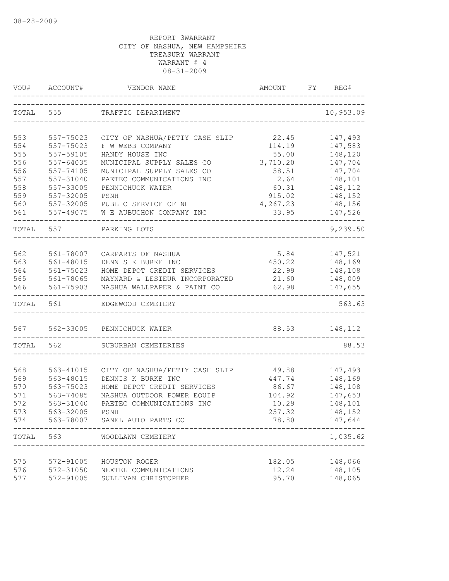| VOU#       | ACCOUNT#               | VENDOR NAME                                                  | AMOUNT         | FY | REG#               |
|------------|------------------------|--------------------------------------------------------------|----------------|----|--------------------|
| TOTAL      | 555                    | TRAFFIC DEPARTMENT                                           |                |    | 10,953.09          |
| 553        | 557-75023              | CITY OF NASHUA/PETTY CASH SLIP                               | 22.45          |    | 147,493            |
| 554        | 557-75023              | F W WEBB COMPANY                                             | 114.19         |    | 147,583            |
| 555        | 557-59105              | HANDY HOUSE INC                                              | 55.00          |    | 148,120            |
| 556        | $557 - 64035$          | MUNICIPAL SUPPLY SALES CO                                    | 3,710.20       |    | 147,704            |
| 556        | 557-74105              | MUNICIPAL SUPPLY SALES CO                                    | 58.51          |    | 147,704            |
| 557        | 557-31040              | PAETEC COMMUNICATIONS INC                                    | 2.64           |    | 148,101            |
| 558        | 557-33005              | PENNICHUCK WATER                                             | 60.31          |    | 148,112            |
| 559        | 557-32005              | PSNH                                                         | 915.02         |    | 148,152            |
| 560        | 557-32005              | PUBLIC SERVICE OF NH                                         | 4,267.23       |    | 148,156            |
| 561        |                        | 557-49075 W E AUBUCHON COMPANY INC                           | 33.95          |    | 147,526            |
| TOTAL 557  |                        | PARKING LOTS                                                 |                |    | 9,239.50           |
|            |                        |                                                              |                |    |                    |
| 562        | 561-78007              | CARPARTS OF NASHUA                                           | 5.84           |    | 147,521            |
| 563<br>564 | 561-48015              | DENNIS K BURKE INC                                           | 450.22         |    | 148,169            |
| 565        | 561-75023<br>561-78065 | HOME DEPOT CREDIT SERVICES<br>MAYNARD & LESIEUR INCORPORATED | 22.99<br>21.60 |    | 148,108<br>148,009 |
| 566        | 561-75903              | NASHUA WALLPAPER & PAINT CO                                  | 62.98          |    | 147,655            |
| TOTAL 561  |                        | EDGEWOOD CEMETERY                                            |                |    | 563.63             |
|            |                        | 567 562-33005 PENNICHUCK WATER                               |                |    | 88.53 148,112      |
| TOTAL      | 562                    | SUBURBAN CEMETERIES                                          |                |    | 88.53              |
|            |                        |                                                              |                |    |                    |
| 568        | 563-41015              | CITY OF NASHUA/PETTY CASH SLIP                               | 49.88          |    | 147,493            |
| 569        | 563-48015              | DENNIS K BURKE INC                                           | 447.74         |    | 148,169            |
| 570        | 563-75023              | HOME DEPOT CREDIT SERVICES                                   | 86.67          |    | 148,108            |
| 571        | 563-74085              | NASHUA OUTDOOR POWER EQUIP                                   | 104.92         |    | 147,653            |
| 572        | 563-31040              | PAETEC COMMUNICATIONS INC                                    | 10.29          |    | 148,101            |
| 573        | 563-32005              | PSNH                                                         | 257.32         |    | 148,152            |
| 574        | 563-78007              | SANEL AUTO PARTS CO                                          | 78.80          |    | 147,644            |
| TOTAL      | 563                    | WOODLAWN CEMETERY                                            |                |    | 1,035.62           |
|            |                        |                                                              |                |    |                    |
| 575        | 572-91005              | HOUSTON ROGER                                                | 182.05         |    | 148,066            |
| 576<br>577 | 572-31050<br>572-91005 | NEXTEL COMMUNICATIONS<br>SULLIVAN CHRISTOPHER                | 12.24<br>95.70 |    | 148,105<br>148,065 |
|            |                        |                                                              |                |    |                    |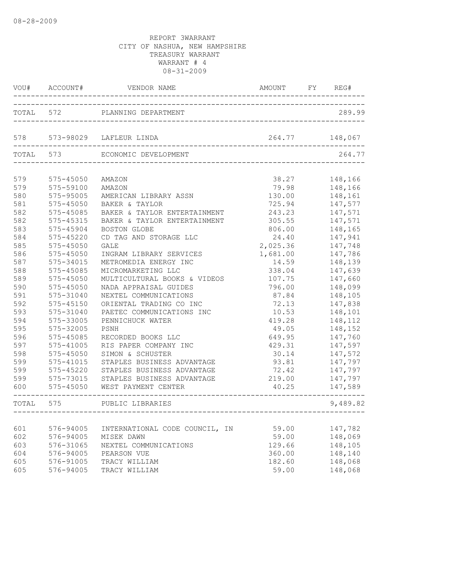|       | VOU# ACCOUNT# | VENDOR NAME<br>________________________ | AMOUNT FY<br>_____________________ | REG#     |
|-------|---------------|-----------------------------------------|------------------------------------|----------|
|       | TOTAL 572     | PLANNING DEPARTMENT                     |                                    | 289.99   |
|       |               |                                         |                                    |          |
|       |               | 578 573-98029 LAFLEUR LINDA             | 264.77                             | 148,067  |
|       | TOTAL 573     | ECONOMIC DEVELOPMENT                    |                                    | 264.77   |
| 579   | 575-45050     | AMAZON                                  | 38.27                              | 148,166  |
| 579   | 575-59100     | AMAZON                                  | 79.98                              | 148,166  |
| 580   | 575-95005     | AMERICAN LIBRARY ASSN                   | 130.00                             | 148,161  |
| 581   | $575 - 45050$ | BAKER & TAYLOR                          | 725.94                             | 147,577  |
| 582   | 575-45085     | BAKER & TAYLOR ENTERTAINMENT            | 243.23                             | 147,571  |
| 582   | 575-45315     | BAKER & TAYLOR ENTERTAINMENT            | 305.55                             | 147,571  |
| 583   | 575-45904     | BOSTON GLOBE                            | 806.00                             | 148,165  |
| 584   | $575 - 45220$ | CD TAG AND STORAGE LLC                  | 24.40                              | 147,941  |
| 585   | $575 - 45050$ | <b>GALE</b>                             | 2,025.36                           | 147,748  |
| 586   | 575-45050     | INGRAM LIBRARY SERVICES                 | 1,681.00                           | 147,786  |
| 587   | 575-34015     | METROMEDIA ENERGY INC                   | 14.59                              | 148,139  |
| 588   | 575-45085     | MICROMARKETING LLC                      | 338.04                             | 147,639  |
| 589   | $575 - 45050$ | MULTICULTURAL BOOKS & VIDEOS            | 107.75                             | 147,660  |
| 590   | $575 - 45050$ | NADA APPRAISAL GUIDES                   | 796.00                             | 148,099  |
| 591   | 575-31040     | NEXTEL COMMUNICATIONS                   | 87.84                              | 148,105  |
| 592   | 575-45150     | ORIENTAL TRADING CO INC                 | 72.13                              | 147,838  |
| 593   | 575-31040     | PAETEC COMMUNICATIONS INC               | 10.53                              | 148,101  |
| 594   | 575-33005     | PENNICHUCK WATER                        | 419.28                             | 148,112  |
| 595   | 575-32005     | PSNH                                    | 49.05                              | 148,152  |
| 596   | 575-45085     | RECORDED BOOKS LLC                      | 649.95                             | 147,760  |
| 597   | $575 - 41005$ | RIS PAPER COMPANY INC                   | 429.31                             | 147,597  |
| 598   | $575 - 45050$ | SIMON & SCHUSTER                        | 30.14                              | 147,572  |
| 599   | 575-41015     | STAPLES BUSINESS ADVANTAGE              | 93.81                              | 147,797  |
| 599   | $575 - 45220$ | STAPLES BUSINESS ADVANTAGE              | 72.42                              | 147,797  |
| 599   | 575-73015     | STAPLES BUSINESS ADVANTAGE              | 219.00                             | 147,797  |
| 600   | 575-45050     | WEST PAYMENT CENTER                     | 40.25                              | 147,589  |
| TOTAL | 575           | PUBLIC LIBRARIES                        |                                    | 9,489.82 |
|       |               |                                         |                                    |          |
| 601   | 576-94005     | INTERNATIONAL CODE COUNCIL, IN          | 59.00                              | 147,782  |
| 602   | 576-94005     | MISEK DAWN                              | 59.00                              | 148,069  |
| 603   | 576-31065     | NEXTEL COMMUNICATIONS                   | 129.66                             | 148,105  |
| 604   | 576-94005     | PEARSON VUE                             | 360.00                             | 148,140  |
| 605   | 576-91005     | TRACY WILLIAM                           | 182.60                             | 148,068  |
| 605   | 576-94005     | TRACY WILLIAM                           | 59.00                              | 148,068  |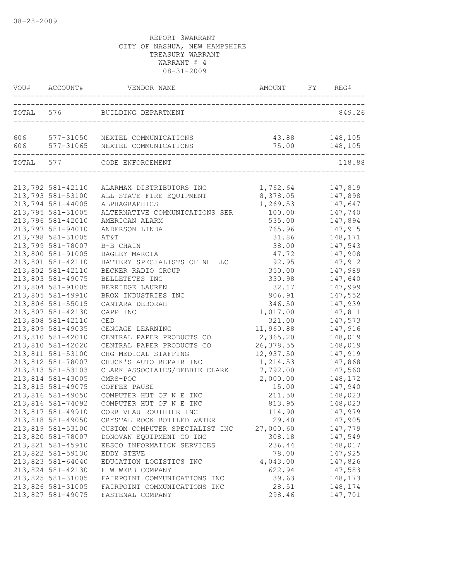|     |                                        | TOTAL 576 BUILDING DEPARTMENT                                          |                                   | 849.26             |
|-----|----------------------------------------|------------------------------------------------------------------------|-----------------------------------|--------------------|
| 606 |                                        | 577-31050 NEXTEL COMMUNICATIONS<br>606 577-31065 NEXTEL COMMUNICATIONS | 43.88 148,105<br>75.00    148,105 |                    |
|     |                                        | --------------------------------<br>TOTAL 577 CODE ENFORCEMENT         |                                   | 118.88             |
|     |                                        | -----------------------------------                                    |                                   |                    |
|     |                                        |                                                                        |                                   |                    |
|     | 213,792 581-42110                      | ALARMAX DISTRIBUTORS INC                                               | 1,762.64 147,819                  |                    |
|     | 213,793 581-53100                      | ALL STATE FIRE EQUIPMENT                                               | 8,378.05                          | 147,898            |
|     | 213,794 581-44005                      | ALPHAGRAPHICS                                                          | 1,269.53                          | 147,647            |
|     | 213,795 581-31005                      | ALTERNATIVE COMMUNICATIONS SER                                         | 100.00                            | 147,740            |
|     | 213,796 581-42010                      | AMERICAN ALARM                                                         | 535.00                            | 147,894            |
|     | 213,797 581-94010<br>213,798 581-31005 | ANDERSON LINDA                                                         | 765.96                            | 147,915<br>148,171 |
|     |                                        | AT&T                                                                   | 31.86                             |                    |
|     | 213,799 581-78007<br>213,800 581-91005 | B-B CHAIN                                                              | 38.00<br>47.72                    | 147,543            |
|     | 213,801 581-42110                      | BAGLEY MARCIA                                                          | 92.95                             | 147,908            |
|     | 213,802 581-42110                      | BATTERY SPECIALISTS OF NH LLC<br>BECKER RADIO GROUP                    | 350.00                            | 147,912<br>147,989 |
|     | 213,803 581-49075                      | BELLETETES INC                                                         | 330.98                            | 147,640            |
|     | 213,804 581-91005                      | BERRIDGE LAUREN                                                        | 32.17                             | 147,999            |
|     | 213,805 581-49910                      | BROX INDUSTRIES INC                                                    | 906.91                            | 147,552            |
|     | 213,806 581-55015                      | CANTARA DEBORAH                                                        | 346.50                            | 147,939            |
|     | 213,807 581-42130                      | CAPP INC                                                               | 1,017.00                          | 147,811            |
|     | 213,808 581-42110                      | CED                                                                    | 321.00                            | 147,573            |
|     | 213,809 581-49035                      | CENGAGE LEARNING                                                       | 11,960.88                         | 147,916            |
|     | 213,810 581-42010                      | CENTRAL PAPER PRODUCTS CO                                              | 2,365.20                          | 148,019            |
|     | 213,810 581-42020                      | CENTRAL PAPER PRODUCTS CO                                              | 26,378.55                         | 148,019            |
|     | 213,811 581-53100                      | CHG MEDICAL STAFFING                                                   | 12,937.50                         | 147,919            |
|     | 213,812 581-78007                      | CHUCK'S AUTO REPAIR INC                                                | 1,214.53                          | 147,868            |
|     | 213,813 581-53103                      | CLARK ASSOCIATES/DEBBIE CLARK                                          | 7,792.00                          | 147,560            |
|     | 213,814 581-43005                      | CMRS-POC                                                               | 2,000.00                          | 148,172            |
|     | 213,815 581-49075                      | COFFEE PAUSE                                                           | 15.00                             | 147,940            |
|     | 213,816 581-49050                      | COMPUTER HUT OF N E INC                                                | 211.50                            | 148,023            |
|     | 213,816 581-74092                      | COMPUTER HUT OF N E INC                                                | 813.95                            | 148,023            |
|     | 213,817 581-49910                      | CORRIVEAU ROUTHIER INC                                                 | 114.90                            | 147,979            |
|     | 213,818 581-49050                      | CRYSTAL ROCK BOTTLED WATER                                             | 29.40                             | 147,905            |
|     | 213,819 581-53100                      | CUSTOM COMPUTER SPECIALIST INC                                         | 27,000.60                         | 147,779            |
|     | 213,820 581-78007                      | DONOVAN EQUIPMENT CO INC                                               | 308.18                            | 147,549            |
|     | 213,821 581-45910                      | EBSCO INFORMATION SERVICES                                             | 236.44                            | 148,017            |
|     | 213,822 581-59130                      | EDDY STEVE                                                             | 78.00                             | 147,925            |
|     | 213,823 581-64040                      | EDUCATION LOGISTICS INC                                                | 4,043.00                          | 147,826            |
|     | 213,824 581-42130                      | F W WEBB COMPANY                                                       | 622.94                            | 147,583            |
|     | 213,825 581-31005                      | FAIRPOINT COMMUNICATIONS INC                                           | 39.63                             | 148,173            |
|     | 213,826 581-31005                      | FAIRPOINT COMMUNICATIONS INC                                           | 28.51                             | 148,174            |
|     | 213,827 581-49075                      | FASTENAL COMPANY                                                       | 298.46                            | 147,701            |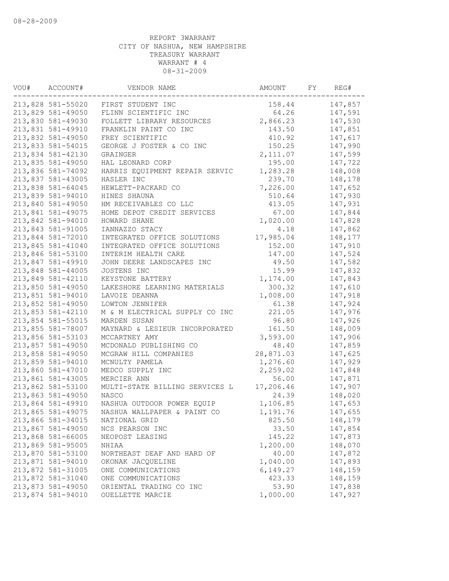| VOU# | ACCOUNT#                               | VENDOR NAME                    | AMOUNT    | FY | REG#    |
|------|----------------------------------------|--------------------------------|-----------|----|---------|
|      | 213,828 581-55020                      | FIRST STUDENT INC              | 158.44    |    | 147,857 |
|      | 213,829 581-49050                      | FLINN SCIENTIFIC INC           | 64.26     |    | 147,591 |
|      | 213,830 581-49030                      | FOLLETT LIBRARY RESOURCES      | 2,866.23  |    | 147,530 |
|      | 213,831 581-49910                      | FRANKLIN PAINT CO INC          | 143.50    |    | 147,851 |
|      | 213,832 581-49050                      | FREY SCIENTIFIC                | 410.92    |    | 147,617 |
|      | 213,833 581-54015                      | GEORGE J FOSTER & CO INC       | 150.25    |    | 147,990 |
|      | 213,834 581-42130                      | GRAINGER                       | 2,111.07  |    | 147,599 |
|      | 213,835 581-49050                      | HAL LEONARD CORP               | 195.00    |    | 147,722 |
|      | 213,836 581-74092                      | HARRIS EQUIPMENT REPAIR SERVIC | 1,283.28  |    | 148,008 |
|      | 213,837 581-43005                      | HASLER INC                     | 239.70    |    | 148,178 |
|      | 213,838 581-64045                      | HEWLETT-PACKARD CO             | 7,226.00  |    | 147,652 |
|      | 213,839 581-94010                      | HINES SHAUNA                   | 510.64    |    | 147,930 |
|      | 213,840 581-49050                      | HM RECEIVABLES CO LLC          | 413.05    |    | 147,931 |
|      | 213,841 581-49075                      | HOME DEPOT CREDIT SERVICES     | 67.00     |    | 147,844 |
|      | 213,842 581-94010                      | HOWARD SHANE                   | 1,020.00  |    | 147,828 |
|      | 213,843 581-91005                      | IANNAZZO STACY                 | 4.18      |    | 147,862 |
|      | 213,844 581-72010                      | INTEGRATED OFFICE SOLUTIONS    | 17,985.04 |    | 148,177 |
|      | 213,845 581-41040                      | INTEGRATED OFFICE SOLUTIONS    | 152.00    |    | 147,910 |
|      | 213,846 581-53100                      | INTERIM HEALTH CARE            | 147.00    |    | 147,524 |
|      | 213,847 581-49910                      | JOHN DEERE LANDSCAPES INC      | 49.50     |    | 147,582 |
|      | 213,848 581-44005                      | JOSTENS INC                    | 15.99     |    | 147,832 |
|      | 213,849 581-42110                      | KEYSTONE BATTERY               | 1,174.00  |    | 147,843 |
|      | 213,850 581-49050                      | LAKESHORE LEARNING MATERIALS   | 300.32    |    | 147,610 |
|      | 213,851 581-94010                      | LAVOIE DEANNA                  | 1,008.00  |    | 147,918 |
|      | 213,852 581-49050                      | LOWTON JENNIFER                | 61.38     |    | 147,924 |
|      | 213,853 581-42110                      | M & M ELECTRICAL SUPPLY CO INC | 221.05    |    | 147,976 |
|      | 213,854 581-55015                      | MARDEN SUSAN                   | 96.80     |    | 147,926 |
|      | 213,855 581-78007                      | MAYNARD & LESIEUR INCORPORATED | 161.50    |    | 148,009 |
|      | 213,856 581-53103                      | MCCARTNEY AMY                  | 3,593.00  |    | 147,906 |
|      | 213,857 581-49050                      | MCDONALD PUBLISHING CO         | 48.40     |    | 147,859 |
|      | 213,858 581-49050                      | MCGRAW HILL COMPANIES          | 28,871.03 |    | 147,625 |
|      | 213,859 581-94010                      | MCNULTY PAMELA                 | 1,276.60  |    | 147,929 |
|      | 213,860 581-47010                      | MEDCO SUPPLY INC               | 2,259.02  |    | 147,848 |
|      |                                        |                                | 56.00     |    | 147,871 |
|      | 213,861 581-43005                      | MERCIER ANN                    | 17,206.46 |    | 147,907 |
|      | 213,862 581-53100<br>213,863 581-49050 | MULTI-STATE BILLING SERVICES L |           |    | 148,020 |
|      |                                        | <b>NASCO</b>                   | 24.39     |    |         |
|      | 213,864 581-49910                      | NASHUA OUTDOOR POWER EQUIP     | 1,106.85  |    | 147,653 |
|      | 213,865 581-49075                      | NASHUA WALLPAPER & PAINT CO    | 1,191.76  |    | 147,655 |
|      | 213,866 581-34015                      | NATIONAL GRID                  | 825.50    |    | 148,179 |
|      | 213,867 581-49050                      | NCS PEARSON INC                | 33.50     |    | 147,854 |
|      | 213,868 581-66005                      | NEOPOST LEASING                | 145.22    |    | 147,873 |
|      | 213,869 581-95005                      | NHIAA                          | 1,200.00  |    | 148,070 |
|      | 213,870 581-53100                      | NORTHEAST DEAF AND HARD OF     | 40.00     |    | 147,872 |
|      | 213,871 581-94010                      | OKONAK JACQUELINE              | 1,040.00  |    | 147,893 |
|      | 213,872 581-31005                      | ONE COMMUNICATIONS             | 6,149.27  |    | 148,159 |
|      | 213,872 581-31040                      | ONE COMMUNICATIONS             | 423.33    |    | 148,159 |
|      | 213,873 581-49050                      | ORIENTAL TRADING CO INC        | 53.90     |    | 147,838 |
|      | 213,874 581-94010                      | OUELLETTE MARCIE               | 1,000.00  |    | 147,927 |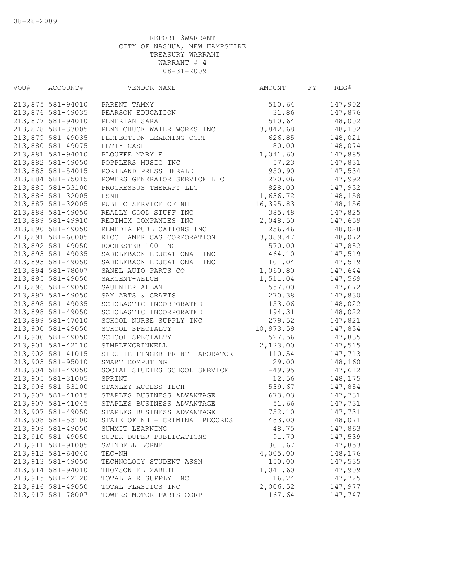| VOU# | ACCOUNT#           | VENDOR NAME                    | AMOUNT    | FY | REG#    |
|------|--------------------|--------------------------------|-----------|----|---------|
|      | 213,875 581-94010  | PARENT TAMMY                   | 510.64    |    | 147,902 |
|      | 213,876 581-49035  | PEARSON EDUCATION              | 31.86     |    | 147,876 |
|      | 213,877 581-94010  | PENERIAN SARA                  | 510.64    |    | 148,002 |
|      | 213,878 581-33005  | PENNICHUCK WATER WORKS INC     | 3,842.68  |    | 148,102 |
|      | 213,879 581-49035  | PERFECTION LEARNING CORP       | 626.85    |    | 148,021 |
|      | 213,880 581-49075  | PETTY CASH                     | 80.00     |    | 148,074 |
|      | 213,881 581-94010  | PLOUFFE MARY E                 | 1,041.60  |    | 147,885 |
|      | 213,882 581-49050  | POPPLERS MUSIC INC             | 57.23     |    | 147,831 |
|      | 213,883 581-54015  | PORTLAND PRESS HERALD          | 950.90    |    | 147,534 |
|      | 213,884 581-75015  | POWERS GENERATOR SERVICE LLC   | 270.06    |    | 147,992 |
|      | 213,885 581-53100  | PROGRESSUS THERAPY LLC         | 828.00    |    | 147,932 |
|      | 213,886 581-32005  | PSNH                           | 1,636.72  |    | 148,158 |
|      | 213,887 581-32005  | PUBLIC SERVICE OF NH           | 16,395.83 |    | 148,156 |
|      | 213,888 581-49050  | REALLY GOOD STUFF INC          | 385.48    |    | 147,825 |
|      | 213,889 581-49910  | REDIMIX COMPANIES INC          | 2,048.50  |    | 147,659 |
|      | 213,890 581-49050  | REMEDIA PUBLICATIONS INC       | 256.46    |    | 148,028 |
|      | 213,891 581-66005  | RICOH AMERICAS CORPORATION     | 3,089.47  |    | 148,072 |
|      | 213,892 581-49050  | ROCHESTER 100 INC              | 570.00    |    | 147,882 |
|      | 213,893 581-49035  | SADDLEBACK EDUCATIONAL INC     | 464.10    |    | 147,519 |
|      | 213,893 581-49050  | SADDLEBACK EDUCATIONAL INC     | 101.04    |    | 147,519 |
|      | 213,894 581-78007  | SANEL AUTO PARTS CO            | 1,060.80  |    | 147,644 |
|      | 213,895 581-49050  | SARGENT-WELCH                  | 1,511.04  |    | 147,569 |
|      | 213,896 581-49050  | SAULNIER ALLAN                 | 557.00    |    | 147,672 |
|      | 213,897 581-49050  | SAX ARTS & CRAFTS              | 270.38    |    | 147,830 |
|      | 213,898 581-49035  | SCHOLASTIC INCORPORATED        | 153.06    |    | 148,022 |
|      | 213,898 581-49050  | SCHOLASTIC INCORPORATED        | 194.31    |    | 148,022 |
|      | 213,899 581-47010  | SCHOOL NURSE SUPPLY INC        | 279.52    |    | 147,821 |
|      | 213,900 581-49050  | SCHOOL SPECIALTY               | 10,973.59 |    | 147,834 |
|      |                    |                                |           |    |         |
|      | 213,900 581-49050  | SCHOOL SPECIALTY               | 527.56    |    | 147,835 |
|      | 213,901 581-42110  | SIMPLEXGRINNELL                | 2,123.00  |    | 147,515 |
|      | 213,902 581-41015  | SIRCHIE FINGER PRINT LABORATOR | 110.54    |    | 147,713 |
|      | 213,903 581-95010  | SMART COMPUTING                | 29.00     |    | 148,160 |
|      | 213,904 581-49050  | SOCIAL STUDIES SCHOOL SERVICE  | $-49.95$  |    | 147,612 |
|      | 213,905 581-31005  | SPRINT                         | 12.56     |    | 148,175 |
|      | 213,906 581-53100  | STANLEY ACCESS TECH            | 539.67    |    | 147,884 |
|      | 213,907 581-41015  | STAPLES BUSINESS ADVANTAGE     | 673.03    |    | 147,731 |
|      | 213,907 581-41045  | STAPLES BUSINESS ADVANTAGE     | 51.66     |    | 147,731 |
|      | 213,907 581-49050  | STAPLES BUSINESS ADVANTAGE     | 752.10    |    | 147,731 |
|      | 213,908 581-53100  | STATE OF NH - CRIMINAL RECORDS | 483.00    |    | 148,071 |
|      | 213,909 581-49050  | SUMMIT LEARNING                | 48.75     |    | 147,863 |
|      | 213,910 581-49050  | SUPER DUPER PUBLICATIONS       | 91.70     |    | 147,539 |
|      | 213, 911 581-91005 | SWINDELL LORNE                 | 301.67    |    | 147,853 |
|      | 213, 912 581-64040 | TEC-NH                         | 4,005.00  |    | 148,176 |
|      | 213, 913 581-49050 | TECHNOLOGY STUDENT ASSN        | 150.00    |    | 147,535 |
|      | 213,914 581-94010  | THOMSON ELIZABETH              | 1,041.60  |    | 147,909 |
|      | 213, 915 581-42120 | TOTAL AIR SUPPLY INC           | 16.24     |    | 147,725 |
|      | 213,916 581-49050  | TOTAL PLASTICS INC             | 2,006.52  |    | 147,977 |
|      | 213, 917 581-78007 | TOWERS MOTOR PARTS CORP        | 167.64    |    | 147,747 |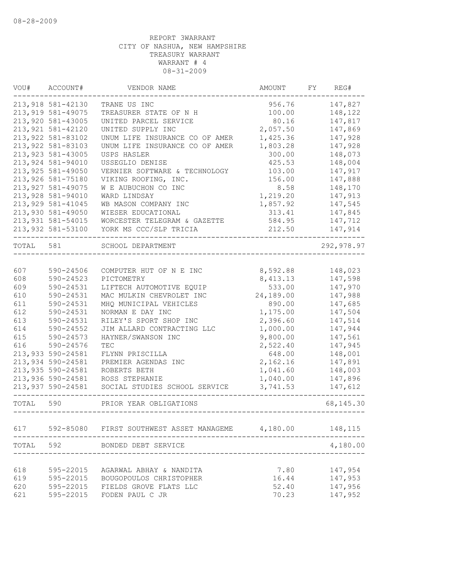| VOU#      | ACCOUNT#           | VENDOR NAME                              | AMOUNT    | FY | REG#       |
|-----------|--------------------|------------------------------------------|-----------|----|------------|
|           | 213,918 581-42130  | TRANE US INC                             | 956.76    |    | 147,827    |
|           | 213,919 581-49075  | TREASURER STATE OF N H                   | 100.00    |    | 148,122    |
|           | 213,920 581-43005  | UNITED PARCEL SERVICE                    | 80.16     |    | 147,817    |
|           | 213, 921 581-42120 | UNITED SUPPLY INC                        | 2,057.50  |    | 147,869    |
|           | 213, 922 581-83102 | UNUM LIFE INSURANCE CO OF AMER           | 1,425.36  |    | 147,928    |
|           | 213, 922 581-83103 | UNUM LIFE INSURANCE CO OF AMER           | 1,803.28  |    | 147,928    |
|           | 213, 923 581-43005 | USPS HASLER                              | 300.00    |    | 148,073    |
|           | 213, 924 581-94010 | USSEGLIO DENISE                          | 425.53    |    | 148,004    |
|           | 213, 925 581-49050 | VERNIER SOFTWARE & TECHNOLOGY            | 103.00    |    | 147,917    |
|           | 213,926 581-75180  | VIKING ROOFING, INC.                     | 156.00    |    | 147,888    |
|           | 213, 927 581-49075 | W E AUBUCHON CO INC                      | 8.58      |    | 148,170    |
|           | 213,928 581-94010  | WARD LINDSAY                             | 1,219.20  |    | 147,913    |
|           | 213, 929 581-41045 | WB MASON COMPANY INC                     | 1,857.92  |    | 147,545    |
|           | 213,930 581-49050  | WIESER EDUCATIONAL                       | 313.41    |    | 147,845    |
|           | 213,931 581-54015  | WORCESTER TELEGRAM & GAZETTE             | 584.95    |    | 147,712    |
|           | 213,932 581-53100  | YORK MS CCC/SLP TRICIA                   | 212.50    |    | 147,914    |
| TOTAL 581 |                    | SCHOOL DEPARTMENT                        |           |    | 292,978.97 |
|           |                    |                                          |           |    |            |
| 607       | 590-24506          | COMPUTER HUT OF N E INC                  | 8,592.88  |    | 148,023    |
| 608       | 590-24523          | PICTOMETRY                               | 8,413.13  |    | 147,598    |
| 609       | 590-24531          | LIFTECH AUTOMOTIVE EQUIP                 | 533.00    |    | 147,970    |
| 610       | 590-24531          | MAC MULKIN CHEVROLET INC                 | 24,189.00 |    | 147,988    |
| 611       | 590-24531          | MHQ MUNICIPAL VEHICLES                   | 890.00    |    | 147,685    |
| 612       | 590-24531          | NORMAN E DAY INC                         | 1,175.00  |    | 147,504    |
| 613       | 590-24531          | RILEY'S SPORT SHOP INC                   | 2,396.60  |    | 147,514    |
| 614       | 590-24552          | JIM ALLARD CONTRACTING LLC               | 1,000.00  |    | 147,944    |
| 615       | 590-24573          | HAYNER/SWANSON INC                       | 9,800.00  |    | 147,561    |
| 616       | 590-24576          | TEC                                      | 2,522.40  |    | 147,945    |
|           | 213,933 590-24581  | FLYNN PRISCILLA                          | 648.00    |    | 148,001    |
|           | 213,934 590-24581  | PREMIER AGENDAS INC                      | 2,162.16  |    | 147,891    |
|           | 213,935 590-24581  | ROBERTS BETH                             | 1,041.60  |    | 148,003    |
|           | 213,936 590-24581  | ROSS STEPHANIE                           | 1,040.00  |    | 147,896    |
|           | 213,937 590-24581  | SOCIAL STUDIES SCHOOL SERVICE            | 3,741.53  |    | 147,612    |
| TOTAL 590 |                    | PRIOR YEAR OBLIGATIONS                   |           |    | 68, 145.30 |
|           |                    |                                          |           |    |            |
| 617       |                    | 592-85080 FIRST SOUTHWEST ASSET MANAGEME | 4,180.00  |    | 148,115    |
| TOTAL     | 592                | BONDED DEBT SERVICE                      |           |    | 4,180.00   |
| 618       |                    |                                          | 7.80      |    |            |
|           | 595-22015          | AGARWAL ABHAY & NANDITA                  |           |    | 147,954    |
| 619       | 595-22015          | BOUGOPOULOS CHRISTOPHER                  | 16.44     |    | 147,953    |
| 620       | 595-22015          | FIELDS GROVE FLATS LLC                   | 52.40     |    | 147,956    |
| 621       | 595-22015          | FODEN PAUL C JR                          | 70.23     |    | 147,952    |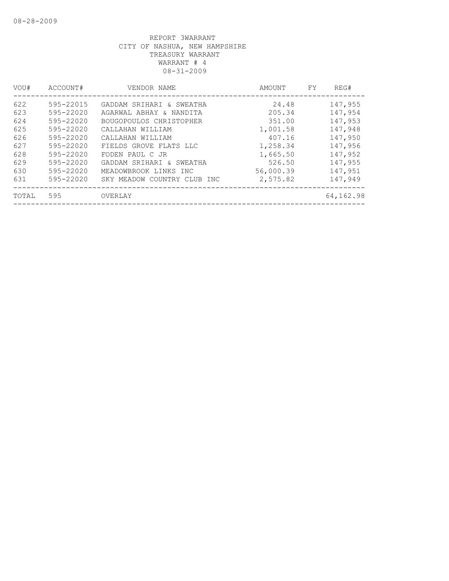| VOU#  | ACCOUNT#      | VENDOR NAME                 | AMOUNT    | FY. | REG#      |
|-------|---------------|-----------------------------|-----------|-----|-----------|
| 622   | 595-22015     | GADDAM SRIHARI & SWEATHA    | 24.48     |     | 147,955   |
| 623   | $595 - 22020$ | AGARWAL ABHAY & NANDITA     | 205.34    |     | 147,954   |
| 624   | 595-22020     | BOUGOPOULOS CHRISTOPHER     | 351.00    |     | 147,953   |
| 625   | $595 - 22020$ | CALLAHAN WILLIAM            | 1,001.58  |     | 147,948   |
| 626   | 595-22020     | CALLAHAN WILLIAM            | 407.16    |     | 147,950   |
| 627   | $595 - 22020$ | FIELDS GROVE FLATS LLC      | 1,258.34  |     | 147,956   |
| 628   | $595 - 22020$ | FODEN PAUL C JR             | 1,665.50  |     | 147,952   |
| 629   | $595 - 22020$ | GADDAM SRIHARI & SWEATHA    | 526.50    |     | 147,955   |
| 630   | 595-22020     | MEADOWBROOK LINKS INC       | 56,000.39 |     | 147,951   |
| 631   | $595 - 22020$ | SKY MEADOW COUNTRY CLUB INC | 2,575.82  |     | 147,949   |
| TOTAL | 595           | OVERLAY                     |           |     | 64,162.98 |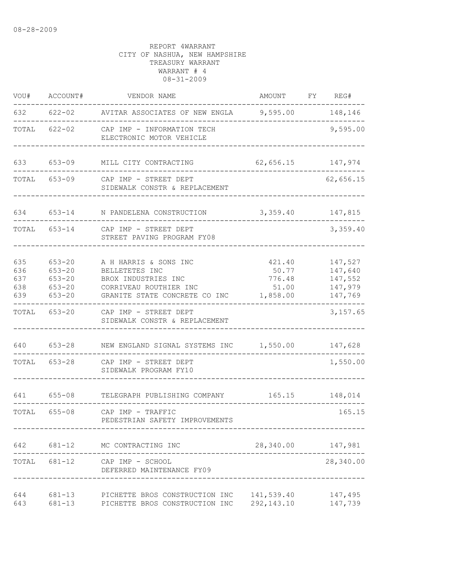| VOU#                            | ACCOUNT#                                                           | VENDOR NAME                                                                                                               | AMOUNT FY                                      | REG#                                                |
|---------------------------------|--------------------------------------------------------------------|---------------------------------------------------------------------------------------------------------------------------|------------------------------------------------|-----------------------------------------------------|
| 632                             |                                                                    | 622-02 AVITAR ASSOCIATES OF NEW ENGLA 9,595.00 148,146                                                                    |                                                |                                                     |
| TOTAL                           | $622 - 02$                                                         | CAP IMP - INFORMATION TECH<br>ELECTRONIC MOTOR VEHICLE                                                                    |                                                | 9,595.00                                            |
| 633                             | 653-09                                                             | MILL CITY CONTRACTING                                                                                                     | 62,656.15                                      | 147,974                                             |
| TOTAL                           | 653-09                                                             | CAP IMP - STREET DEPT<br>SIDEWALK CONSTR & REPLACEMENT                                                                    |                                                | 62,656.15                                           |
| 634                             | $653 - 14$                                                         | N PANDELENA CONSTRUCTION                                                                                                  | 3,359.40                                       | 147,815                                             |
| TOTAL                           | $653 - 14$                                                         | CAP IMP - STREET DEPT<br>STREET PAVING PROGRAM FY08                                                                       |                                                | 3,359.40                                            |
| 635<br>636<br>637<br>638<br>639 | $653 - 20$<br>$653 - 20$<br>$653 - 20$<br>$653 - 20$<br>$653 - 20$ | A H HARRIS & SONS INC<br>BELLETETES INC<br>BROX INDUSTRIES INC<br>CORRIVEAU ROUTHIER INC<br>GRANITE STATE CONCRETE CO INC | 421.40<br>50.77<br>776.48<br>51.00<br>1,858.00 | 147,527<br>147,640<br>147,552<br>147,979<br>147,769 |
| TOTAL                           | $653 - 20$                                                         | CAP IMP - STREET DEPT<br>SIDEWALK CONSTR & REPLACEMENT                                                                    |                                                | 3,157.65                                            |
| 640                             | 653-28                                                             | NEW ENGLAND SIGNAL SYSTEMS INC 1,550.00                                                                                   |                                                | 147,628                                             |
| TOTAL                           | $653 - 28$                                                         | CAP IMP - STREET DEPT<br>SIDEWALK PROGRAM FY10                                                                            |                                                | 1,550.00                                            |
|                                 | 641 655-08                                                         | TELEGRAPH PUBLISHING COMPANY                                                                                              | 165.15                                         | 148,014                                             |
|                                 | TOTAL 655-08                                                       | CAP IMP - TRAFFIC<br>PEDESTRIAN SAFETY IMPROVEMENTS                                                                       |                                                | 165.15                                              |
|                                 |                                                                    | 642 681-12 MC CONTRACTING INC                                                                                             | 28,340.00 147,981                              |                                                     |
|                                 |                                                                    | TOTAL 681-12 CAP IMP - SCHOOL<br>DEFERRED MAINTENANCE FY09                                                                |                                                | 28,340.00                                           |
| 644<br>643                      | 681-13<br>$681 - 13$                                               | PICHETTE BROS CONSTRUCTION INC<br>PICHETTE BROS CONSTRUCTION INC                                                          | 141,539.40<br>292,143.10                       | 147,495<br>147,739                                  |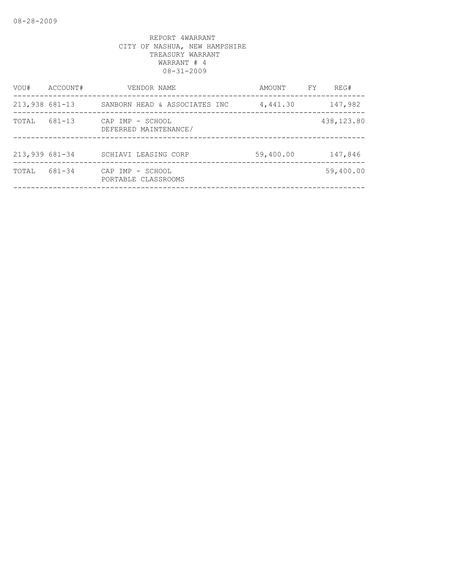| VOU#             | ACCOUNT# | VENDOR NAME                               | AMOUNT    | FY | REG#       |
|------------------|----------|-------------------------------------------|-----------|----|------------|
| $213,938$ 681-13 |          | SANBORN HEAD & ASSOCIATES INC             | 4,441.30  |    | 147,982    |
| TOTAL            | 681-13   | CAP IMP - SCHOOL<br>DEFERRED MAINTENANCE/ |           |    | 438,123.80 |
| 213,939 681-34   |          | SCHIAVI LEASING CORP                      | 59,400.00 |    | 147,846    |
| TOTAL            | 681-34   | CAP IMP - SCHOOL<br>PORTABLE CLASSROOMS   |           |    | 59,400.00  |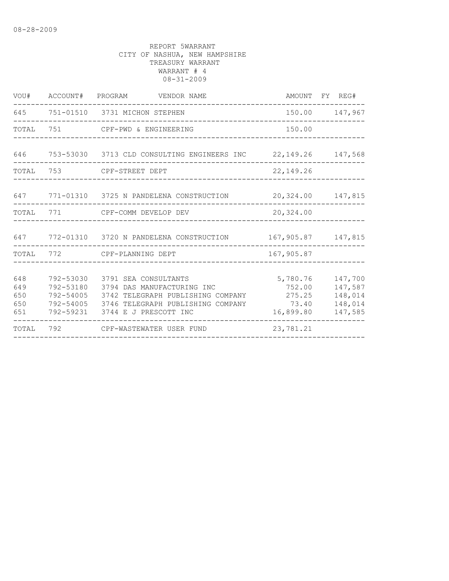|                                 |                        | VOU# ACCOUNT# PROGRAM VENDOR NAME                                                                                                                                                          |                                          | AMOUNT FY REG#                                      |
|---------------------------------|------------------------|--------------------------------------------------------------------------------------------------------------------------------------------------------------------------------------------|------------------------------------------|-----------------------------------------------------|
| 645                             |                        | 751-01510 3731 MICHON STEPHEN                                                                                                                                                              |                                          | 150.00 147,967                                      |
|                                 |                        | TOTAL 751 CPF-PWD & ENGINEERING                                                                                                                                                            | 150.00                                   |                                                     |
| 646                             |                        | 753-53030 3713 CLD CONSULTING ENGINEERS INC 22,149.26 147,568                                                                                                                              |                                          |                                                     |
| TOTAL                           |                        |                                                                                                                                                                                            | 22,149.26                                |                                                     |
|                                 |                        | 647 771-01310 3725 N PANDELENA CONSTRUCTION                                                                                                                                                | 20,324.00 147,815                        |                                                     |
| TOTAL                           |                        | 771 CPF-COMM DEVELOP DEV                                                                                                                                                                   | 20,324.00                                |                                                     |
|                                 |                        | 647 772-01310 3720 N PANDELENA CONSTRUCTION                                                                                                                                                | 167,905.87 147,815                       |                                                     |
|                                 |                        | TOTAL 772 CPF-PLANNING DEPT                                                                                                                                                                | 167,905.87                               |                                                     |
| 648<br>649<br>650<br>650<br>651 | 792-53030<br>792-53180 | 3791 SEA CONSULTANTS<br>3794 DAS MANUFACTURING INC<br>792-54005 3742 TELEGRAPH PUBLISHING COMPANY 275.25<br>792-54005 3746 TELEGRAPH PUBLISHING COMPANY<br>792-59231 3744 E J PRESCOTT INC | 5,780.76<br>752.00<br>73.40<br>16,899.80 | 147,700<br>147,587<br>148,014<br>148,014<br>147,585 |
| TOTAL                           |                        | 792 CPF-WASTEWATER USER FUND                                                                                                                                                               | 23,781.21                                |                                                     |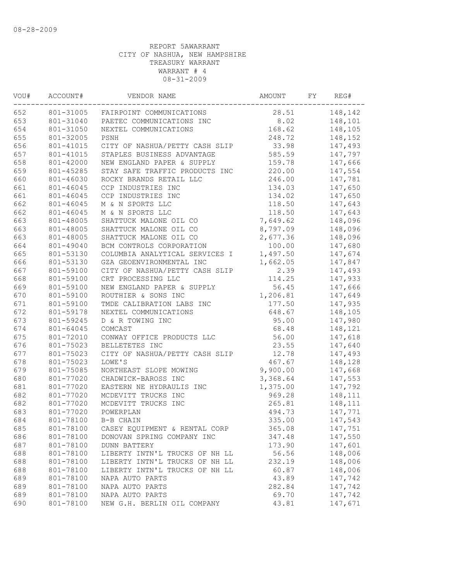| VOU# | ACCOUNT#  | VENDOR NAME                    | AMOUNT   | FY | REG#    |
|------|-----------|--------------------------------|----------|----|---------|
| 652  | 801-31005 | FAIRPOINT COMMUNICATIONS       | 28.51    |    | 148,142 |
| 653  | 801-31040 | PAETEC COMMUNICATIONS INC      | 8.02     |    | 148,101 |
| 654  | 801-31050 | NEXTEL COMMUNICATIONS          | 168.62   |    | 148,105 |
| 655  | 801-32005 | PSNH                           | 248.72   |    | 148,152 |
| 656  | 801-41015 | CITY OF NASHUA/PETTY CASH SLIP | 33.98    |    | 147,493 |
| 657  | 801-41015 | STAPLES BUSINESS ADVANTAGE     | 585.59   |    | 147,797 |
| 658  | 801-42000 | NEW ENGLAND PAPER & SUPPLY     | 159.78   |    | 147,666 |
| 659  | 801-45285 | STAY SAFE TRAFFIC PRODUCTS INC | 220.00   |    | 147,554 |
| 660  | 801-46030 | ROCKY BRANDS RETAIL LLC        | 246.00   |    | 147,781 |
| 661  | 801-46045 | CCP INDUSTRIES INC             | 134.03   |    | 147,650 |
| 661  | 801-46045 | CCP INDUSTRIES INC             | 134.02   |    | 147,650 |
| 662  | 801-46045 | M & N SPORTS LLC               | 118.50   |    | 147,643 |
| 662  | 801-46045 | M & N SPORTS LLC               | 118.50   |    | 147,643 |
| 663  | 801-48005 | SHATTUCK MALONE OIL CO         | 7,649.62 |    | 148,096 |
| 663  | 801-48005 | SHATTUCK MALONE OIL CO         | 8,797.09 |    | 148,096 |
| 663  | 801-48005 | SHATTUCK MALONE OIL CO         | 2,677.36 |    | 148,096 |
| 664  | 801-49040 | BCM CONTROLS CORPORATION       | 100.00   |    | 147,680 |
| 665  | 801-53130 | COLUMBIA ANALYTICAL SERVICES I | 1,497.50 |    | 147,674 |
| 666  | 801-53130 | GZA GEOENVIRONMENTAL INC       | 1,662.05 |    | 147,847 |
| 667  | 801-59100 | CITY OF NASHUA/PETTY CASH SLIP | 2.39     |    | 147,493 |
| 668  | 801-59100 | CRT PROCESSING LLC             | 114.25   |    | 147,933 |
| 669  | 801-59100 | NEW ENGLAND PAPER & SUPPLY     | 56.45    |    | 147,666 |
| 670  | 801-59100 | ROUTHIER & SONS INC            | 1,206.81 |    | 147,649 |
| 671  | 801-59100 | TMDE CALIBRATION LABS INC      | 177.50   |    | 147,935 |
| 672  | 801-59178 | NEXTEL COMMUNICATIONS          | 648.67   |    | 148,105 |
| 673  | 801-59245 | D & R TOWING INC               | 95.00    |    | 147,980 |
| 674  | 801-64045 | COMCAST                        | 68.48    |    | 148,121 |
| 675  | 801-72010 | CONWAY OFFICE PRODUCTS LLC     | 56.00    |    | 147,618 |
| 676  | 801-75023 | BELLETETES INC                 | 23.55    |    | 147,640 |
| 677  | 801-75023 | CITY OF NASHUA/PETTY CASH SLIP | 12.78    |    | 147,493 |
| 678  | 801-75023 | LOWE'S                         | 467.67   |    | 148,128 |
| 679  | 801-75085 | NORTHEAST SLOPE MOWING         | 9,900.00 |    | 147,668 |
| 680  | 801-77020 | CHADWICK-BAROSS INC            | 3,368.64 |    | 147,553 |
| 681  | 801-77020 | EASTERN NE HYDRAULIS INC       | 1,375.00 |    | 147,792 |
| 682  | 801-77020 | MCDEVITT TRUCKS INC            | 969.28   |    | 148,111 |
| 682  | 801-77020 | MCDEVITT TRUCKS INC            | 265.81   |    | 148,111 |
| 683  | 801-77020 | POWERPLAN                      | 494.73   |    | 147,771 |
| 684  |           | 801-78100 B-B CHAIN            | 335.00   |    | 147,543 |
| 685  | 801-78100 | CASEY EQUIPMENT & RENTAL CORP  | 365.08   |    | 147,751 |
| 686  | 801-78100 | DONOVAN SPRING COMPANY INC     | 347.48   |    | 147,550 |
| 687  | 801-78100 | <b>DUNN BATTERY</b>            | 173.90   |    | 147,601 |
| 688  | 801-78100 | LIBERTY INTN'L TRUCKS OF NH LL | 56.56    |    | 148,006 |
| 688  | 801-78100 | LIBERTY INTN'L TRUCKS OF NH LL | 232.19   |    | 148,006 |
| 688  | 801-78100 | LIBERTY INTN'L TRUCKS OF NH LL | 60.87    |    | 148,006 |
| 689  | 801-78100 | NAPA AUTO PARTS                | 43.89    |    | 147,742 |
| 689  | 801-78100 | NAPA AUTO PARTS                | 282.84   |    | 147,742 |
| 689  | 801-78100 | NAPA AUTO PARTS                | 69.70    |    | 147,742 |
| 690  | 801-78100 | NEW G.H. BERLIN OIL COMPANY    | 43.81    |    | 147,671 |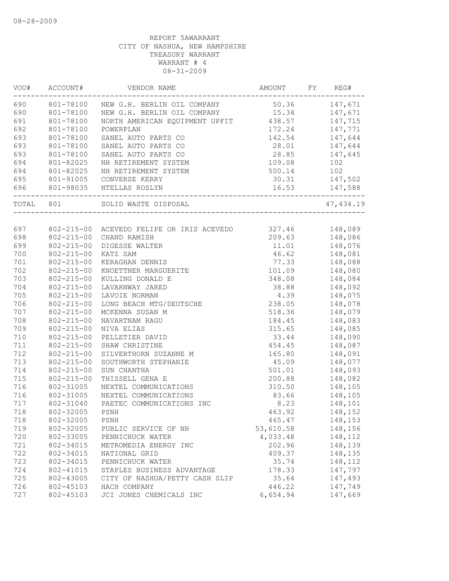| WOU#  | ACCOUNT#         | VENDOR NAME                               | AMOUNT    | FY | REG#       |
|-------|------------------|-------------------------------------------|-----------|----|------------|
| 690   |                  | 801-78100 NEW G.H. BERLIN OIL COMPANY     | 50.36     |    | 147,671    |
| 690   | 801-78100        | NEW G.H. BERLIN OIL COMPANY 15.34         |           |    | 147,671    |
| 691   | 801-78100        | NORTH AMERICAN EQUIPMENT UPFIT 438.57     |           |    | 147,715    |
| 692   | 801-78100        | POWERPLAN                                 | 172.24    |    | 147,771    |
| 693   | 801-78100        | SANEL AUTO PARTS CO                       | 142.54    |    | 147,644    |
| 693   | 801-78100        | SANEL AUTO PARTS CO                       | 28.01     |    | 147,644    |
| 693   | 801-78100        | SANEL AUTO PARTS CO                       | 28.85     |    | 147,645    |
| 694   | 801-82025        | NH RETIREMENT SYSTEM                      | 109.08    |    | 102        |
| 694   | 801-82025        | NH RETIREMENT SYSTEM                      | 500.14    |    | 102        |
| 695   | 801-91005        | CONVERSE KERRY                            | 30.31     |    | 147,502    |
| 696   |                  | 801-98035 NTELLAS ROSLYN                  | 16.53     |    | 147,588    |
| TOTAL | 801              | SOLID WASTE DISPOSAL                      |           |    | 47, 434.19 |
|       |                  |                                           |           |    |            |
| 697   |                  | 802-215-00 ACEVEDO FELIPE OR IRIS ACEVEDO | 327.46    |    | 148,089    |
| 698   | $802 - 215 - 00$ | CHAND RAMISH                              | 209.63    |    | 148,086    |
| 699   | $802 - 215 - 00$ | DIGESSE WALTER                            | 11.01     |    | 148,076    |
| 700   | $802 - 215 - 00$ | KATZ SAM                                  | 46.62     |    | 148,081    |
| 701   | $802 - 215 - 00$ | KERAGHAN DENNIS                           | 77.33     |    | 148,088    |
| 702   | $802 - 215 - 00$ | KNOETTNER MARGUERITE                      | 101.09    |    | 148,080    |
| 703   | $802 - 215 - 00$ | KULLING DONALD E                          | 348.08    |    | 148,084    |
| 704   | $802 - 215 - 00$ | LAVARNWAY JARED                           | 38.88     |    | 148,092    |
| 705   | $802 - 215 - 00$ | LAVOIE NORMAN                             | 4.39      |    | 148,075    |
| 706   | $802 - 215 - 00$ | LONG BEACH MTG/DEUTSCHE                   | 238.05    |    | 148,078    |
| 707   | $802 - 215 - 00$ | MCKENNA SUSAN M                           | 518.36    |    | 148,079    |
| 708   | $802 - 215 - 00$ | NAVARTNAM RAGU                            | 184.45    |    | 148,083    |
| 709   | $802 - 215 - 00$ | NIVA ELIAS                                | 315.65    |    | 148,085    |
| 710   | $802 - 215 - 00$ | PELLETIER DAVID                           | 33.44     |    | 148,090    |
| 711   | $802 - 215 - 00$ | SHAW CHRISTINE                            | 454.45    |    | 148,087    |
| 712   | $802 - 215 - 00$ | SILVERTHORN SUZANNE M                     | 165.80    |    | 148,091    |
| 713   | $802 - 215 - 00$ | SOUTHWORTH STEPHANIE                      | 45.09     |    | 148,077    |
| 714   | $802 - 215 - 00$ | SUN CHANTHA                               | 501.01    |    | 148,093    |
| 715   | $802 - 215 - 00$ | THISSELL GENA E                           | 200.88    |    | 148,082    |
| 716   | 802-31005        | NEXTEL COMMUNICATIONS                     | 310.50    |    | 148,105    |
| 716   | 802-31005        | NEXTEL COMMUNICATIONS                     | 83.66     |    | 148,105    |
| 717   | 802-31040        | PAETEC COMMUNICATIONS INC                 | 8.23      |    | 148,101    |
| 718   | 802-32005        | PSNH                                      | 463.92    |    | 148,152    |
| 718   | 802-32005        | PSNH                                      | 465.47    |    | 148,153    |
| 719   | 802-32005        | PUBLIC SERVICE OF NH                      | 53,610.58 |    | 148,156    |
| 720   | 802-33005        | PENNICHUCK WATER                          | 4,033.48  |    | 148,112    |
| 721   | 802-34015        | METROMEDIA ENERGY INC                     | 202.96    |    | 148,139    |
| 722   | 802-34015        | NATIONAL GRID                             | 409.37    |    | 148,135    |
| 723   | 802-34015        | PENNICHUCK WATER                          | 35.74     |    | 148,112    |
| 724   | 802-41015        | STAPLES BUSINESS ADVANTAGE                | 178.33    |    | 147,797    |
| 725   | 802-43005        | CITY OF NASHUA/PETTY CASH SLIP            | 35.64     |    | 147,493    |
| 726   | 802-45103        | HACH COMPANY                              | 446.22    |    | 147,749    |
| 727   | 802-45103        | JCI JONES CHEMICALS INC                   | 6,654.94  |    | 147,669    |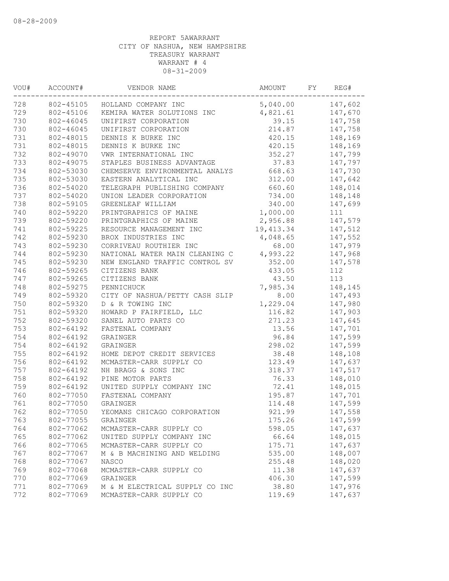| WOU# | ACCOUNT#  | VENDOR NAME                    | AMOUNT     | FY | REG#    |
|------|-----------|--------------------------------|------------|----|---------|
| 728  |           | 802-45105 HOLLAND COMPANY INC  | 5,040.00   |    | 147,602 |
| 729  | 802-45106 | KEMIRA WATER SOLUTIONS INC     | 4,821.61   |    | 147,670 |
| 730  | 802-46045 | UNIFIRST CORPORATION           | 39.15      |    | 147,758 |
| 730  | 802-46045 | UNIFIRST CORPORATION           | 214.87     |    | 147,758 |
| 731  | 802-48015 | DENNIS K BURKE INC             | 420.15     |    | 148,169 |
| 731  | 802-48015 | DENNIS K BURKE INC             | 420.15     |    | 148,169 |
| 732  | 802-49070 | VWR INTERNATIONAL INC          | 352.27     |    | 147,799 |
| 733  | 802-49075 | STAPLES BUSINESS ADVANTAGE     | 37.83      |    | 147,797 |
| 734  | 802-53030 | CHEMSERVE ENVIRONMENTAL ANALYS | 668.63     |    | 147,730 |
| 735  | 802-53030 | EASTERN ANALYTICAL INC         | 312.00     |    | 147,642 |
| 736  | 802-54020 | TELEGRAPH PUBLISHING COMPANY   | 660.60     |    | 148,014 |
| 737  | 802-54020 | UNION LEADER CORPORATION       | 734.00     |    | 148,148 |
| 738  | 802-59105 | GREENLEAF WILLIAM              | 340.00     |    | 147,699 |
| 740  | 802-59220 | PRINTGRAPHICS OF MAINE         | 1,000.00   |    | 111     |
| 739  | 802-59220 | PRINTGRAPHICS OF MAINE         | 2,956.88   |    | 147,579 |
| 741  | 802-59225 | RESOURCE MANAGEMENT INC        | 19, 413.34 |    | 147,512 |
| 742  | 802-59230 | BROX INDUSTRIES INC            | 4,048.65   |    | 147,552 |
| 743  | 802-59230 | CORRIVEAU ROUTHIER INC         | 68.00      |    | 147,979 |
| 744  | 802-59230 | NATIONAL WATER MAIN CLEANING C | 4,993.22   |    | 147,968 |
| 745  | 802-59230 | NEW ENGLAND TRAFFIC CONTROL SV | 352.00     |    | 147,578 |
| 746  | 802-59265 | CITIZENS BANK                  | 433.05     |    | 112     |
| 747  | 802-59265 | CITIZENS BANK                  | 43.50      |    | 113     |
| 748  | 802-59275 | PENNICHUCK                     | 7,985.34   |    | 148,145 |
| 749  | 802-59320 | CITY OF NASHUA/PETTY CASH SLIP | 8.00       |    | 147,493 |
| 750  | 802-59320 | D & R TOWING INC               | 1,229.04   |    | 147,980 |
| 751  | 802-59320 | HOWARD P FAIRFIELD, LLC        | 116.82     |    | 147,903 |
| 752  | 802-59320 | SANEL AUTO PARTS CO            | 271.23     |    | 147,645 |
| 753  | 802-64192 | FASTENAL COMPANY               | 13.56      |    | 147,701 |
| 754  | 802-64192 | GRAINGER                       | 96.84      |    | 147,599 |
| 754  | 802-64192 | GRAINGER                       | 298.02     |    | 147,599 |
| 755  | 802-64192 | HOME DEPOT CREDIT SERVICES     | 38.48      |    | 148,108 |
| 756  | 802-64192 | MCMASTER-CARR SUPPLY CO        | 123.49     |    | 147,637 |
| 757  | 802-64192 | NH BRAGG & SONS INC            | 318.37     |    | 147,517 |
| 758  | 802-64192 | PINE MOTOR PARTS               | 76.33      |    | 148,010 |
| 759  | 802-64192 | UNITED SUPPLY COMPANY INC      | 72.41      |    | 148,015 |
| 760  | 802-77050 | FASTENAL COMPANY               | 195.87     |    | 147,701 |
| 761  | 802-77050 | GRAINGER                       | 114.48     |    | 147,599 |
| 762  | 802-77050 | YEOMANS CHICAGO CORPORATION    | 921.99     |    | 147,558 |
| 763  | 802-77055 | GRAINGER                       | 175.26     |    | 147,599 |
| 764  | 802-77062 | MCMASTER-CARR SUPPLY CO        | 598.05     |    | 147,637 |
| 765  | 802-77062 | UNITED SUPPLY COMPANY INC      | 66.64      |    | 148,015 |
| 766  | 802-77065 | MCMASTER-CARR SUPPLY CO        | 175.71     |    | 147,637 |
| 767  | 802-77067 | M & B MACHINING AND WELDING    | 535.00     |    | 148,007 |
| 768  | 802-77067 | <b>NASCO</b>                   | 255.48     |    | 148,020 |
| 769  | 802-77068 | MCMASTER-CARR SUPPLY CO        | 11.38      |    | 147,637 |
| 770  | 802-77069 | GRAINGER                       | 406.30     |    | 147,599 |
| 771  | 802-77069 | M & M ELECTRICAL SUPPLY CO INC | 38.80      |    | 147,976 |
| 772  | 802-77069 | MCMASTER-CARR SUPPLY CO        | 119.69     |    | 147,637 |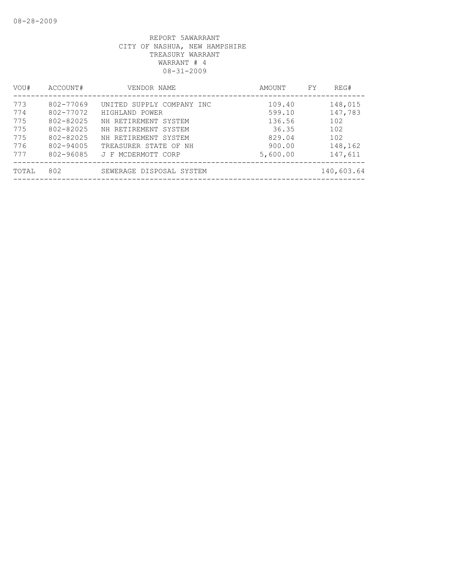| VOU#                                          | ACCOUNT#                                                                                | VENDOR NAME                                                                                                                                                        | AMOUNT                                                              | FY | REG#                                                          |
|-----------------------------------------------|-----------------------------------------------------------------------------------------|--------------------------------------------------------------------------------------------------------------------------------------------------------------------|---------------------------------------------------------------------|----|---------------------------------------------------------------|
| 773<br>774<br>775<br>775<br>775<br>776<br>777 | 802-77069<br>802-77072<br>802-82025<br>802-82025<br>802-82025<br>802-94005<br>802-96085 | UNITED SUPPLY COMPANY INC<br>HIGHLAND POWER<br>NH RETIREMENT SYSTEM<br>NH RETIREMENT SYSTEM<br>NH RETIREMENT SYSTEM<br>TREASURER STATE OF NH<br>J F MCDERMOTT CORP | 109.40<br>599.10<br>136.56<br>36.35<br>829.04<br>900.00<br>5,600.00 |    | 148,015<br>147,783<br>102<br>102<br>102<br>148,162<br>147,611 |
| TOTAL                                         | 802                                                                                     | SEWERAGE DISPOSAL SYSTEM                                                                                                                                           |                                                                     |    | 140,603.64                                                    |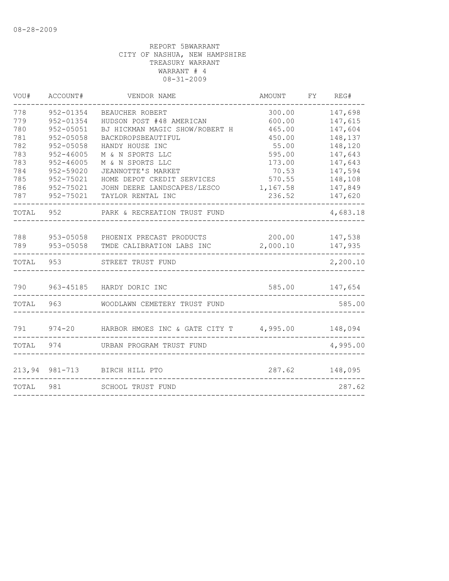| VOU#       | ACCOUNT#                   | VENDOR NAME                                                                   | AMOUNT             | FY | REG#               |
|------------|----------------------------|-------------------------------------------------------------------------------|--------------------|----|--------------------|
| 778        | 952-01354                  | BEAUCHER ROBERT                                                               | 300.00             |    | 147,698            |
| 779        | 952-01354                  | HUDSON POST #48 AMERICAN                                                      | 600.00             |    | 147,615            |
| 780        | 952-05051                  | BJ HICKMAN MAGIC SHOW/ROBERT H                                                | 465.00             |    | 147,604            |
| 781        | $952 - 05058$              | BACKDROPSBEAUTIFUL                                                            | 450.00             |    | 148,137            |
| 782        | $952 - 05058$              | HANDY HOUSE INC                                                               | 55.00              |    | 148,120            |
| 783        | $952 - 46005$              | M & N SPORTS LLC                                                              | 595.00             |    | 147,643            |
| 783<br>784 | $952 - 46005$<br>952-59020 | M & N SPORTS LLC<br>JEANNOTTE'S MARKET                                        | 173.00<br>70.53    |    | 147,643<br>147,594 |
| 785        | 952-75021                  | HOME DEPOT CREDIT SERVICES                                                    | 570.55             |    | 148,108            |
| 786        | 952-75021                  | JOHN DEERE LANDSCAPES/LESCO                                                   | 1,167.58           |    | 147,849            |
| 787        | 952-75021                  | TAYLOR RENTAL INC                                                             | 236.52             |    | 147,620            |
| TOTAL 952  |                            | PARK & RECREATION TRUST FUND                                                  |                    |    | 4,683.18           |
|            |                            |                                                                               |                    |    |                    |
| 788        |                            | 953-05058 PHOENIX PRECAST PRODUCTS<br>789 953-05058 TMDE CALIBRATION LABS INC | 200.00<br>2,000.10 |    | 147,538<br>147,935 |
|            |                            |                                                                               |                    |    |                    |
| TOTAL 953  |                            | STREET TRUST FUND                                                             |                    |    | 2,200.10           |
|            |                            | 790 963-45185 HARDY DORIC INC                                                 | 585.00 147,654     |    |                    |
|            |                            |                                                                               |                    |    |                    |
| TOTAL 963  |                            | WOODLAWN CEMETERY TRUST FUND                                                  |                    |    | 585.00             |
| 791        |                            | 974-20 HARBOR HMOES INC & GATE CITY T 4,995.00 148,094                        |                    |    |                    |
|            |                            |                                                                               |                    |    |                    |
| TOTAL 974  |                            | URBAN PROGRAM TRUST FUND                                                      |                    |    | 4,995.00           |
|            |                            | 213,94 981-713 BIRCH HILL PTO                                                 | 287.62 148,095     |    |                    |
| TOTAL 981  |                            | SCHOOL TRUST FUND                                                             |                    |    | 287.62             |
|            |                            |                                                                               |                    |    |                    |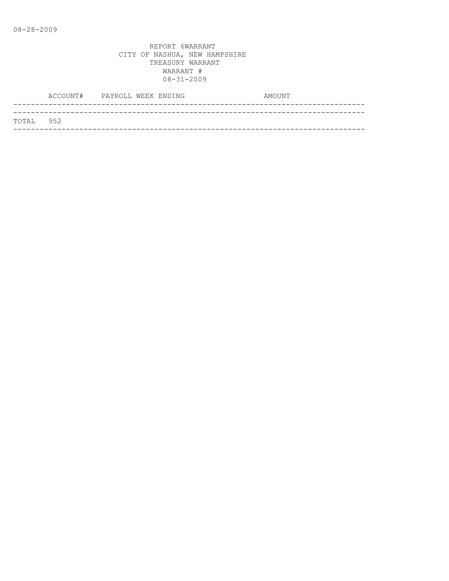|                   | ACCOUNT# PAYROLL WEEK ENDING |  |  | AMOUNT |
|-------------------|------------------------------|--|--|--------|
|                   |                              |  |  |        |
| <b>ТОТАІ. 952</b> |                              |  |  |        |
|                   |                              |  |  |        |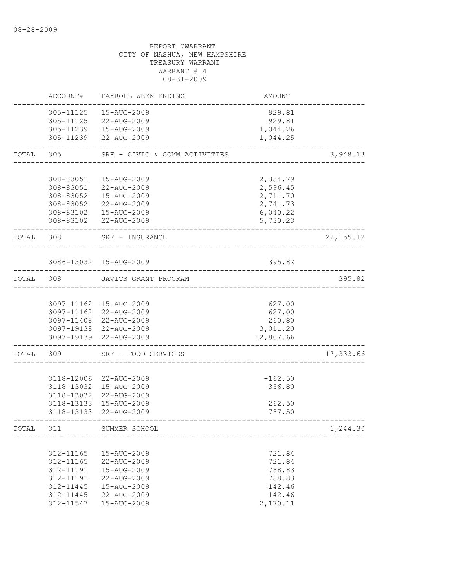|           | ACCOUNT#                                                                                | PAYROLL WEEK ENDING                                                                                                            | AMOUNT                                                               |             |
|-----------|-----------------------------------------------------------------------------------------|--------------------------------------------------------------------------------------------------------------------------------|----------------------------------------------------------------------|-------------|
|           | 305-11125<br>305-11125                                                                  | 15-AUG-2009<br>22-AUG-2009<br>305-11239  15-AUG-2009<br>305-11239 22-AUG-2009                                                  | 929.81<br>929.81<br>1,044.26<br>1,044.25                             |             |
| TOTAL     | 305                                                                                     | SRF - CIVIC & COMM ACTIVITIES                                                                                                  |                                                                      | 3,948.13    |
|           | 308-83051<br>308-83051<br>308-83052                                                     | 15-AUG-2009<br>22-AUG-2009<br>15-AUG-2009<br>308-83052 22-AUG-2009<br>308-83102  15-AUG-2009<br>308-83102 22-AUG-2009          | 2,334.79<br>2,596.45<br>2,711.70<br>2,741.73<br>6,040.22<br>5,730.23 |             |
| TOTAL 308 |                                                                                         | SRF - INSURANCE                                                                                                                |                                                                      | 22, 155. 12 |
|           |                                                                                         | 3086-13032 15-AUG-2009                                                                                                         | 395.82                                                               |             |
| TOTAL     | 308                                                                                     | JAVITS GRANT PROGRAM                                                                                                           |                                                                      | 395.82      |
|           |                                                                                         | 3097-11162 15-AUG-2009<br>3097-11162 22-AUG-2009<br>3097-11408 22-AUG-2009<br>3097-19138 22-AUG-2009<br>3097-19139 22-AUG-2009 | 627.00<br>627.00<br>260.80<br>3,011.20<br>12,807.66                  |             |
| TOTAL     | 309                                                                                     | SRF - FOOD SERVICES                                                                                                            |                                                                      | 17,333.66   |
|           | 3118-13133<br>3118-13133                                                                | 3118-12006 22-AUG-2009<br>3118-13032 15-AUG-2009<br>3118-13032 22-AUG-2009<br>15-AUG-2009<br>22-AUG-2009                       | $-162.50$<br>356.80<br>262.50<br>787.50                              |             |
| TOTAL     | 311                                                                                     | SUMMER SCHOOL                                                                                                                  |                                                                      | 1,244.30    |
|           | 312-11165<br>312-11165<br>312-11191<br>312-11191<br>312-11445<br>312-11445<br>312-11547 | 15-AUG-2009<br>22-AUG-2009<br>15-AUG-2009<br>22-AUG-2009<br>15-AUG-2009<br>22-AUG-2009<br>15-AUG-2009                          | 721.84<br>721.84<br>788.83<br>788.83<br>142.46<br>142.46<br>2,170.11 |             |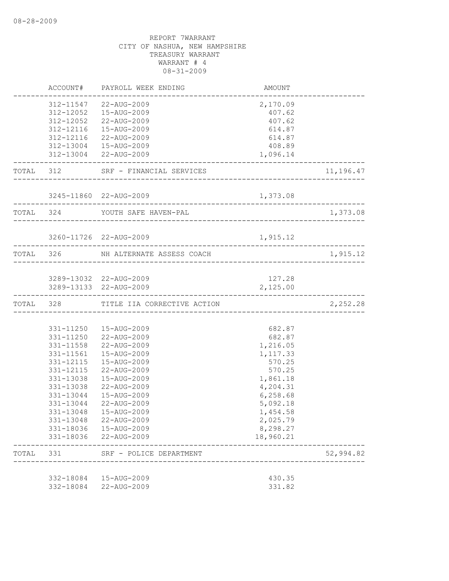|       | ACCOUNT#  | PAYROLL WEEK ENDING                   | AMOUNT    |           |
|-------|-----------|---------------------------------------|-----------|-----------|
|       |           | 312-11547 22-AUG-2009                 | 2,170.09  |           |
|       |           | 312-12052  15-AUG-2009                | 407.62    |           |
|       |           | 312-12052 22-AUG-2009                 | 407.62    |           |
|       |           | 312-12116  15-AUG-2009                | 614.87    |           |
|       |           | 312-12116 22-AUG-2009                 | 614.87    |           |
|       |           | 312-13004  15-AUG-2009                | 408.89    |           |
|       |           | 312-13004 22-AUG-2009                 | 1,096.14  |           |
|       |           | TOTAL 312 SRF - FINANCIAL SERVICES    |           | 11,196.47 |
|       |           | 3245-11860 22-AUG-2009                | 1,373.08  |           |
|       | TOTAL 324 | YOUTH SAFE HAVEN-PAL                  |           | 1,373.08  |
|       |           |                                       |           |           |
|       |           | 3260-11726 22-AUG-2009                | 1,915.12  |           |
|       |           | TOTAL 326 NH ALTERNATE ASSESS COACH   |           | 1,915.12  |
|       |           |                                       |           |           |
|       |           | 3289-13032 22-AUG-2009                | 127.28    |           |
|       |           | 3289-13133 22-AUG-2009                | 2,125.00  |           |
|       |           | TOTAL 328 TITLE IIA CORRECTIVE ACTION |           | 2,252.28  |
|       |           |                                       |           |           |
|       |           | 331-11250  15-AUG-2009                | 682.87    |           |
|       |           | 331-11250 22-AUG-2009                 | 682.87    |           |
|       |           | 331-11558 22-AUG-2009                 | 1,216.05  |           |
|       | 331-11561 | 15-AUG-2009                           | 1,117.33  |           |
|       | 331-12115 | 15-AUG-2009                           | 570.25    |           |
|       | 331-12115 | 22-AUG-2009                           | 570.25    |           |
|       | 331-13038 | 15-AUG-2009                           | 1,861.18  |           |
|       | 331-13038 | 22-AUG-2009                           | 4,204.31  |           |
|       | 331-13044 | 15-AUG-2009                           | 6,258.68  |           |
|       | 331-13044 | 22-AUG-2009                           | 5,092.18  |           |
|       | 331-13048 | 15-AUG-2009                           | 1,454.58  |           |
|       |           | 331-13048 22-AUG-2009                 | 2,025.79  |           |
|       |           | 331-18036  15-AUG-2009                | 8,298.27  |           |
|       |           | 331-18036 22-AUG-2009                 | 18,960.21 |           |
| TOTAL | 331       | SRF - POLICE DEPARTMENT               |           | 52,994.82 |
|       |           |                                       |           |           |
|       |           | 332-18084  15-AUG-2009                | 430.35    |           |
|       |           | 332-18084 22-AUG-2009                 | 331.82    |           |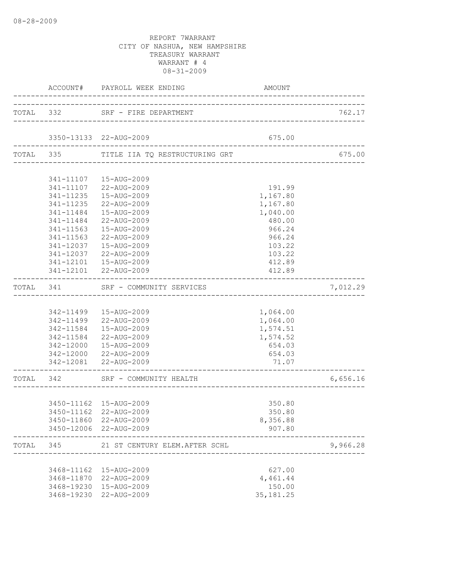|           |           | ACCOUNT# PAYROLL WEEK ENDING                    | AMOUNT                                   |          |
|-----------|-----------|-------------------------------------------------|------------------------------------------|----------|
|           |           | TOTAL 332 SRF - FIRE DEPARTMENT                 |                                          | 762.17   |
|           |           | 3350-13133 22-AUG-2009                          | 675.00                                   |          |
|           |           | TOTAL 335 TITLE IIA TQ RESTRUCTURING GRT        | _____________________________            | 675.00   |
|           |           |                                                 |                                          |          |
|           |           | 341-11107  15-AUG-2009                          |                                          |          |
|           |           | 341-11107 22-AUG-2009                           | 191.99                                   |          |
|           |           | 341-11235  15-AUG-2009                          | 1,167.80                                 |          |
|           |           | 341-11235 22-AUG-2009                           | 1,167.80                                 |          |
|           |           | 341-11484  15-AUG-2009                          | 1,040.00                                 |          |
|           | 341-11484 | 22-AUG-2009                                     | 480.00                                   |          |
|           | 341-11563 | 15-AUG-2009                                     | 966.24                                   |          |
|           | 341-11563 | 22-AUG-2009                                     | 966.24                                   |          |
|           | 341-12037 | 15-AUG-2009                                     | 103.22                                   |          |
|           | 341-12037 | 22-AUG-2009                                     | 103.22                                   |          |
|           |           | 341-12101  15-AUG-2009<br>341-12101 22-AUG-2009 | 412.89<br>412.89                         |          |
|           |           | -------------------------------------           |                                          |          |
| TOTAL 341 |           | SRF - COMMUNITY SERVICES                        |                                          | 7,012.29 |
|           |           |                                                 |                                          |          |
|           |           | 342-11499  15-AUG-2009                          | 1,064.00                                 |          |
|           |           | 342-11499 22-AUG-2009                           | 1,064.00                                 |          |
|           |           | 342-11584  15-AUG-2009                          | 1,574.51                                 |          |
|           |           | 342-11584 22-AUG-2009                           | 1,574.52                                 |          |
|           |           | 342-12000  15-AUG-2009                          | 654.03                                   |          |
|           |           | 342-12000 22-AUG-2009                           | 654.03                                   |          |
|           |           | 342-12081 22-AUG-2009                           | 71.07<br>_______________________________ |          |
|           |           | TOTAL 342 SRF - COMMUNITY HEALTH                | _______________________________          | 6,656.16 |
|           |           |                                                 |                                          |          |
|           |           | 3450-11162 15-AUG-2009                          | 350.80                                   |          |
|           |           | 3450-11162 22-AUG-2009                          | 350.80                                   |          |
|           |           | 3450-11860 22-AUG-2009                          | 8,356.88                                 |          |
|           |           | 3450-12006 22-AUG-2009                          | 907.80                                   |          |
| TOTAL     |           | 345 21 ST CENTURY ELEM.AFTER SCHL               |                                          | 9,966.28 |
|           |           |                                                 |                                          |          |
|           |           | 3468-11162  15-AUG-2009                         | 627.00                                   |          |
|           |           | 3468-11870 22-AUG-2009                          | 4,461.44                                 |          |
|           |           | 3468-19230 15-AUG-2009                          | 150.00                                   |          |
|           |           | 3468-19230 22-AUG-2009                          | 35, 181.25                               |          |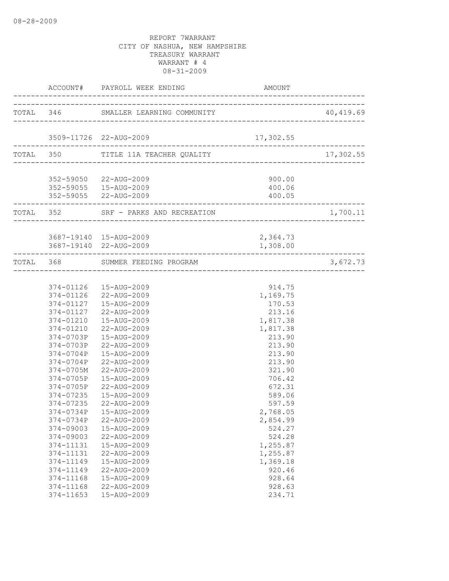|                        | ACCOUNT# PAYROLL WEEK ENDING AMORE AND         | AMOUNT             |                              |
|------------------------|------------------------------------------------|--------------------|------------------------------|
|                        | TOTAL 346 SMALLER LEARNING COMMUNITY 40,419.69 |                    |                              |
|                        | 3509-11726 22-AUG-2009                         | 17,302.55          |                              |
|                        | TOTAL 350 TITLE 11A TEACHER QUALITY            |                    | 17,302.55                    |
|                        |                                                |                    |                              |
|                        | 352-59050 22-AUG-2009                          | 900.00             |                              |
|                        | 352-59055  15-AUG-2009                         | 400.06             |                              |
|                        | 352-59055 22-AUG-2009                          | 400.05             |                              |
| ---------------------- | TOTAL 352 SRF - PARKS AND RECREATION 1,700     |                    | 1,700.11                     |
|                        |                                                |                    |                              |
|                        | 3687-19140 15-AUG-2009                         | 2,364.73           |                              |
|                        | 3687-19140 22-AUG-2009                         | 1,308.00           |                              |
|                        | TOTAL 368 SUMMER FEEDING PROGRAM               |                    | ----------------<br>3,672.73 |
|                        |                                                |                    |                              |
|                        | 374-01126  15-AUG-2009                         | 914.75             |                              |
|                        | 374-01126 22-AUG-2009                          | 1,169.75           |                              |
|                        | 374-01127   15-AUG-2009                        | 170.53             |                              |
|                        | 374-01127 22-AUG-2009                          | 213.16             |                              |
| 374-01210              | 15-AUG-2009                                    | 1,817.38           |                              |
|                        | 374-01210 22-AUG-2009                          | 1,817.38           |                              |
| 374-0703P              | 15-AUG-2009                                    | 213.90             |                              |
| 374-0703P              | 22-AUG-2009                                    | 213.90             |                              |
| 374-0704P              | 15-AUG-2009                                    | 213.90             |                              |
| 374-0704P              | 22-AUG-2009                                    | 213.90             |                              |
| 374-0705M              | 22-AUG-2009                                    | 321.90             |                              |
| 374-0705P              | 15-AUG-2009                                    | 706.42             |                              |
| 374-0705P              | 22-AUG-2009                                    | 672.31             |                              |
| 374-07235              | 15-AUG-2009                                    | 589.06             |                              |
| 374-07235              | 22-AUG-2009                                    | 597.59             |                              |
| 374-0734P              | 15-AUG-2009                                    | 2,768.05           |                              |
| 374-0734P              | 22-AUG-2009                                    | 2,854.99           |                              |
| 374-09003              | 15-AUG-2009                                    | 524.27             |                              |
| 374-09003<br>374-11131 | 22-AUG-2009<br>15-AUG-2009                     | 524.28<br>1,255.87 |                              |
| 374-11131              | 22-AUG-2009                                    | 1,255.87           |                              |
| 374-11149              | 15-AUG-2009                                    | 1,369.18           |                              |
| 374-11149              | 22-AUG-2009                                    | 920.46             |                              |
| 374-11168              | 15-AUG-2009                                    | 928.64             |                              |
| 374-11168              | 22-AUG-2009                                    | 928.63             |                              |
| 374-11653              | 15-AUG-2009                                    | 234.71             |                              |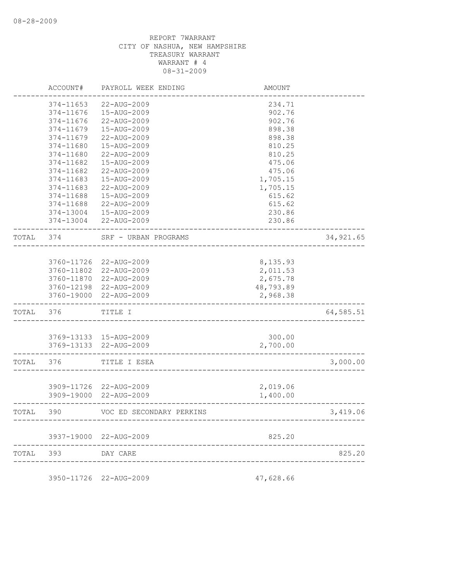|       | ACCOUNT#   | PAYROLL WEEK ENDING      | AMOUNT    |            |
|-------|------------|--------------------------|-----------|------------|
|       | 374-11653  | 22-AUG-2009              | 234.71    |            |
|       | 374-11676  | 15-AUG-2009              | 902.76    |            |
|       | 374-11676  | 22-AUG-2009              | 902.76    |            |
|       | 374-11679  | 15-AUG-2009              | 898.38    |            |
|       | 374-11679  | 22-AUG-2009              | 898.38    |            |
|       | 374-11680  | 15-AUG-2009              | 810.25    |            |
|       | 374-11680  | 22-AUG-2009              | 810.25    |            |
|       | 374-11682  | 15-AUG-2009              | 475.06    |            |
|       | 374-11682  | 22-AUG-2009              | 475.06    |            |
|       | 374-11683  | $15 - \text{AUG} - 2009$ | 1,705.15  |            |
|       | 374-11683  | 22-AUG-2009              | 1,705.15  |            |
|       | 374-11688  | 15-AUG-2009              | 615.62    |            |
|       | 374-11688  | 22-AUG-2009              | 615.62    |            |
|       | 374-13004  | 15-AUG-2009              | 230.86    |            |
|       | 374-13004  | 22-AUG-2009              |           |            |
|       |            |                          | 230.86    |            |
| TOTAL | 374        | SRF - URBAN PROGRAMS     |           | 34, 921.65 |
|       |            |                          |           |            |
|       | 3760-11726 | 22-AUG-2009              | 8,135.93  |            |
|       | 3760-11802 | 22-AUG-2009              | 2,011.53  |            |
|       |            | 3760-11870 22-AUG-2009   | 2,675.78  |            |
|       |            | 3760-12198 22-AUG-2009   | 48,793.89 |            |
|       |            | 3760-19000 22-AUG-2009   | 2,968.38  |            |
| TOTAL | 376        | TITLE I                  |           | 64,585.51  |
|       |            |                          |           |            |
|       |            | 3769-13133 15-AUG-2009   | 300.00    |            |
|       |            | 3769-13133 22-AUG-2009   | 2,700.00  |            |
| TOTAL | 376        | TITLE I ESEA             |           | 3,000.00   |
|       |            |                          |           |            |
|       |            | 3909-11726 22-AUG-2009   | 2,019.06  |            |
|       |            | 3909-19000 22-AUG-2009   | 1,400.00  |            |
| TOTAL | 390        | VOC ED SECONDARY PERKINS |           | 3,419.06   |
|       |            |                          |           |            |
|       |            | 3937-19000 22-AUG-2009   | 825.20    |            |
| TOTAL | 393        | DAY CARE                 |           | 825.20     |
|       |            |                          |           |            |

3950-11726 22-AUG-2009 47,628.66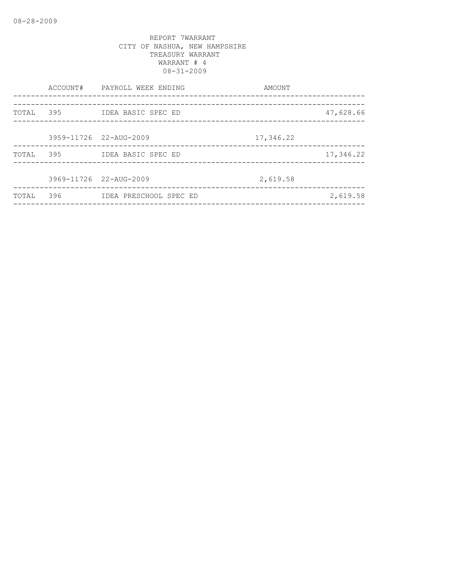|           |     | ACCOUNT# PAYROLL WEEK ENDING<br>________________________ | AMOUNT    | ------------------ |
|-----------|-----|----------------------------------------------------------|-----------|--------------------|
| TOTAL 395 |     | ___________________________<br>IDEA BASIC SPEC ED        |           | 47,628.66          |
|           |     | 3959-11726 22-AUG-2009                                   | 17,346.22 |                    |
|           |     | TOTAL 395 IDEA BASIC SPEC ED                             |           | 17,346.22          |
|           |     | 3969-11726 22-AUG-2009                                   | 2,619.58  |                    |
| TOTAL     | 396 | IDEA PRESCHOOL SPEC ED                                   |           | 2,619.58           |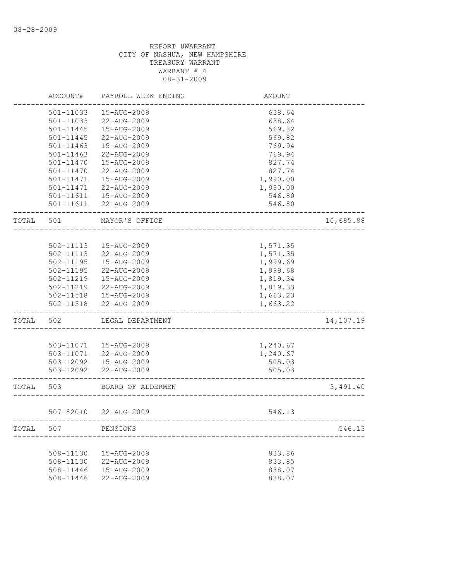|       | ACCOUNT#      | PAYROLL WEEK ENDING   | AMOUNT   |           |
|-------|---------------|-----------------------|----------|-----------|
|       | 501-11033     | 15-AUG-2009           | 638.64   |           |
|       | 501-11033     | 22-AUG-2009           | 638.64   |           |
|       | 501-11445     | 15-AUG-2009           | 569.82   |           |
|       | 501-11445     | 22-AUG-2009           | 569.82   |           |
|       | $501 - 11463$ | 15-AUG-2009           | 769.94   |           |
|       | $501 - 11463$ | 22-AUG-2009           | 769.94   |           |
|       | 501-11470     | 15-AUG-2009           | 827.74   |           |
|       | 501-11470     | 22-AUG-2009           | 827.74   |           |
|       | 501-11471     | 15-AUG-2009           | 1,990.00 |           |
|       | 501-11471     | 22-AUG-2009           | 1,990.00 |           |
|       | 501-11611     | 15-AUG-2009           | 546.80   |           |
|       | $501 - 11611$ | 22-AUG-2009           | 546.80   |           |
| TOTAL | 501           | MAYOR'S OFFICE        |          | 10,685.88 |
|       |               |                       |          |           |
|       | $502 - 11113$ | 15-AUG-2009           | 1,571.35 |           |
|       | 502-11113     | 22-AUG-2009           | 1,571.35 |           |
|       | $502 - 11195$ | 15-AUG-2009           | 1,999.69 |           |
|       | 502-11195     | 22-AUG-2009           | 1,999.68 |           |
|       | 502-11219     | 15-AUG-2009           | 1,819.34 |           |
|       | 502-11219     | 22-AUG-2009           | 1,819.33 |           |
|       | 502-11518     | 15-AUG-2009           | 1,663.23 |           |
|       | 502-11518     | 22-AUG-2009           | 1,663.22 |           |
| TOTAL | 502           | LEGAL DEPARTMENT      |          | 14,107.19 |
|       |               |                       |          |           |
|       | 503-11071     | 15-AUG-2009           | 1,240.67 |           |
|       | 503-11071     | 22-AUG-2009           | 1,240.67 |           |
|       | 503-12092     | 15-AUG-2009           | 505.03   |           |
|       | 503-12092     | 22-AUG-2009           | 505.03   |           |
| TOTAL | 503           | BOARD OF ALDERMEN     |          | 3,491.40  |
|       |               | 507-82010 22-AUG-2009 | 546.13   |           |
| TOTAL | 507           | PENSIONS              |          | 546.13    |
|       |               |                       |          |           |
|       | 508-11130     | 15-AUG-2009           | 833.86   |           |
|       | 508-11130     | 22-AUG-2009           | 833.85   |           |
|       | 508-11446     | 15-AUG-2009           | 838.07   |           |
|       | 508-11446     | 22-AUG-2009           | 838.07   |           |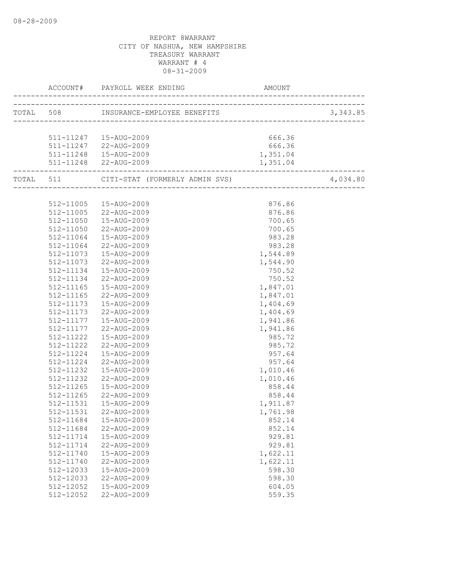|           | ACCOUNT# PAYROLL WEEK ENDING AMO                  | AMOUNT   |          |
|-----------|---------------------------------------------------|----------|----------|
|           |                                                   |          |          |
|           |                                                   |          |          |
|           | 511-11247   15-AUG-2009                           | 666.36   |          |
|           | 511-11247 22-AUG-2009                             | 666.36   |          |
|           | 511-11248  15-AUG-2009                            | 1,351.04 |          |
|           | 511-11248 22-AUG-2009                             | 1,351.04 |          |
|           | TOTAL 511 CITI-STAT (FORMERLY ADMIN SVS) 4,034.80 |          | 4,034.80 |
|           |                                                   |          |          |
|           | 512-11005  15-AUG-2009                            | 876.86   |          |
|           | 512-11005 22-AUG-2009                             | 876.86   |          |
|           | 512-11050  15-AUG-2009                            | 700.65   |          |
| 512-11050 | 22-AUG-2009                                       | 700.65   |          |
| 512-11064 | 15-AUG-2009                                       | 983.28   |          |
| 512-11064 | 22-AUG-2009                                       | 983.28   |          |
| 512-11073 | 15-AUG-2009                                       | 1,544.89 |          |
| 512-11073 | 22-AUG-2009                                       | 1,544.90 |          |
| 512-11134 | 15-AUG-2009                                       | 750.52   |          |
| 512-11134 | 22-AUG-2009                                       | 750.52   |          |
| 512-11165 | 15-AUG-2009                                       | 1,847.01 |          |
| 512-11165 | 22-AUG-2009                                       | 1,847.01 |          |
| 512-11173 | 15-AUG-2009                                       | 1,404.69 |          |
| 512-11173 | 22-AUG-2009                                       | 1,404.69 |          |
| 512-11177 | 15-AUG-2009                                       | 1,941.86 |          |
| 512-11177 | 22-AUG-2009                                       | 1,941.86 |          |
| 512-11222 | 15-AUG-2009                                       | 985.72   |          |
| 512-11222 | 22-AUG-2009                                       | 985.72   |          |
| 512-11224 | 15-AUG-2009                                       | 957.64   |          |
| 512-11224 | 22-AUG-2009                                       | 957.64   |          |
| 512-11232 | 15-AUG-2009                                       | 1,010.46 |          |
| 512-11232 | 22-AUG-2009                                       | 1,010.46 |          |
| 512-11265 | 15-AUG-2009                                       | 858.44   |          |
| 512-11265 | 22-AUG-2009                                       | 858.44   |          |
| 512-11531 | 15-AUG-2009                                       | 1,911.87 |          |
|           | 512-11531  22-AUG-2009                            | 1,761.98 |          |
| 512-11684 | 15-AUG-2009                                       | 852.14   |          |
| 512-11684 | 22-AUG-2009                                       | 852.14   |          |
| 512-11714 | 15-AUG-2009                                       | 929.81   |          |
| 512-11714 | 22-AUG-2009                                       | 929.81   |          |
| 512-11740 | 15-AUG-2009                                       | 1,622.11 |          |
| 512-11740 | 22-AUG-2009                                       | 1,622.11 |          |
| 512-12033 | 15-AUG-2009                                       | 598.30   |          |
| 512-12033 | 22-AUG-2009                                       | 598.30   |          |
| 512-12052 | 15-AUG-2009                                       | 604.05   |          |
| 512-12052 | 22-AUG-2009                                       | 559.35   |          |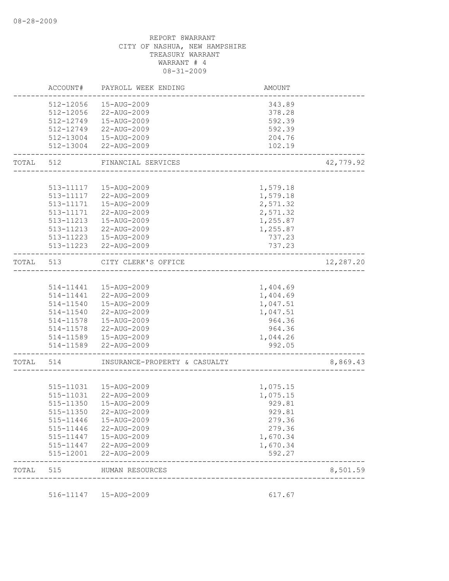|           | ACCOUNT#  | PAYROLL WEEK ENDING           | AMOUNT                              |           |
|-----------|-----------|-------------------------------|-------------------------------------|-----------|
|           | 512-12056 | 15-AUG-2009                   | 343.89                              |           |
|           | 512-12056 | 22-AUG-2009                   | 378.28                              |           |
|           |           | 512-12749  15-AUG-2009        | 592.39                              |           |
|           |           | 512-12749 22-AUG-2009         | 592.39                              |           |
|           |           | 512-13004  15-AUG-2009        | 204.76                              |           |
|           |           | 512-13004 22-AUG-2009         | 102.19                              |           |
| TOTAL     | 512       | FINANCIAL SERVICES            |                                     | 42,779.92 |
|           |           |                               |                                     |           |
|           |           | 513-11117  15-AUG-2009        | 1,579.18                            |           |
|           |           | 513-11117 22-AUG-2009         | 1,579.18                            |           |
|           |           | 513-11171  15-AUG-2009        | 2,571.32                            |           |
|           | 513-11171 | 22-AUG-2009                   | 2,571.32                            |           |
|           | 513-11213 | 15-AUG-2009                   | 1,255.87                            |           |
|           | 513-11213 | 22-AUG-2009                   | 1,255.87                            |           |
|           |           | 513-11223  15-AUG-2009        | 737.23                              |           |
|           |           | 513-11223 22-AUG-2009         | 737.23                              |           |
| TOTAL     | 513       | CITY CLERK'S OFFICE           | ----------------------------------- | 12,287.20 |
|           |           |                               |                                     |           |
|           |           | 514-11441  15-AUG-2009        | 1,404.69                            |           |
|           |           | 514-11441 22-AUG-2009         | 1,404.69                            |           |
|           | 514-11540 | 15-AUG-2009                   | 1,047.51                            |           |
|           | 514-11540 | 22-AUG-2009                   | 1,047.51                            |           |
|           |           | 514-11578  15-AUG-2009        | 964.36                              |           |
|           |           | 514-11578 22-AUG-2009         | 964.36                              |           |
|           |           | 514-11589  15-AUG-2009        | 1,044.26                            |           |
|           |           | 514-11589 22-AUG-2009         | 992.05                              |           |
| TOTAL 514 |           | INSURANCE-PROPERTY & CASUALTY |                                     | 8,869.43  |
|           |           |                               |                                     |           |
|           | 515-11031 | 15-AUG-2009                   | 1,075.15                            |           |
|           |           | 515-11031 22-AUG-2009         | 1,075.15                            |           |
|           | 515-11350 | 15-AUG-2009                   | 929.81                              |           |
|           |           | 515-11350 22-AUG-2009         | 929.81                              |           |
|           | 515-11446 | 15-AUG-2009                   | 279.36                              |           |
|           | 515-11446 | 22-AUG-2009                   | 279.36                              |           |
|           | 515-11447 | 15-AUG-2009                   | 1,670.34                            |           |
|           | 515-11447 | 22-AUG-2009                   | 1,670.34                            |           |
|           | 515-12001 | 22-AUG-2009                   | 592.27                              |           |
| TOTAL     | 515       | HUMAN RESOURCES               | ----------------------------------  | 8,501.59  |
|           |           | 516-11147   15-AUG-2009       |                                     |           |
|           |           |                               | 617.67                              |           |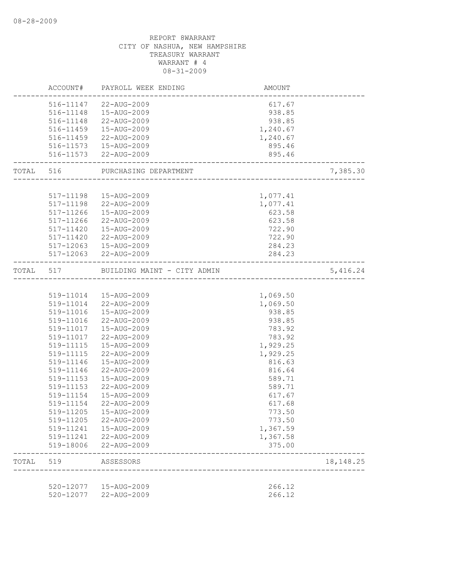|           | 520-12077<br>520-12077 | 15-AUG-2009<br>22-AUG-2009                                    | 266.12<br>266.12                   |             |
|-----------|------------------------|---------------------------------------------------------------|------------------------------------|-------------|
| TOTAL     | 519                    | ASSESSORS                                                     |                                    | 18, 148. 25 |
|           | 519-18006              | 22-AUG-2009                                                   | 375.00                             |             |
|           | 519-11241              | 22-AUG-2009                                                   | 1,367.58                           |             |
|           | 519-11205<br>519-11241 | 22-AUG-2009<br>15-AUG-2009                                    | 773.50<br>1,367.59                 |             |
|           | 519-11205              | 15-AUG-2009                                                   | 773.50                             |             |
|           | 519-11154              | 22-AUG-2009                                                   | 617.68                             |             |
|           | 519-11154              | 15-AUG-2009                                                   | 617.67                             |             |
|           | 519-11153              | 22-AUG-2009                                                   | 589.71                             |             |
|           | 519-11153              | 15-AUG-2009                                                   | 589.71                             |             |
|           | 519-11146              | 22-AUG-2009                                                   | 816.64                             |             |
|           | 519-11146              | 15-AUG-2009                                                   | 816.63                             |             |
|           | 519-11115              | 22-AUG-2009                                                   | 1,929.25                           |             |
|           | 519-11115              | 15-AUG-2009                                                   | 1,929.25                           |             |
|           |                        | 519-11017 22-AUG-2009                                         | 783.92                             |             |
|           |                        | 519-11017  15-AUG-2009                                        | 783.92                             |             |
|           |                        | 519-11016 22-AUG-2009                                         | 938.85                             |             |
|           |                        | 519-11016  15-AUG-2009                                        | 938.85                             |             |
|           |                        | 519-11014 22-AUG-2009                                         | 1,069.50                           |             |
|           |                        | 519-11014  15-AUG-2009                                        | 1,069.50                           |             |
| TOTAL 517 |                        | BUILDING MAINT - CITY ADMIN                                   |                                    | 5,416.24    |
|           |                        |                                                               |                                    |             |
|           |                        | 517-12063 22-AUG-2009                                         | 284.23                             |             |
|           |                        | 517-12063  15-AUG-2009                                        | 284.23                             |             |
|           | 517-11420              | 22-AUG-2009                                                   | 722.90                             |             |
|           | 517-11420              | 15-AUG-2009                                                   | 722.90                             |             |
|           | 517-11266              | 22-AUG-2009                                                   | 623.58                             |             |
|           | 517-11266              | 517-11198 22-AUG-2009<br>15-AUG-2009                          | 1,077.41<br>623.58                 |             |
|           |                        | 517-11198  15-AUG-2009                                        | 1,077.41                           |             |
|           |                        | TOTAL 516 PURCHASING DEPARTMENT<br>__________________________ |                                    | 7,385.30    |
|           |                        |                                                               | -------------------------------    |             |
|           |                        | 516-11573 22-AUG-2009                                         | 895.46                             |             |
|           |                        | 516-11573   15-AUG-2009                                       | 895.46                             |             |
|           |                        | 516-11459 22-AUG-2009                                         | 1,240.67                           |             |
|           |                        | 516-11459  15-AUG-2009                                        | 1,240.67                           |             |
|           |                        | 516-11148  15-AUG-2009<br>516-11148 22-AUG-2009               | 938.85<br>938.85                   |             |
|           |                        | 516-11147 22-AUG-2009                                         | 617.67                             |             |
|           |                        |                                                               |                                    |             |
|           |                        | ACCOUNT# PAYROLL WEEK ENDING                                  | AMOUNT<br>------------------------ |             |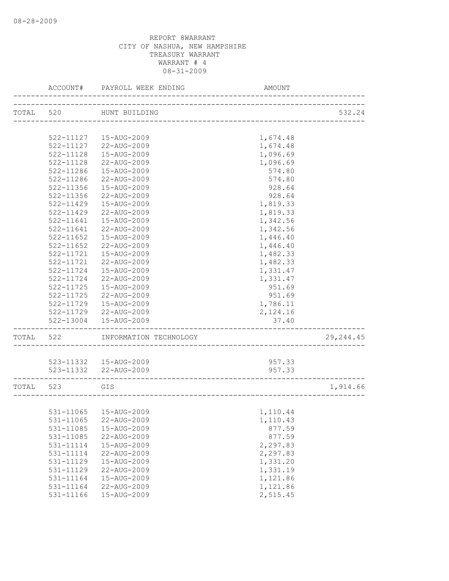|           | ACCOUNT#                   | PAYROLL WEEK ENDING        | AMOUNT                       |            |
|-----------|----------------------------|----------------------------|------------------------------|------------|
| TOTAL 520 |                            | HUNT BUILDING              |                              | 532.24     |
|           |                            |                            | ____________________________ |            |
|           | 522-11127                  | 15-AUG-2009                | 1,674.48                     |            |
|           | 522-11127                  | 22-AUG-2009                | 1,674.48                     |            |
|           | $522 - 11128$              | 15-AUG-2009                |                              |            |
|           |                            |                            | 1,096.69                     |            |
|           | 522-11128                  | 22-AUG-2009<br>15-AUG-2009 | 1,096.69                     |            |
|           | 522-11286                  | 22-AUG-2009                | 574.80                       |            |
|           | 522-11286<br>$522 - 11356$ | 15-AUG-2009                | 574.80                       |            |
|           |                            | 22-AUG-2009                | 928.64                       |            |
|           | 522-11356                  |                            | 928.64                       |            |
|           | 522-11429                  | 15-AUG-2009                | 1,819.33                     |            |
|           | 522-11429                  | 22-AUG-2009                | 1,819.33                     |            |
|           | 522-11641                  | 15-AUG-2009                | 1,342.56                     |            |
|           | 522-11641                  | 22-AUG-2009                | 1,342.56                     |            |
|           | 522-11652                  | 15-AUG-2009                | 1,446.40                     |            |
|           | $522 - 11652$              | 22-AUG-2009                | 1,446.40                     |            |
|           | 522-11721                  | 15-AUG-2009                | 1,482.33                     |            |
|           | 522-11721                  | 22-AUG-2009                | 1,482.33                     |            |
|           | $522 - 11724$              | 15-AUG-2009                | 1,331.47                     |            |
|           | 522-11724                  | 22-AUG-2009                | 1,331.47                     |            |
|           | 522-11725                  | 15-AUG-2009                | 951.69                       |            |
|           | 522-11725                  | 22-AUG-2009                | 951.69                       |            |
|           | 522-11729                  | 15-AUG-2009                | 1,786.11                     |            |
|           | 522-11729                  | 22-AUG-2009                | 2,124.16                     |            |
|           | 522-13004                  | 15-AUG-2009                | 37.40                        |            |
| TOTAL     | 522                        | INFORMATION TECHNOLOGY     |                              | 29, 244.45 |
|           |                            | 523-11332  15-AUG-2009     | 957.33                       |            |
|           |                            | 523-11332 22-AUG-2009      | 957.33                       |            |
|           |                            |                            |                              |            |
| TOTAL     | 523                        | GIS                        |                              | 1,914.66   |
|           |                            |                            |                              |            |
|           |                            | 531-11065  15-AUG-2009     | 1,110.44                     |            |
|           | 531-11065                  | 22-AUG-2009                | 1,110.43                     |            |
|           | 531-11085                  | 15-AUG-2009                | 877.59                       |            |
|           | 531-11085                  | 22-AUG-2009                | 877.59                       |            |
|           | 531-11114                  | 15-AUG-2009                | 2,297.83                     |            |
|           | 531-11114                  | 22-AUG-2009                | 2,297.83                     |            |
|           | 531-11129                  | 15-AUG-2009                | 1,331.20                     |            |
|           | 531-11129                  | 22-AUG-2009                | 1,331.19                     |            |
|           | 531-11164                  | 15-AUG-2009                | 1,121.86                     |            |
|           | 531-11164                  | 22-AUG-2009                | 1,121.86                     |            |
|           | 531-11166                  | 15-AUG-2009                | 2,515.45                     |            |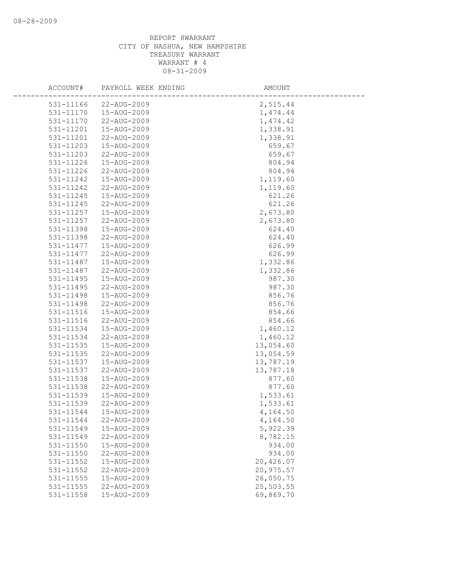| ACCOUNT#  | PAYROLL WEEK ENDING | AMOUNT    |
|-----------|---------------------|-----------|
| 531-11166 | 22-AUG-2009         | 2,515.44  |
| 531-11170 | 15-AUG-2009         | 1,474.44  |
| 531-11170 | 22-AUG-2009         | 1,474.42  |
| 531-11201 | 15-AUG-2009         | 1,338.91  |
| 531-11201 | 22-AUG-2009         | 1,338.91  |
| 531-11203 | 15-AUG-2009         | 659.67    |
| 531-11203 | 22-AUG-2009         | 659.67    |
| 531-11226 | 15-AUG-2009         | 804.94    |
| 531-11226 | 22-AUG-2009         | 804.94    |
| 531-11242 | 15-AUG-2009         | 1,119.60  |
| 531-11242 | 22-AUG-2009         | 1,119.60  |
| 531-11245 | 15-AUG-2009         | 621.26    |
| 531-11245 | 22-AUG-2009         | 621.26    |
| 531-11257 | 15-AUG-2009         | 2,673.80  |
| 531-11257 | 22-AUG-2009         | 2,673.80  |
| 531-11398 | 15-AUG-2009         | 624.40    |
| 531-11398 | 22-AUG-2009         | 624.40    |
| 531-11477 | 15-AUG-2009         | 626.99    |
| 531-11477 | 22-AUG-2009         | 626.99    |
| 531-11487 | 15-AUG-2009         | 1,332.86  |
| 531-11487 | 22-AUG-2009         | 1,332.86  |
| 531-11495 | 15-AUG-2009         | 987.30    |
| 531-11495 | 22-AUG-2009         | 987.30    |
| 531-11498 | 15-AUG-2009         | 856.76    |
| 531-11498 | 22-AUG-2009         | 856.76    |
| 531-11516 | 15-AUG-2009         | 854.66    |
| 531-11516 | 22-AUG-2009         | 854.66    |
| 531-11534 | 15-AUG-2009         | 1,460.12  |
| 531-11534 | 22-AUG-2009         | 1,460.12  |
| 531-11535 | 15-AUG-2009         | 13,054.60 |
| 531-11535 | 22-AUG-2009         | 13,054.59 |
| 531-11537 | 15-AUG-2009         | 13,787.19 |
| 531-11537 | 22-AUG-2009         | 13,787.18 |
| 531-11538 | 15-AUG-2009         | 877.60    |
| 531-11538 | 22-AUG-2009         | 877.60    |
| 531-11539 | 15-AUG-2009         | 1,533.61  |
| 531-11539 | 22-AUG-2009         | 1,533.61  |
| 531-11544 | 15-AUG-2009         | 4,164.50  |
| 531-11544 | 22-AUG-2009         | 4,164.50  |
| 531-11549 | 15-AUG-2009         | 5,922.39  |
| 531-11549 | 22-AUG-2009         | 8,782.15  |
| 531-11550 | 15-AUG-2009         | 934.00    |
| 531-11550 | 22-AUG-2009         | 934.00    |
| 531-11552 | 15-AUG-2009         | 20,426.07 |
| 531-11552 | 22-AUG-2009         | 20,975.57 |
| 531-11555 | 15-AUG-2009         | 26,050.75 |
| 531-11555 | 22-AUG-2009         | 25,503.55 |
| 531-11558 | 15-AUG-2009         | 69,869.70 |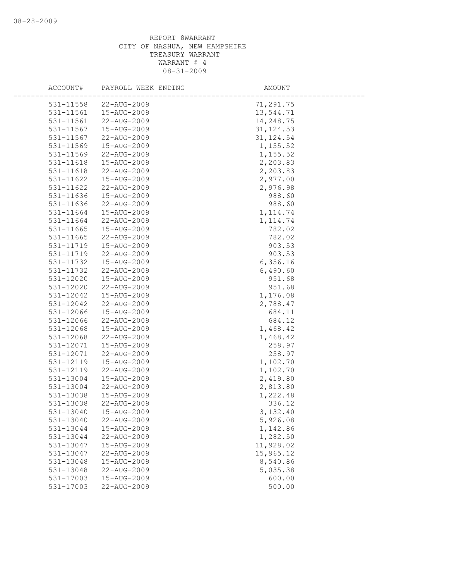| ACCOUNT#               | PAYROLL WEEK ENDING        | AMOUNT                |
|------------------------|----------------------------|-----------------------|
| 531-11558              | 22-AUG-2009                | 71,291.75             |
| 531-11561              | 15-AUG-2009                | 13,544.71             |
| 531-11561              | 22-AUG-2009                | 14,248.75             |
| 531-11567              | 15-AUG-2009                | 31, 124.53            |
| 531-11567              | 22-AUG-2009                | 31, 124.54            |
| 531-11569              | 15-AUG-2009                | 1,155.52              |
| 531-11569              | 22-AUG-2009                | 1,155.52              |
| 531-11618              | 15-AUG-2009                | 2,203.83              |
| 531-11618              | 22-AUG-2009                | 2,203.83              |
| 531-11622              | 15-AUG-2009                | 2,977.00              |
| 531-11622              | 22-AUG-2009                | 2,976.98              |
| 531-11636              | 15-AUG-2009                | 988.60                |
| 531-11636              | 22-AUG-2009                | 988.60                |
| 531-11664              | 15-AUG-2009                | 1, 114.74             |
| 531-11664              | 22-AUG-2009                | 1, 114.74             |
| 531-11665              | 15-AUG-2009                | 782.02                |
| 531-11665              | 22-AUG-2009                | 782.02                |
| 531-11719              | 15-AUG-2009                | 903.53                |
| 531-11719              | 22-AUG-2009                | 903.53                |
| 531-11732              | 15-AUG-2009                | 6,356.16              |
| 531-11732              | 22-AUG-2009                | 6,490.60              |
| 531-12020              | 15-AUG-2009                | 951.68                |
| 531-12020              | 22-AUG-2009                | 951.68                |
| 531-12042              | 15-AUG-2009                | 1,176.08              |
| 531-12042              | 22-AUG-2009                | 2,788.47              |
| 531-12066              | 15-AUG-2009                | 684.11                |
| 531-12066              | 22-AUG-2009                | 684.12                |
| 531-12068              | 15-AUG-2009                | 1,468.42              |
| 531-12068              | 22-AUG-2009                | 1,468.42              |
| 531-12071              | 15-AUG-2009                | 258.97                |
| 531-12071              | 22-AUG-2009                | 258.97                |
| 531-12119              | 15-AUG-2009                | 1,102.70              |
| 531-12119              | 22-AUG-2009                | 1,102.70              |
| $531 - 13004$          | 15-AUG-2009                | 2,419.80              |
| 531-13004              | 22-AUG-2009                | 2,813.80              |
| 531-13038              | 15-AUG-2009                | 1,222.48              |
| 531-13038              | 22-AUG-2009                | 336.12                |
| 531-13040              | 15-AUG-2009                | 3,132.40              |
| 531-13040              | 22-AUG-2009                | 5,926.08              |
| 531-13044              | 15-AUG-2009                | 1,142.86              |
| 531-13044<br>531-13047 | 22-AUG-2009<br>15-AUG-2009 | 1,282.50<br>11,928.02 |
| 531-13047              | 22-AUG-2009                | 15,965.12             |
| 531-13048              | 15-AUG-2009                | 8,540.86              |
| 531-13048              | 22-AUG-2009                | 5,035.38              |
| 531-17003              | 15-AUG-2009                | 600.00                |
| 531-17003              | 22-AUG-2009                | 500.00                |
|                        |                            |                       |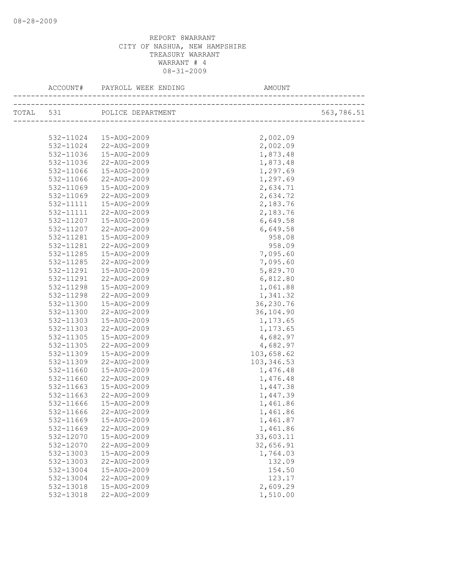|           | TOTAL 531 POLICE DEPARTMENT |             | 563,786.51 |
|-----------|-----------------------------|-------------|------------|
|           |                             |             |            |
| 532-11024 | 15-AUG-2009                 | 2,002.09    |            |
|           | 532-11024 22-AUG-2009       | 2,002.09    |            |
| 532-11036 | 15-AUG-2009                 | 1,873.48    |            |
| 532-11036 | 22-AUG-2009                 | 1,873.48    |            |
| 532-11066 | 15-AUG-2009                 | 1,297.69    |            |
| 532-11066 | 22-AUG-2009                 | 1,297.69    |            |
| 532-11069 | 15-AUG-2009                 | 2,634.71    |            |
| 532-11069 | 22-AUG-2009                 | 2,634.72    |            |
| 532-11111 | 15-AUG-2009                 | 2,183.76    |            |
| 532-11111 | 22-AUG-2009                 | 2,183.76    |            |
| 532-11207 | 15-AUG-2009                 | 6,649.58    |            |
| 532-11207 | 22-AUG-2009                 | 6,649.58    |            |
| 532-11281 | 15-AUG-2009                 | 958.08      |            |
| 532-11281 | 22-AUG-2009                 | 958.09      |            |
| 532-11285 | 15-AUG-2009                 | 7,095.60    |            |
| 532-11285 | 22-AUG-2009                 | 7,095.60    |            |
| 532-11291 | 15-AUG-2009                 | 5,829.70    |            |
| 532-11291 | 22-AUG-2009                 | 6,812.80    |            |
| 532-11298 | 15-AUG-2009                 | 1,061.88    |            |
| 532-11298 | 22-AUG-2009                 | 1,341.32    |            |
| 532-11300 | 15-AUG-2009                 | 36,230.76   |            |
| 532-11300 | 22-AUG-2009                 | 36,104.90   |            |
| 532-11303 | 15-AUG-2009                 | 1,173.65    |            |
| 532-11303 | 22-AUG-2009                 | 1,173.65    |            |
| 532-11305 | 15-AUG-2009                 | 4,682.97    |            |
| 532-11305 | 22-AUG-2009                 | 4,682.97    |            |
| 532-11309 | 15-AUG-2009                 | 103,658.62  |            |
| 532-11309 | 22-AUG-2009                 | 103, 346.53 |            |
| 532-11660 | 15-AUG-2009                 | 1,476.48    |            |
| 532-11660 | 22-AUG-2009                 | 1,476.48    |            |
| 532-11663 | 15-AUG-2009                 | 1,447.38    |            |
| 532-11663 | 22-AUG-2009                 | 1,447.39    |            |
| 532-11666 | 15-AUG-2009                 | 1,461.86    |            |
|           | 532-11666 22-AUG-2009       | 1,461.86    |            |
| 532-11669 | 15-AUG-2009                 | 1,461.87    |            |
| 532-11669 | 22-AUG-2009                 | 1,461.86    |            |
| 532-12070 | 15-AUG-2009                 | 33,603.11   |            |
| 532-12070 | 22-AUG-2009                 | 32,656.91   |            |
| 532-13003 | 15-AUG-2009                 | 1,764.03    |            |
| 532-13003 | 22-AUG-2009                 | 132.09      |            |
| 532-13004 | 15-AUG-2009                 | 154.50      |            |
| 532-13004 | 22-AUG-2009                 | 123.17      |            |
| 532-13018 | 15-AUG-2009                 | 2,609.29    |            |
| 532-13018 | 22-AUG-2009                 | 1,510.00    |            |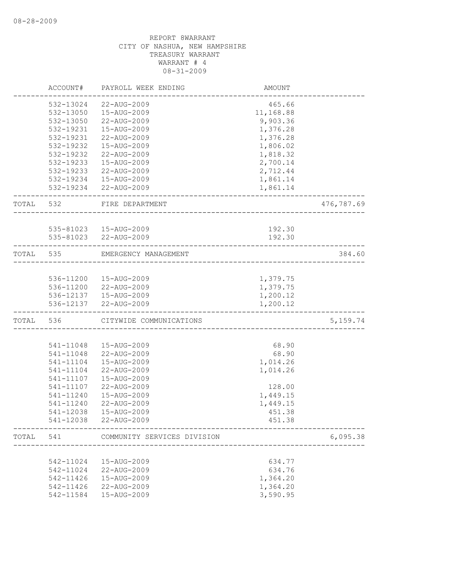|           | ACCOUNT#  | PAYROLL WEEK ENDING                             | <b>AMOUNT</b>        |            |
|-----------|-----------|-------------------------------------------------|----------------------|------------|
|           | 532-13024 | 22-AUG-2009                                     | 465.66               |            |
|           | 532-13050 | 15-AUG-2009                                     | 11,168.88            |            |
|           | 532-13050 | 22-AUG-2009                                     | 9,903.36             |            |
|           | 532-19231 | 15-AUG-2009                                     | 1,376.28             |            |
|           | 532-19231 | 22-AUG-2009                                     | 1,376.28             |            |
|           | 532-19232 | 15-AUG-2009                                     | 1,806.02             |            |
|           | 532-19232 | 22-AUG-2009                                     | 1,818.32             |            |
|           | 532-19233 | 15-AUG-2009                                     | 2,700.14             |            |
|           | 532-19233 | 22-AUG-2009                                     | 2,712.44             |            |
|           |           | 532-19234  15-AUG-2009                          | 1,861.14             |            |
|           |           | 532-19234 22-AUG-2009                           | 1,861.14             |            |
| TOTAL 532 |           | FIRE DEPARTMENT                                 |                      | 476,787.69 |
|           |           |                                                 |                      |            |
|           |           | 535-81023  15-AUG-2009<br>535-81023 22-AUG-2009 | 192.30<br>192.30     |            |
|           |           |                                                 |                      |            |
| TOTAL     | 535       | EMERGENCY MANAGEMENT                            |                      | 384.60     |
|           | 536-11200 | 15-AUG-2009                                     | 1,379.75             |            |
|           |           |                                                 |                      |            |
|           |           | 536-11200 22-AUG-2009                           | 1,379.75             |            |
|           | 536-12137 | 536-12137   15-AUG-2009<br>22-AUG-2009          | 1,200.12<br>1,200.12 |            |
| TOTAL     | 536       | CITYWIDE COMMUNICATIONS                         |                      | 5, 159.74  |
|           |           |                                                 |                      |            |
|           | 541-11048 | 15-AUG-2009                                     | 68.90                |            |
|           | 541-11048 | 22-AUG-2009                                     | 68.90                |            |
|           | 541-11104 | 15-AUG-2009                                     | 1,014.26             |            |
|           | 541-11104 | 22-AUG-2009                                     | 1,014.26             |            |
|           | 541-11107 | 15-AUG-2009                                     |                      |            |
|           | 541-11107 | 22-AUG-2009                                     | 128.00               |            |
|           | 541-11240 | 15-AUG-2009                                     | 1,449.15             |            |
|           | 541-11240 | 22-AUG-2009                                     | 1,449.15             |            |
|           | 541-12038 | 15-AUG-2009                                     | 451.38               |            |
|           | 541-12038 | 22-AUG-2009                                     | 451.38               |            |
| TOTAL     | 541       | COMMUNITY SERVICES DIVISION                     |                      | 6,095.38   |
|           |           |                                                 |                      |            |
|           | 542-11024 | 15-AUG-2009                                     | 634.77               |            |
|           | 542-11024 | 22-AUG-2009                                     | 634.76               |            |
|           | 542-11426 | 15-AUG-2009                                     | 1,364.20             |            |
|           | 542-11426 | 22-AUG-2009                                     | 1,364.20             |            |
|           | 542-11584 | 15-AUG-2009                                     | 3,590.95             |            |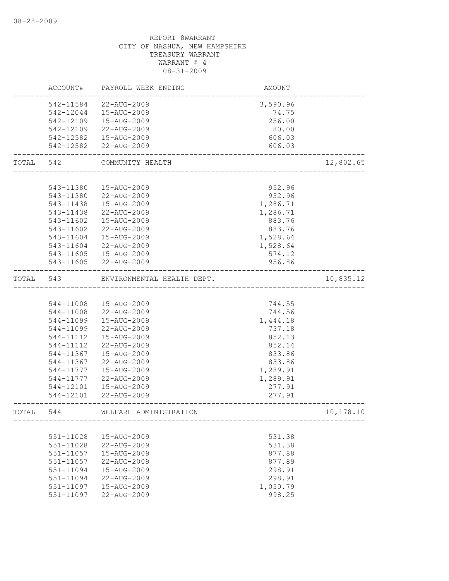|           | ACCOUNT#  | PAYROLL WEEK ENDING        | AMOUNT   |            |
|-----------|-----------|----------------------------|----------|------------|
|           | 542-11584 | 22-AUG-2009                | 3,590.96 |            |
|           | 542-12044 | 15-AUG-2009                | 74.75    |            |
|           | 542-12109 | 15-AUG-2009                | 256.00   |            |
|           | 542-12109 | 22-AUG-2009                | 80.00    |            |
|           |           | 542-12582  15-AUG-2009     | 606.03   |            |
|           | 542-12582 | 22-AUG-2009                | 606.03   |            |
| TOTAL 542 |           | COMMUNITY HEALTH           |          | 12,802.65  |
|           |           |                            |          |            |
|           | 543-11380 | 15-AUG-2009                | 952.96   |            |
|           | 543-11380 | 22-AUG-2009                | 952.96   |            |
|           | 543-11438 | 15-AUG-2009                | 1,286.71 |            |
|           | 543-11438 | 22-AUG-2009                | 1,286.71 |            |
|           | 543-11602 | 15-AUG-2009                | 883.76   |            |
|           | 543-11602 | 22-AUG-2009                | 883.76   |            |
|           | 543-11604 | 15-AUG-2009                | 1,528.64 |            |
|           | 543-11604 | 22-AUG-2009                | 1,528.64 |            |
|           | 543-11605 | 15-AUG-2009                | 574.12   |            |
|           | 543-11605 | 22-AUG-2009                | 956.86   |            |
| TOTAL     | 543       | ENVIRONMENTAL HEALTH DEPT. |          | 10,835.12  |
|           |           |                            |          |            |
|           | 544-11008 | 15-AUG-2009                | 744.55   |            |
|           | 544-11008 | 22-AUG-2009                | 744.56   |            |
|           | 544-11099 | 15-AUG-2009                | 1,444.18 |            |
|           | 544-11099 | 22-AUG-2009                | 737.18   |            |
|           | 544-11112 | 15-AUG-2009                | 852.13   |            |
|           | 544-11112 | 22-AUG-2009                | 852.14   |            |
|           | 544-11367 | 15-AUG-2009                | 833.86   |            |
|           | 544-11367 | 22-AUG-2009                | 833.86   |            |
|           | 544-11777 | 15-AUG-2009                | 1,289.91 |            |
|           | 544-11777 | 22-AUG-2009                | 1,289.91 |            |
|           | 544-12101 | 15-AUG-2009                | 277.91   |            |
|           | 544-12101 | 22-AUG-2009                | 277.91   |            |
| TOTAL     | 544       | WELFARE ADMINISTRATION     |          | 10, 178.10 |
|           |           |                            |          |            |
|           | 551-11028 | 15-AUG-2009                | 531.38   |            |
|           | 551-11028 | 22-AUG-2009                | 531.38   |            |
|           | 551-11057 | 15-AUG-2009                | 877.88   |            |
|           | 551-11057 | 22-AUG-2009                | 877.89   |            |
|           | 551-11094 | 15-AUG-2009                | 298.91   |            |
|           | 551-11094 | 22-AUG-2009                | 298.91   |            |
|           | 551-11097 | 15-AUG-2009                | 1,050.79 |            |
|           | 551-11097 | 22-AUG-2009                | 998.25   |            |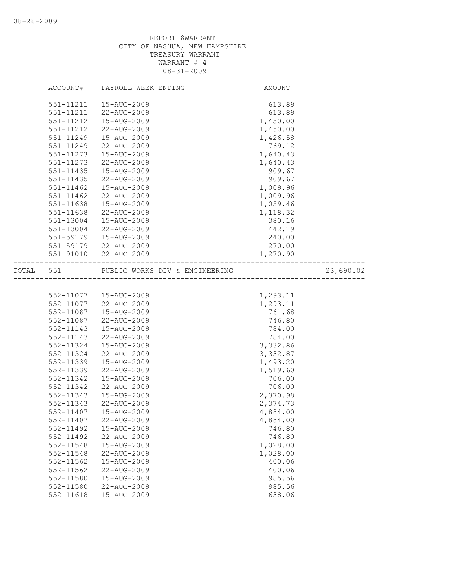|       | ACCOUNT#      | PAYROLL WEEK ENDING                              | <b>AMOUNT</b>        |           |
|-------|---------------|--------------------------------------------------|----------------------|-----------|
|       | 551-11211     | 15-AUG-2009                                      | 613.89               |           |
|       | 551-11211     | 22-AUG-2009                                      | 613.89               |           |
|       | 551-11212     | 15-AUG-2009                                      | 1,450.00             |           |
|       | 551-11212     | 22-AUG-2009                                      | 1,450.00             |           |
|       | 551-11249     | 15-AUG-2009                                      | 1,426.58             |           |
|       | 551-11249     | 22-AUG-2009                                      | 769.12               |           |
|       | 551-11273     | 15-AUG-2009                                      | 1,640.43             |           |
|       | 551-11273     | 22-AUG-2009                                      | 1,640.43             |           |
|       | 551-11435     | 15-AUG-2009                                      | 909.67               |           |
|       | 551-11435     | 22-AUG-2009                                      | 909.67               |           |
|       | $551 - 11462$ | 15-AUG-2009                                      | 1,009.96             |           |
|       | $551 - 11462$ | 22-AUG-2009                                      | 1,009.96             |           |
|       | 551-11638     | 15-AUG-2009                                      | 1,059.46             |           |
|       | 551-11638     | 22-AUG-2009                                      | 1,118.32             |           |
|       | 551-13004     | 15-AUG-2009                                      | 380.16               |           |
|       | 551-13004     | 22-AUG-2009                                      | 442.19               |           |
|       | 551-59179     | 15-AUG-2009                                      | 240.00               |           |
|       |               | 551-59179 22-AUG-2009                            | 270.00               |           |
|       |               | 551-91010 22-AUG-2009                            | 1,270.90             |           |
|       |               |                                                  |                      |           |
| TOTAL | 551           | PUBLIC WORKS DIV & ENGINEERING                   |                      | 23,690.02 |
|       |               |                                                  |                      |           |
|       |               |                                                  |                      |           |
|       |               | 552-11077   15-AUG-2009<br>552-11077 22-AUG-2009 | 1,293.11<br>1,293.11 |           |
|       | 552-11087     | 15-AUG-2009                                      | 761.68               |           |
|       | 552-11087     | 22-AUG-2009                                      | 746.80               |           |
|       | 552-11143     | 15-AUG-2009                                      | 784.00               |           |
|       | 552-11143     | 22-AUG-2009                                      | 784.00               |           |
|       | 552-11324     | 15-AUG-2009                                      | 3,332.86             |           |
|       | 552-11324     | 22-AUG-2009                                      | 3,332.87             |           |
|       | 552-11339     | 15-AUG-2009                                      | 1,493.20             |           |
|       | 552-11339     | 22-AUG-2009                                      | 1,519.60             |           |
|       | 552-11342     | 15-AUG-2009                                      | 706.00               |           |
|       | 552-11342     | 22-AUG-2009                                      | 706.00               |           |
|       | 552-11343     | 15-AUG-2009                                      | 2,370.98             |           |
|       | 552-11343     | 22-AUG-2009                                      | 2,374.73             |           |
|       | 552-11407     | 15-AUG-2009                                      | 4,884.00             |           |
|       | 552-11407     | 22-AUG-2009                                      |                      |           |
|       | 552-11492     | 15-AUG-2009                                      | 4,884.00<br>746.80   |           |
|       | 552-11492     | 22-AUG-2009                                      | 746.80               |           |
|       | 552-11548     | 15-AUG-2009                                      | 1,028.00             |           |
|       | 552-11548     | 22-AUG-2009                                      | 1,028.00             |           |
|       | 552-11562     | 15-AUG-2009                                      | 400.06               |           |
|       | 552-11562     | 22-AUG-2009                                      | 400.06               |           |
|       | 552-11580     | 15-AUG-2009                                      | 985.56               |           |
|       | 552-11580     | 22-AUG-2009                                      | 985.56               |           |
|       | 552-11618     | 15-AUG-2009                                      | 638.06               |           |
|       |               |                                                  |                      |           |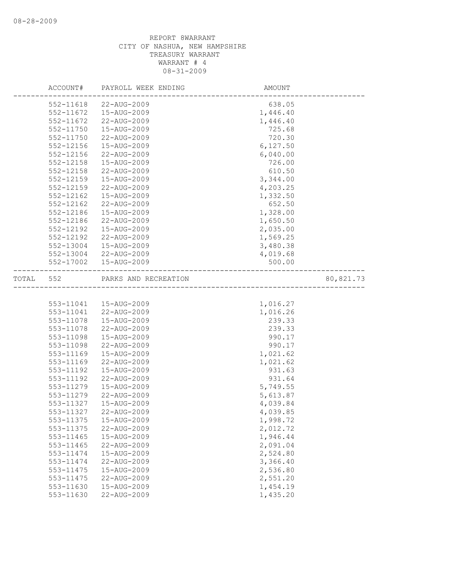|       | ACCOUNT#      | PAYROLL WEEK ENDING      | AMOUNT   |           |
|-------|---------------|--------------------------|----------|-----------|
|       | 552-11618     | 22-AUG-2009              | 638.05   |           |
|       | 552-11672     | 15-AUG-2009              | 1,446.40 |           |
|       | 552-11672     | 22-AUG-2009              | 1,446.40 |           |
|       | 552-11750     | 15-AUG-2009              | 725.68   |           |
|       | 552-11750     | 22-AUG-2009              | 720.30   |           |
|       | 552-12156     | 15-AUG-2009              | 6,127.50 |           |
|       | 552-12156     | 22-AUG-2009              | 6,040.00 |           |
|       | 552-12158     | 15-AUG-2009              | 726.00   |           |
|       | 552-12158     | 22-AUG-2009              | 610.50   |           |
|       | 552-12159     | 15-AUG-2009              | 3,344.00 |           |
|       | $552 - 12159$ | 22-AUG-2009              | 4,203.25 |           |
|       | 552-12162     | 15-AUG-2009              | 1,332.50 |           |
|       | 552-12162     | 22-AUG-2009              | 652.50   |           |
|       | 552-12186     | 15-AUG-2009              | 1,328.00 |           |
|       | 552-12186     | 22-AUG-2009              | 1,650.50 |           |
|       | 552-12192     | 15-AUG-2009              | 2,035.00 |           |
|       | 552-12192     | 22-AUG-2009              | 1,569.25 |           |
|       | 552-13004     | 15-AUG-2009              | 3,480.38 |           |
|       | 552-13004     | 22-AUG-2009              | 4,019.68 |           |
|       | 552-17002     | 15-AUG-2009              | 500.00   |           |
| TOTAL |               |                          |          |           |
|       | 552           | PARKS AND RECREATION     |          | 80,821.73 |
|       |               |                          |          |           |
|       |               | 553-11041  15-AUG-2009   | 1,016.27 |           |
|       | 553-11041     | 22-AUG-2009              | 1,016.26 |           |
|       | 553-11078     | 15-AUG-2009              | 239.33   |           |
|       | 553-11078     | 22-AUG-2009              | 239.33   |           |
|       | 553-11098     | 15-AUG-2009              | 990.17   |           |
|       | 553-11098     | 22-AUG-2009              | 990.17   |           |
|       | 553-11169     | 15-AUG-2009              | 1,021.62 |           |
|       | 553-11169     | 22-AUG-2009              | 1,021.62 |           |
|       | 553-11192     | 15-AUG-2009              | 931.63   |           |
|       | 553-11192     | 22-AUG-2009              | 931.64   |           |
|       | 553-11279     | 15-AUG-2009              | 5,749.55 |           |
|       | 553-11279     | 22-AUG-2009              | 5,613.87 |           |
|       | 553-11327     | 15-AUG-2009              | 4,039.84 |           |
|       | 553-11327     | $22 - \text{AUG} - 2009$ | 4,039.85 |           |
|       | 553-11375     | 15-AUG-2009              | 1,998.72 |           |
|       | 553-11375     | 22-AUG-2009              | 2,012.72 |           |
|       | 553-11465     | 15-AUG-2009              | 1,946.44 |           |
|       | 553-11465     | 22-AUG-2009              | 2,091.04 |           |
|       | 553-11474     | 15-AUG-2009              | 2,524.80 |           |
|       | 553-11474     | 22-AUG-2009              | 3,366.40 |           |
|       | 553-11475     | 15-AUG-2009              | 2,536.80 |           |
|       | 553-11475     | 22-AUG-2009              | 2,551.20 |           |
|       | 553-11630     | $15 - AUG - 2009$        | 1,454.19 |           |
|       | 553-11630     | 22-AUG-2009              | 1,435.20 |           |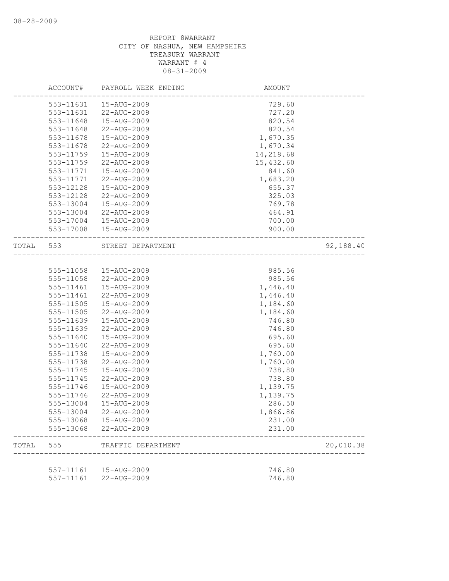|       | ACCOUNT#  | PAYROLL WEEK ENDING | AMOUNT    |           |
|-------|-----------|---------------------|-----------|-----------|
|       | 553-11631 | 15-AUG-2009         | 729.60    |           |
|       | 553-11631 | 22-AUG-2009         | 727.20    |           |
|       | 553-11648 | 15-AUG-2009         | 820.54    |           |
|       | 553-11648 | 22-AUG-2009         | 820.54    |           |
|       | 553-11678 | 15-AUG-2009         | 1,670.35  |           |
|       | 553-11678 | 22-AUG-2009         | 1,670.34  |           |
|       | 553-11759 | 15-AUG-2009         | 14,218.68 |           |
|       | 553-11759 | 22-AUG-2009         | 15,432.60 |           |
|       | 553-11771 | 15-AUG-2009         | 841.60    |           |
|       | 553-11771 | 22-AUG-2009         | 1,683.20  |           |
|       | 553-12128 | 15-AUG-2009         | 655.37    |           |
|       | 553-12128 | 22-AUG-2009         | 325.03    |           |
|       | 553-13004 | 15-AUG-2009         | 769.78    |           |
|       | 553-13004 | 22-AUG-2009         | 464.91    |           |
|       | 553-17004 | 15-AUG-2009         | 700.00    |           |
|       | 553-17008 | 15-AUG-2009         | 900.00    |           |
| TOTAL | 553       | STREET DEPARTMENT   |           | 92,188.40 |
|       |           |                     |           |           |
|       | 555-11058 | 15-AUG-2009         | 985.56    |           |
|       | 555-11058 | 22-AUG-2009         | 985.56    |           |
|       | 555-11461 | 15-AUG-2009         | 1,446.40  |           |
|       | 555-11461 | 22-AUG-2009         | 1,446.40  |           |
|       | 555-11505 | 15-AUG-2009         | 1,184.60  |           |
|       | 555-11505 | 22-AUG-2009         | 1,184.60  |           |
|       | 555-11639 | 15-AUG-2009         | 746.80    |           |
|       | 555-11639 | 22-AUG-2009         | 746.80    |           |
|       | 555-11640 | 15-AUG-2009         | 695.60    |           |
|       | 555-11640 | 22-AUG-2009         | 695.60    |           |
|       | 555-11738 | 15-AUG-2009         | 1,760.00  |           |
|       | 555-11738 | 22-AUG-2009         | 1,760.00  |           |
|       | 555-11745 | 15-AUG-2009         | 738.80    |           |
|       | 555-11745 | 22-AUG-2009         | 738.80    |           |
|       | 555-11746 | 15-AUG-2009         | 1,139.75  |           |
|       | 555-11746 | 22-AUG-2009         | 1,139.75  |           |
|       | 555-13004 | 15-AUG-2009         | 286.50    |           |
|       | 555-13004 | 22-AUG-2009         | 1,866.86  |           |
|       | 555-13068 | 15-AUG-2009         | 231.00    |           |
|       | 555-13068 | 22-AUG-2009         | 231.00    |           |
| TOTAL | 555       | TRAFFIC DEPARTMENT  |           | 20,010.38 |
|       |           |                     |           |           |
|       | 557-11161 | 15-AUG-2009         | 746.80    |           |
|       | 557-11161 | 22-AUG-2009         | 746.80    |           |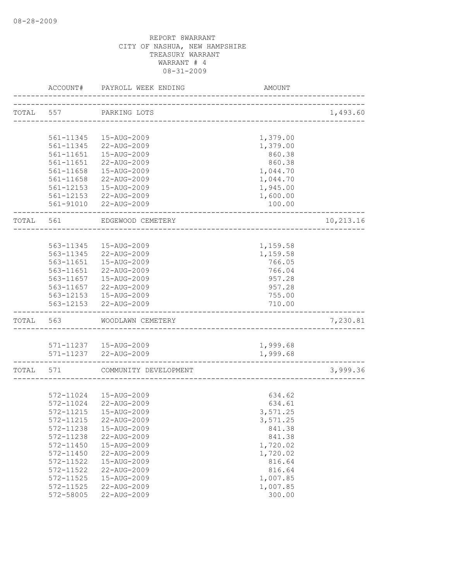|           | ACCOUNT#      | PAYROLL WEEK ENDING    | AMOUNT                      |           |
|-----------|---------------|------------------------|-----------------------------|-----------|
| TOTAL 557 |               | PARKING LOTS           |                             | 1,493.60  |
|           |               |                        | ___________________________ |           |
|           | 561-11345     | 15-AUG-2009            | 1,379.00                    |           |
|           | 561-11345     | 22-AUG-2009            | 1,379.00                    |           |
|           | $561 - 11651$ | 15-AUG-2009            | 860.38                      |           |
|           | 561-11651     | 22-AUG-2009            | 860.38                      |           |
|           | 561-11658     | 15-AUG-2009            | 1,044.70                    |           |
|           | 561-11658     | 22-AUG-2009            | 1,044.70                    |           |
|           | 561-12153     | 15-AUG-2009            | 1,945.00                    |           |
|           |               | 561-12153 22-AUG-2009  | 1,600.00                    |           |
|           | 561-91010     | 22-AUG-2009            | 100.00                      |           |
| TOTAL     | 561           | EDGEWOOD CEMETERY      |                             | 10,213.16 |
|           |               |                        |                             |           |
|           | 563-11345     | 15-AUG-2009            | 1,159.58                    |           |
|           | 563-11345     | 22-AUG-2009            | 1,159.58                    |           |
|           | 563-11651     | 15-AUG-2009            | 766.05                      |           |
|           | 563-11651     | 22-AUG-2009            | 766.04                      |           |
|           | 563-11657     | 15-AUG-2009            | 957.28                      |           |
|           | 563-11657     | 22-AUG-2009            | 957.28                      |           |
|           | 563-12153     | 15-AUG-2009            | 755.00                      |           |
|           | 563-12153     | 22-AUG-2009            | 710.00                      |           |
| TOTAL     | 563           | WOODLAWN CEMETERY      |                             | 7,230.81  |
|           |               |                        |                             |           |
|           |               | 571-11237  15-AUG-2009 | 1,999.68                    |           |
|           |               | 571-11237 22-AUG-2009  | 1,999.68                    |           |
| TOTAL     | 571           | COMMUNITY DEVELOPMENT  |                             | 3,999.36  |
|           |               |                        |                             |           |
|           | 572-11024     | 15-AUG-2009            | 634.62                      |           |
|           | 572-11024     | 22-AUG-2009            | 634.61                      |           |
|           | 572-11215     | 15-AUG-2009            | 3,571.25                    |           |
|           | 572-11215     | 22-AUG-2009            | 3,571.25                    |           |
|           | 572-11238     | 15-AUG-2009            | 841.38                      |           |
|           | 572-11238     | 22-AUG-2009            | 841.38                      |           |
|           | 572-11450     | 15-AUG-2009            | 1,720.02                    |           |
|           | 572-11450     | 22-AUG-2009            | 1,720.02                    |           |
|           | 572-11522     | 15-AUG-2009            | 816.64                      |           |
|           | 572-11522     | 22-AUG-2009            | 816.64                      |           |
|           | 572-11525     | 15-AUG-2009            | 1,007.85                    |           |
|           | 572-11525     | 22-AUG-2009            | 1,007.85                    |           |
|           | 572-58005     | 22-AUG-2009            | 300.00                      |           |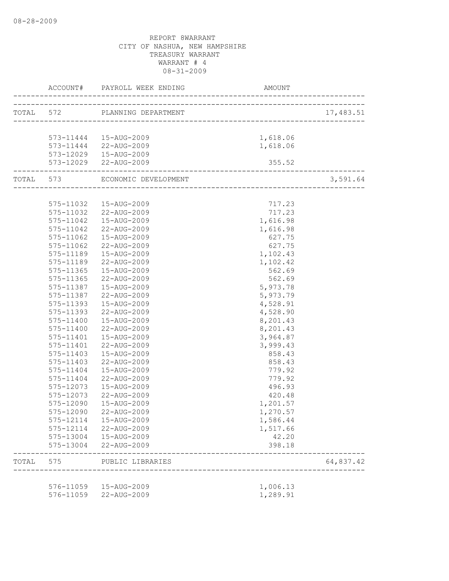|       |                            | TOTAL 572 PLANNING DEPARTMENT                  |                              | 17,483.51 |
|-------|----------------------------|------------------------------------------------|------------------------------|-----------|
|       |                            |                                                |                              |           |
|       |                            |                                                |                              |           |
|       |                            | 573-11444   15-AUG-2009                        | 1,618.06                     |           |
|       |                            | 573-11444 22-AUG-2009<br>573-12029 15-AUG-2009 | 1,618.06                     |           |
|       |                            |                                                |                              |           |
|       | -------------------------- | 573-12029 22-AUG-2009                          | 355.52                       |           |
|       |                            | TOTAL 573 ECONOMIC DEVELOPMENT                 |                              | 3,591.64  |
|       |                            |                                                |                              |           |
|       |                            | 575-11032  15-AUG-2009                         | 717.23                       |           |
|       |                            | 575-11032 22-AUG-2009                          | 717.23                       |           |
|       |                            | 575-11042  15-AUG-2009                         | 1,616.98                     |           |
|       | 575-11042                  | 22-AUG-2009                                    | 1,616.98                     |           |
|       | 575-11062                  | 15-AUG-2009                                    | 627.75                       |           |
|       | 575-11062                  | 22-AUG-2009                                    | 627.75                       |           |
|       | 575-11189                  | 15-AUG-2009                                    | 1,102.43                     |           |
|       | 575-11189                  | 22-AUG-2009                                    | 1,102.42                     |           |
|       | 575-11365                  | 15-AUG-2009                                    | 562.69                       |           |
|       | 575-11365                  | 22-AUG-2009                                    | 562.69                       |           |
|       | 575-11387                  | 15-AUG-2009                                    | 5,973.78                     |           |
|       | 575-11387                  | 22-AUG-2009                                    | 5,973.79                     |           |
|       | 575-11393                  | 15-AUG-2009                                    | 4,528.91                     |           |
|       | 575-11393                  | 22-AUG-2009                                    | 4,528.90                     |           |
|       | 575-11400                  | 15-AUG-2009                                    | 8,201.43                     |           |
|       | 575-11400                  | 22-AUG-2009                                    | 8,201.43                     |           |
|       | 575-11401                  | 15-AUG-2009                                    | 3,964.87                     |           |
|       | 575-11401                  | 22-AUG-2009                                    | 3,999.43                     |           |
|       | 575-11403                  | 15-AUG-2009                                    | 858.43                       |           |
|       | 575-11403                  | 22-AUG-2009                                    | 858.43                       |           |
|       | 575-11404                  | 15-AUG-2009                                    | 779.92                       |           |
|       | 575-11404                  | 22-AUG-2009                                    | 779.92                       |           |
|       | 575-12073                  | 15-AUG-2009                                    | 496.93                       |           |
|       | 575-12073                  | 22-AUG-2009                                    | 420.48                       |           |
|       | 575-12090                  | 15-AUG-2009                                    | 1,201.57                     |           |
|       | 575-12090                  | 22-AUG-2009                                    | 1,270.57                     |           |
|       | 575-12114                  | 15-AUG-2009                                    | 1,586.44                     |           |
|       | 575-12114                  | 22-AUG-2009                                    | 1,517.66                     |           |
|       |                            | 575-13004  15-AUG-2009                         | 42.20                        |           |
|       | 575-13004                  | 22-AUG-2009                                    | 398.18                       |           |
| TOTAL | 575                        | PUBLIC LIBRARIES                               | ---------------------------- | 64,837.42 |
|       |                            |                                                |                              |           |
|       | 576-11059                  | 15-AUG-2009                                    | 1,006.13                     |           |
|       | 576-11059                  | 22-AUG-2009                                    | 1,289.91                     |           |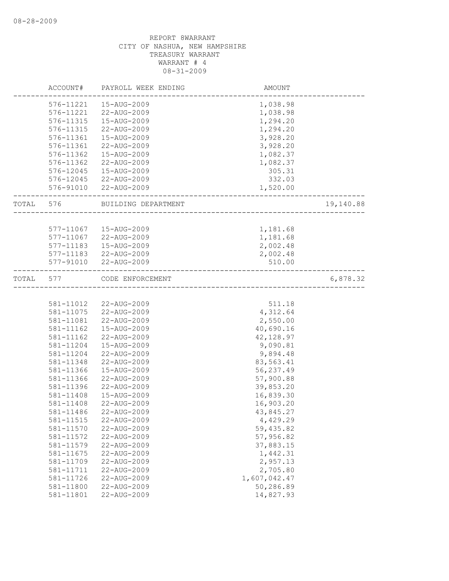|       | ACCOUNT#  | PAYROLL WEEK ENDING   | AMOUNT       |           |
|-------|-----------|-----------------------|--------------|-----------|
|       | 576-11221 | 15-AUG-2009           | 1,038.98     |           |
|       | 576-11221 | 22-AUG-2009           | 1,038.98     |           |
|       | 576-11315 | 15-AUG-2009           | 1,294.20     |           |
|       | 576-11315 | 22-AUG-2009           | 1,294.20     |           |
|       | 576-11361 | 15-AUG-2009           | 3,928.20     |           |
|       | 576-11361 | 22-AUG-2009           | 3,928.20     |           |
|       | 576-11362 | 15-AUG-2009           | 1,082.37     |           |
|       | 576-11362 | 22-AUG-2009           | 1,082.37     |           |
|       | 576-12045 | 15-AUG-2009           | 305.31       |           |
|       |           | 576-12045 22-AUG-2009 | 332.03       |           |
|       |           | 576-91010 22-AUG-2009 | 1,520.00     |           |
| TOTAL | 576       | BUILDING DEPARTMENT   |              | 19,140.88 |
|       |           |                       |              |           |
|       | 577-11067 | 15-AUG-2009           | 1,181.68     |           |
|       | 577-11067 | 22-AUG-2009           | 1,181.68     |           |
|       | 577-11183 | 15-AUG-2009           | 2,002.48     |           |
|       |           | 577-11183 22-AUG-2009 | 2,002.48     |           |
|       |           | 577-91010 22-AUG-2009 | 510.00       |           |
| TOTAL | 577       | CODE ENFORCEMENT      |              | 6,878.32  |
|       |           |                       |              |           |
|       | 581-11012 | 22-AUG-2009           | 511.18       |           |
|       | 581-11075 | 22-AUG-2009           | 4,312.64     |           |
|       | 581-11081 | 22-AUG-2009           | 2,550.00     |           |
|       | 581-11162 | 15-AUG-2009           | 40,690.16    |           |
|       | 581-11162 | 22-AUG-2009           | 42, 128.97   |           |
|       | 581-11204 | 15-AUG-2009           | 9,090.81     |           |
|       | 581-11204 | 22-AUG-2009           | 9,894.48     |           |
|       | 581-11348 | 22-AUG-2009           | 83,563.41    |           |
|       | 581-11366 | 15-AUG-2009           | 56,237.49    |           |
|       | 581-11366 | 22-AUG-2009           | 57,900.88    |           |
|       | 581-11396 | 22-AUG-2009           | 39,853.20    |           |
|       | 581-11408 | 15-AUG-2009           | 16,839.30    |           |
|       | 581-11408 | 22-AUG-2009           | 16,903.20    |           |
|       | 581-11486 | 22-AUG-2009           | 43,845.27    |           |
|       | 581-11515 | 22-AUG-2009           | 4,429.29     |           |
|       | 581-11570 | 22-AUG-2009           | 59,435.82    |           |
|       | 581-11572 | 22-AUG-2009           | 57,956.82    |           |
|       | 581-11579 | 22-AUG-2009           | 37,883.15    |           |
|       | 581-11675 | 22-AUG-2009           | 1,442.31     |           |
|       | 581-11709 | 22-AUG-2009           | 2,957.13     |           |
|       | 581-11711 | 22-AUG-2009           | 2,705.80     |           |
|       | 581-11726 | 22-AUG-2009           | 1,607,042.47 |           |
|       | 581-11800 | 22-AUG-2009           | 50,286.89    |           |
|       | 581-11801 | 22-AUG-2009           | 14,827.93    |           |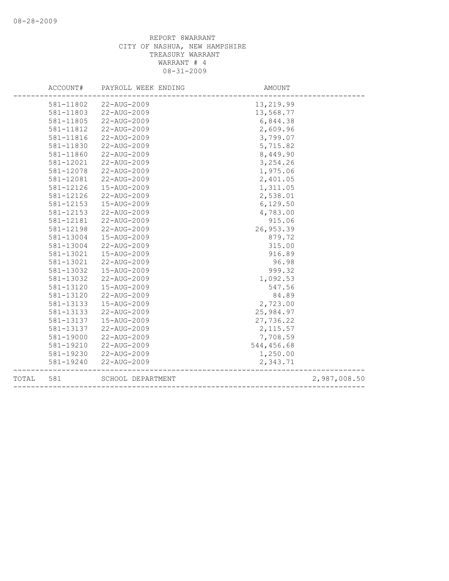|       | ACCOUNT#      | PAYROLL WEEK ENDING | AMOUNT     |              |
|-------|---------------|---------------------|------------|--------------|
|       | 581-11802     | 22-AUG-2009         | 13,219.99  |              |
|       | 581-11803     | 22-AUG-2009         | 13,568.77  |              |
|       | 581-11805     | 22-AUG-2009         | 6,844.38   |              |
|       | 581-11812     | 22-AUG-2009         | 2,609.96   |              |
|       | 581-11816     | 22-AUG-2009         | 3,799.07   |              |
|       | 581-11830     | 22-AUG-2009         | 5,715.82   |              |
|       | 581-11860     | 22-AUG-2009         | 8,449.90   |              |
|       | 581-12021     | 22-AUG-2009         | 3,254.26   |              |
|       | 581-12078     | 22-AUG-2009         | 1,975.06   |              |
|       | 581-12081     | 22-AUG-2009         | 2,401.05   |              |
|       | 581-12126     | 15-AUG-2009         | 1,311.05   |              |
|       | 581-12126     | 22-AUG-2009         | 2,538.01   |              |
|       | 581-12153     | 15-AUG-2009         | 6,129.50   |              |
|       | 581-12153     | 22-AUG-2009         | 4,783.00   |              |
|       | 581-12181     | 22-AUG-2009         | 915.06     |              |
|       | 581-12198     | 22-AUG-2009         | 26,953.39  |              |
|       | 581-13004     | 15-AUG-2009         | 879.72     |              |
|       | 581-13004     | 22-AUG-2009         | 315.00     |              |
|       | 581-13021     | 15-AUG-2009         | 916.89     |              |
|       | 581-13021     | 22-AUG-2009         | 96.98      |              |
|       | 581-13032     | 15-AUG-2009         | 999.32     |              |
|       | 581-13032     | 22-AUG-2009         | 1,092.53   |              |
|       | 581-13120     | 15-AUG-2009         | 547.56     |              |
|       | 581-13120     | 22-AUG-2009         | 84.89      |              |
|       | 581-13133     | 15-AUG-2009         | 2,723.00   |              |
|       | 581-13133     | 22-AUG-2009         | 25,984.97  |              |
|       | 581-13137     | 15-AUG-2009         | 27,736.22  |              |
|       | 581-13137     | 22-AUG-2009         | 2,115.57   |              |
|       | 581-19000     | 22-AUG-2009         | 7,708.59   |              |
|       | 581-19210     | 22-AUG-2009         | 544,456.68 |              |
|       | 581-19230     | 22-AUG-2009         | 1,250.00   |              |
|       | $581 - 19240$ | 22-AUG-2009         | 2,343.71   |              |
| TOTAL | 581           | SCHOOL DEPARTMENT   |            | 2,987,008.50 |
|       |               |                     |            |              |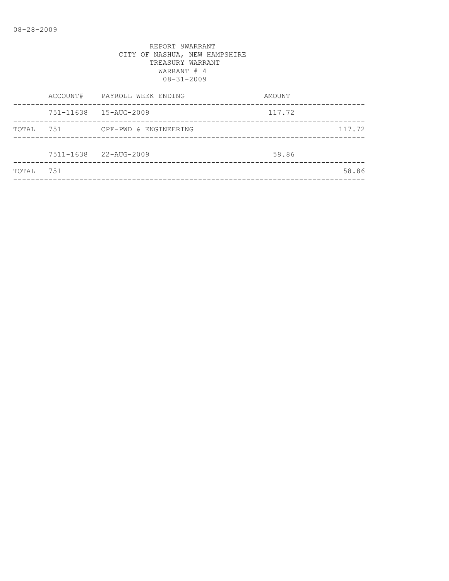|       | ACCOUNT# | PAYROLL WEEK ENDING    | AMOUNT |        |
|-------|----------|------------------------|--------|--------|
|       |          | 751-11638  15-AUG-2009 | 117.72 |        |
| TOTAL | 751      | CPF-PWD & ENGINEERING  |        | 117.72 |
|       |          | 7511-1638 22-AUG-2009  | 58.86  |        |
| TOTAL | 751      |                        |        | 58.86  |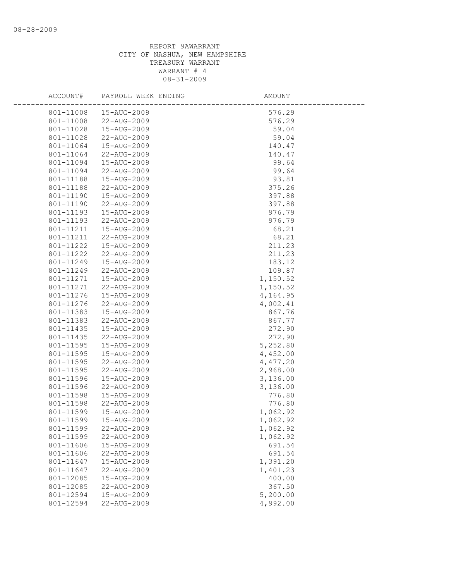| ACCOUNT#               | PAYROLL WEEK ENDING        | AMOUNT               |  |
|------------------------|----------------------------|----------------------|--|
| 801-11008              | 15-AUG-2009                | 576.29               |  |
| 801-11008              | 22-AUG-2009                | 576.29               |  |
| 801-11028              | 15-AUG-2009                | 59.04                |  |
| 801-11028              | 22-AUG-2009                | 59.04                |  |
| 801-11064              | 15-AUG-2009                | 140.47               |  |
| 801-11064              | 22-AUG-2009                | 140.47               |  |
| 801-11094              | 15-AUG-2009                | 99.64                |  |
| 801-11094              | 22-AUG-2009                | 99.64                |  |
| 801-11188              | 15-AUG-2009                | 93.81                |  |
| 801-11188              | 22-AUG-2009                | 375.26               |  |
| 801-11190              | 15-AUG-2009                | 397.88               |  |
| 801-11190              | 22-AUG-2009                | 397.88               |  |
| 801-11193              | 15-AUG-2009                | 976.79               |  |
| 801-11193              | 22-AUG-2009                | 976.79               |  |
| 801-11211              | 15-AUG-2009                | 68.21                |  |
| 801-11211              | 22-AUG-2009                | 68.21                |  |
| 801-11222              | 15-AUG-2009                | 211.23               |  |
| 801-11222              | 22-AUG-2009                | 211.23               |  |
| 801-11249              | 15-AUG-2009                | 183.12               |  |
| 801-11249              | 22-AUG-2009                | 109.87               |  |
| 801-11271              | 15-AUG-2009                | 1,150.52             |  |
| 801-11271              | 22-AUG-2009                | 1,150.52             |  |
| 801-11276              | 15-AUG-2009                | 4,164.95             |  |
| 801-11276              | 22-AUG-2009                | 4,002.41             |  |
| 801-11383              | 15-AUG-2009                | 867.76               |  |
| 801-11383              | 22-AUG-2009                | 867.77               |  |
| 801-11435              | 15-AUG-2009                | 272.90               |  |
| 801-11435              | 22-AUG-2009                | 272.90               |  |
| 801-11595              | 15-AUG-2009                | 5,252.80             |  |
| 801-11595              | 15-AUG-2009                | 4,452.00             |  |
| 801-11595<br>801-11595 | 22-AUG-2009<br>22-AUG-2009 | 4,477.20             |  |
| 801-11596              | 15-AUG-2009                | 2,968.00<br>3,136.00 |  |
| 801-11596              | 22-AUG-2009                | 3,136.00             |  |
| 801-11598              | 15-AUG-2009                | 776.80               |  |
| 801-11598              | 22-AUG-2009                | 776.80               |  |
| 801-11599              | 15-AUG-2009                | 1,062.92             |  |
| 801-11599              | 15-AUG-2009                | 1,062.92             |  |
| 801-11599              | 22-AUG-2009                | 1,062.92             |  |
| 801-11599              | 22-AUG-2009                | 1,062.92             |  |
| 801-11606              | 15-AUG-2009                | 691.54               |  |
| 801-11606              | 22-AUG-2009                | 691.54               |  |
| 801-11647              | 15-AUG-2009                | 1,391.20             |  |
| 801-11647              | 22-AUG-2009                | 1,401.23             |  |
| 801-12085              | 15-AUG-2009                | 400.00               |  |
| 801-12085              | 22-AUG-2009                | 367.50               |  |
| 801-12594              | 15-AUG-2009                | 5,200.00             |  |
| 801-12594              | 22-AUG-2009                | 4,992.00             |  |
|                        |                            |                      |  |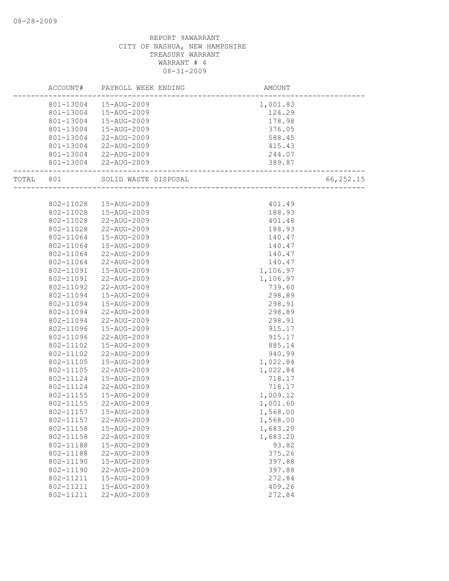|       |           | ACCOUNT# PAYROLL WEEK ENDING | AMOUNT                             |           |
|-------|-----------|------------------------------|------------------------------------|-----------|
|       |           | 801-13004  15-AUG-2009       | 1,001.83                           |           |
|       | 801-13004 | 15-AUG-2009                  | 124.29                             |           |
|       | 801-13004 | 15-AUG-2009                  | 178.98                             |           |
|       | 801-13004 | 15-AUG-2009                  | 376.05                             |           |
|       | 801-13004 | 22-AUG-2009                  | 588.45                             |           |
|       | 801-13004 | 22-AUG-2009                  | 415.43                             |           |
|       | 801-13004 | 22-AUG-2009                  | 244.07                             |           |
|       |           | 801-13004 22-AUG-2009        | 389.87<br>________________________ |           |
| TOTAL | 801       | SOLID WASTE DISPOSAL         | L<br>----------------------        | 66,252.15 |
|       |           |                              |                                    |           |
|       | 802-11028 | 15-AUG-2009                  | 401.49                             |           |
|       | 802-11028 | 15-AUG-2009                  | 188.93                             |           |
|       | 802-11028 | 22-AUG-2009                  | 401.48                             |           |
|       | 802-11028 | 22-AUG-2009                  | 188.93                             |           |
|       | 802-11064 | 15-AUG-2009                  | 140.47                             |           |
|       | 802-11064 | 15-AUG-2009                  | 140.47                             |           |
|       | 802-11064 | 22-AUG-2009                  | 140.47                             |           |
|       | 802-11064 | 22-AUG-2009                  | 140.47                             |           |
|       | 802-11091 | 15-AUG-2009                  | 1,106.97                           |           |
|       | 802-11091 | 22-AUG-2009                  | 1,106.97                           |           |
|       | 802-11092 | 22-AUG-2009                  | 739.60                             |           |
|       | 802-11094 | 15-AUG-2009                  | 298.89                             |           |
|       | 802-11094 | 15-AUG-2009                  | 298.91                             |           |
|       | 802-11094 | 22-AUG-2009                  | 298.89                             |           |
|       | 802-11094 | 22-AUG-2009                  | 298.91                             |           |
|       | 802-11096 | 15-AUG-2009                  | 915.17                             |           |
|       | 802-11096 | 22-AUG-2009                  | 915.17                             |           |
|       | 802-11102 | 15-AUG-2009                  | 885.14                             |           |
|       | 802-11102 | 22-AUG-2009                  | 940.99                             |           |
|       | 802-11105 | 15-AUG-2009                  | 1,022.84                           |           |
|       | 802-11105 | 22-AUG-2009                  | 1,022.84                           |           |
|       | 802-11124 | 15-AUG-2009                  | 718.17                             |           |
|       | 802-11124 | 22-AUG-2009                  | 718.17                             |           |
|       | 802-11155 | 15-AUG-2009                  | 1,009.12                           |           |
|       | 802-11155 | 22-AUG-2009                  | 1,001.60                           |           |
|       | 802-11157 | 15-AUG-2009                  | 1,568.00                           |           |
|       | 802-11157 | 22-AUG-2009                  | 1,568.00                           |           |
|       | 802-11158 | 15-AUG-2009                  | 1,683.20                           |           |
|       | 802-11158 | 22-AUG-2009                  | 1,683.20                           |           |
|       | 802-11188 | 15-AUG-2009                  | 93.82                              |           |
|       | 802-11188 | 22-AUG-2009                  | 375.26                             |           |
|       | 802-11190 | 15-AUG-2009                  | 397.88                             |           |
|       | 802-11190 | 22-AUG-2009                  | 397.88                             |           |
|       | 802-11211 | 15-AUG-2009                  | 272.84                             |           |
|       | 802-11211 | 15-AUG-2009                  | 409.26                             |           |
|       | 802-11211 | 22-AUG-2009                  | 272.84                             |           |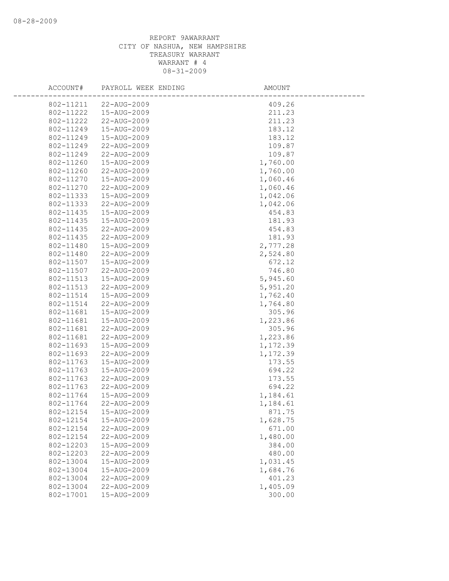| ACCOUNT#               | PAYROLL WEEK ENDING        | AMOUNT               |
|------------------------|----------------------------|----------------------|
| 802-11211              | 22-AUG-2009                | 409.26               |
| 802-11222              | 15-AUG-2009                | 211.23               |
| 802-11222              | 22-AUG-2009                | 211.23               |
| 802-11249              | 15-AUG-2009                | 183.12               |
| 802-11249              | 15-AUG-2009                | 183.12               |
| 802-11249              | 22-AUG-2009                | 109.87               |
| 802-11249              | 22-AUG-2009                | 109.87               |
| 802-11260              | 15-AUG-2009                | 1,760.00             |
| 802-11260              | 22-AUG-2009                | 1,760.00             |
| 802-11270              | 15-AUG-2009                | 1,060.46             |
| 802-11270              | 22-AUG-2009                | 1,060.46             |
| 802-11333              | 15-AUG-2009                | 1,042.06             |
| 802-11333              | 22-AUG-2009                | 1,042.06             |
| 802-11435              | 15-AUG-2009                | 454.83               |
| 802-11435              | 15-AUG-2009                | 181.93               |
| 802-11435              | 22-AUG-2009                | 454.83               |
| 802-11435              | 22-AUG-2009                | 181.93               |
| 802-11480              | 15-AUG-2009                | 2,777.28             |
| 802-11480              | 22-AUG-2009                | 2,524.80             |
| 802-11507              | 15-AUG-2009                | 672.12               |
| 802-11507              | 22-AUG-2009                | 746.80               |
| 802-11513              | 15-AUG-2009                | 5,945.60             |
| 802-11513              | 22-AUG-2009                | 5,951.20             |
| 802-11514              | 15-AUG-2009                | 1,762.40             |
| 802-11514              | 22-AUG-2009                | 1,764.80             |
| 802-11681              | 15-AUG-2009                | 305.96               |
| 802-11681              | 15-AUG-2009                | 1,223.86             |
| 802-11681              | 22-AUG-2009                | 305.96               |
| 802-11681<br>802-11693 | 22-AUG-2009<br>15-AUG-2009 | 1,223.86             |
| 802-11693              | 22-AUG-2009                | 1,172.39<br>1,172.39 |
| 802-11763              | 15-AUG-2009                | 173.55               |
| 802-11763              | 15-AUG-2009                | 694.22               |
| 802-11763              | 22-AUG-2009                | 173.55               |
| 802-11763              | 22-AUG-2009                | 694.22               |
| 802-11764              | 15-AUG-2009                | 1,184.61             |
| 802-11764              | 22-AUG-2009                | 1,184.61             |
| 802-12154              | 15-AUG-2009                | 871.75               |
| 802-12154              | 15-AUG-2009                | 1,628.75             |
| 802-12154              | 22-AUG-2009                | 671.00               |
| 802-12154              | 22-AUG-2009                | 1,480.00             |
| 802-12203              | 15-AUG-2009                | 384.00               |
| 802-12203              | 22-AUG-2009                | 480.00               |
| 802-13004              | 15-AUG-2009                | 1,031.45             |
| 802-13004              | 15-AUG-2009                | 1,684.76             |
| 802-13004              | 22-AUG-2009                | 401.23               |
| 802-13004              | 22-AUG-2009                | 1,405.09             |
| 802-17001              | 15-AUG-2009                | 300.00               |
|                        |                            |                      |